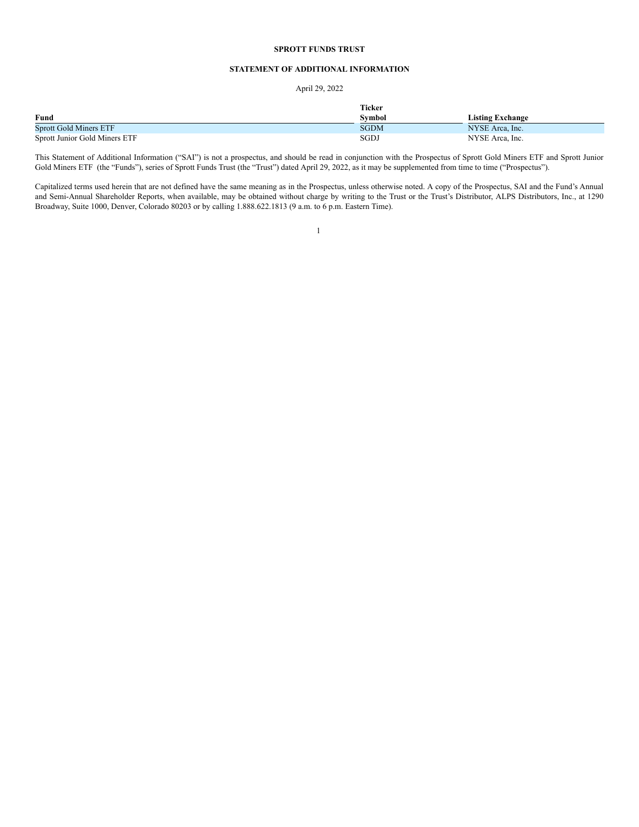# **SPROTT FUNDS TRUST**

# **STATEMENT OF ADDITIONAL INFORMATION**

# April 29, 2022

|                               | <b>Ticker</b> |                  |
|-------------------------------|---------------|------------------|
| Fund                          | Svmbol        | Listing Exchange |
| <b>Sprott Gold Miners ETF</b> | <b>SGDM</b>   | NYSE Area, Inc.  |
| Sprott Junior Gold Miners ETF | SGDJ          | NYSE Area, Inc.  |

This Statement of Additional Information ("SAI") is not a prospectus, and should be read in conjunction with the Prospectus of Sprott Gold Miners ETF and Sprott Junior Gold Miners ETF (the "Funds"), series of Sprott Funds Trust (the "Trust") dated April 29, 2022, as it may be supplemented from time to time ("Prospectus").

Capitalized terms used herein that are not defined have the same meaning as in the Prospectus, unless otherwise noted. A copy of the Prospectus, SAI and the Fund's Annual and Semi-Annual Shareholder Reports, when available, may be obtained without charge by writing to the Trust or the Trust's Distributor, ALPS Distributors, Inc., at 1290 Broadway, Suite 1000, Denver, Colorado 80203 or by calling 1.888.622.1813 (9 a.m. to 6 p.m. Eastern Time).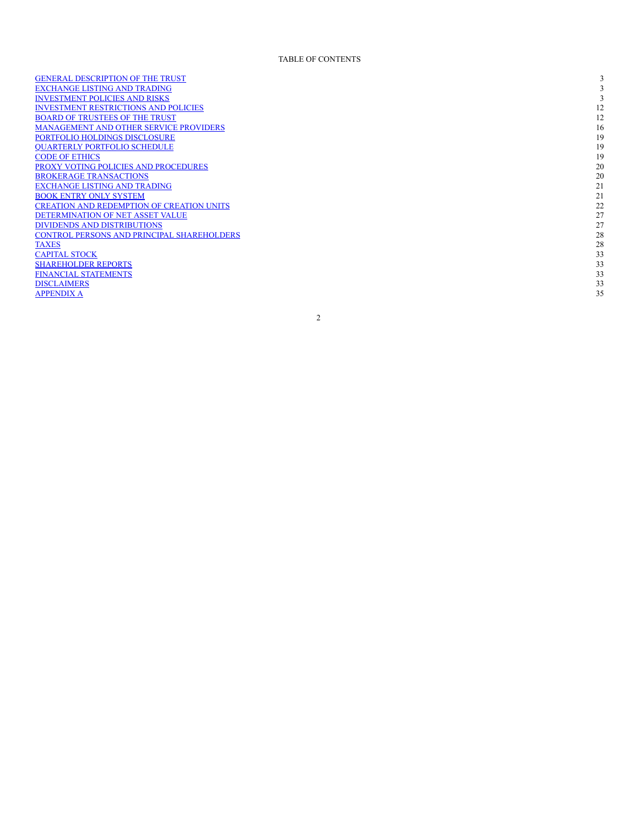GENERAL DESCRIPTION OF THE T[RU](#page-2-0)ST EXCH[AN](#page-2-1)GE LISTING AND TRADING INVESTMENT POLICIES [AN](#page-2-2)D RISKS INVESTMENT RESTRICTIONS [AN](#page-11-0)D POLICIES BOARD OF T[RU](#page-11-1)STEES OF THE TRUST M[AN](#page-15-0)AGEMENT AND OTHER SERVICE PROVIDERS PO[RT](#page-18-0)FOLIO HOLDINGS DISCLOSURE QUARTER[LY](#page-18-1) PORTFOLIO SCHEDULE CODE OF ETH[IC](#page-18-2)S PROXY VOTING POLICIES [AN](#page-19-0)D PROCEDURES BROKERAGE T[RAN](#page-19-1)SACTIONS EXCH[AN](#page-20-0)GE LISTING AND TRADING BOOK ENT[RY](#page-20-1) ONLY SYSTEM CREATION AND REDEMPTION OF CREATION [UN](#page-21-0)ITS DETERMINATION OF NET ASSET [VA](#page-26-0)LUE **DIVIDENDS [AN](#page-26-1)D DISTRIBUTIONS** CONTROL PERSONS [AN](#page-27-0)D PRINCIPAL SHAREHOLDERS **[TA](#page-27-1)XES CAPI[TA](#page-32-0)L STOCK** SHAREHOLDER REPO[RT](#page-32-1)S FINANCIAL S[TAT](#page-32-2)EMENTS **DISCLA[IM](#page-32-3)ERS APPENDIX A** 

3 5

2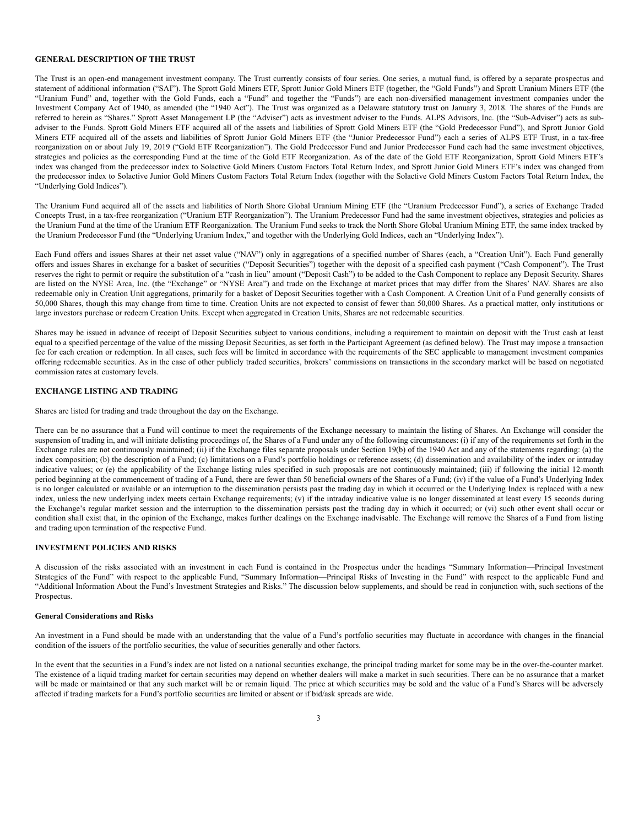# <span id="page-2-0"></span>**GENERAL DESCRIPTION OF THE TRUST**

The Trust is an open-end management investment company. The Trust currently consists of four series. One series, a mutual fund, is offered by a separate prospectus and statement of additional information ("SAI"). The Sprott Gold Miners ETF, Sprott Junior Gold Miners ETF (together, the "Gold Funds") and Sprott Uranium Miners ETF (the "Uranium Fund" and, together with the Gold Funds, each a "Fund" and together the "Funds") are each non-diversified management investment companies under the Investment Company Act of 1940, as amended (the "1940 Act"). The Trust was organized as a Delaware statutory trust on January 3, 2018. The shares of the Funds are referred to herein as "Shares." Sprott Asset Management LP (the "Adviser") acts as investment adviser to the Funds. ALPS Advisors, Inc. (the "Sub-Adviser") acts as subadviser to the Funds. Sprott Gold Miners ETF acquired all of the assets and liabilities of Sprott Gold Miners ETF (the "Gold Predecessor Fund"), and Sprott Junior Gold Miners ETF acquired all of the assets and liabilities of Sprott Junior Gold Miners ETF (the "Junior Predecessor Fund") each a series of ALPS ETF Trust, in a tax-free reorganization on or about July 19, 2019 ("Gold ETF Reorganization"). The Gold Predecessor Fund and Junior Predecessor Fund each had the same investment objectives, strategies and policies as the corresponding Fund at the time of the Gold ETF Reorganization. As of the date of the Gold ETF Reorganization, Sprott Gold Miners ETF's index was changed from the predecessor index to Solactive Gold Miners Custom Factors Total Return Index, and Sprott Junior Gold Miners ETF's index was changed from the predecessor index to Solactive Junior Gold Miners Custom Factors Total Return Index (together with the Solactive Gold Miners Custom Factors Total Return Index, the "Underlying Gold Indices").

The Uranium Fund acquired all of the assets and liabilities of North Shore Global Uranium Mining ETF (the "Uranium Predecessor Fund"), a series of Exchange Traded Concepts Trust, in a tax-free reorganization ("Uranium ETF Reorganization"). The Uranium Predecessor Fund had the same investment objectives, strategies and policies as the Uranium Fund at the time of the Uranium ETF Reorganization. The Uranium Fund seeks to track the North Shore Global Uranium Mining ETF, the same index tracked by the Uranium Predecessor Fund (the "Underlying Uranium Index," and together with the Underlying Gold Indices, each an "Underlying Index").

Each Fund offers and issues Shares at their net asset value ("NAV") only in aggregations of a specified number of Shares (each, a "Creation Unit"). Each Fund generally offers and issues Shares in exchange for a basket of securities ("Deposit Securities") together with the deposit of a specified cash payment ("Cash Component"). The Trust reserves the right to permit or require the substitution of a "cash in lieu" amount ("Deposit Cash") to be added to the Cash Component to replace any Deposit Security. Shares are listed on the NYSE Arca, Inc. (the "Exchange" or "NYSE Arca") and trade on the Exchange at market prices that may differ from the Shares' NAV. Shares are also redeemable only in Creation Unit aggregations, primarily for a basket of Deposit Securities together with a Cash Component. A Creation Unit of a Fund generally consists of 50,000 Shares, though this may change from time to time. Creation Units are not expected to consist of fewer than 50,000 Shares. As a practical matter, only institutions or large investors purchase or redeem Creation Units. Except when aggregated in Creation Units, Shares are not redeemable securities.

Shares may be issued in advance of receipt of Deposit Securities subject to various conditions, including a requirement to maintain on deposit with the Trust cash at least equal to a specified percentage of the value of the missing Deposit Securities, as set forth in the Participant Agreement (as defined below). The Trust may impose a transaction fee for each creation or redemption. In all cases, such fees will be limited in accordance with the requirements of the SEC applicable to management investment companies offering redeemable securities. As in the case of other publicly traded securities, brokers' commissions on transactions in the secondary market will be based on negotiated commission rates at customary levels.

# <span id="page-2-1"></span>**EXCHANGE LISTING AND TRADING**

Shares are listed for trading and trade throughout the day on the Exchange.

There can be no assurance that a Fund will continue to meet the requirements of the Exchange necessary to maintain the listing of Shares. An Exchange will consider the suspension of trading in, and will initiate delisting proceedings of, the Shares of a Fund under any of the following circumstances: (i) if any of the requirements set forth in the Exchange rules are not continuously maintained; (ii) if the Exchange files separate proposals under Section 19(b) of the 1940 Act and any of the statements regarding: (a) the index composition; (b) the description of a Fund; (c) limitations on a Fund's portfolio holdings or reference assets; (d) dissemination and availability of the index or intraday indicative values; or (e) the applicability of the Exchange listing rules specified in such proposals are not continuously maintained; (iii) if following the initial 12-month period beginning at the commencement of trading of a Fund, there are fewer than 50 beneficial owners of the Shares of a Fund; (iv) if the value of a Fund's Underlying Index is no longer calculated or available or an interruption to the dissemination persists past the trading day in which it occurred or the Underlying Index is replaced with a new index, unless the new underlying index meets certain Exchange requirements; (v) if the intraday indicative value is no longer disseminated at least every 15 seconds during the Exchange's regular market session and the interruption to the dissemination persists past the trading day in which it occurred; or (vi) such other event shall occur or condition shall exist that, in the opinion of the Exchange, makes further dealings on the Exchange inadvisable. The Exchange will remove the Shares of a Fund from listing and trading upon termination of the respective Fund.

# <span id="page-2-2"></span>**INVESTMENT POLICIES AND RISKS**

A discussion of the risks associated with an investment in each Fund is contained in the Prospectus under the headings "Summary Information—Principal Investment Strategies of the Fund" with respect to the applicable Fund, "Summary Information—Principal Risks of Investing in the Fund" with respect to the applicable Fund and "Additional Information About the Fund's Investment Strategies and Risks." The discussion below supplements, and should be read in conjunction with, such sections of the Prospectus.

# **General Considerations and Risks**

An investment in a Fund should be made with an understanding that the value of a Fund's portfolio securities may fluctuate in accordance with changes in the financial condition of the issuers of the portfolio securities, the value of securities generally and other factors.

In the event that the securities in a Fund's index are not listed on a national securities exchange, the principal trading market for some may be in the over-the-counter market. The existence of a liquid trading market for certain securities may depend on whether dealers will make a market in such securities. There can be no assurance that a market will be made or maintained or that any such market will be or remain liquid. The price at which securities may be sold and the value of a Fund's Shares will be adversely affected if trading markets for a Fund's portfolio securities are limited or absent or if bid/ask spreads are wide.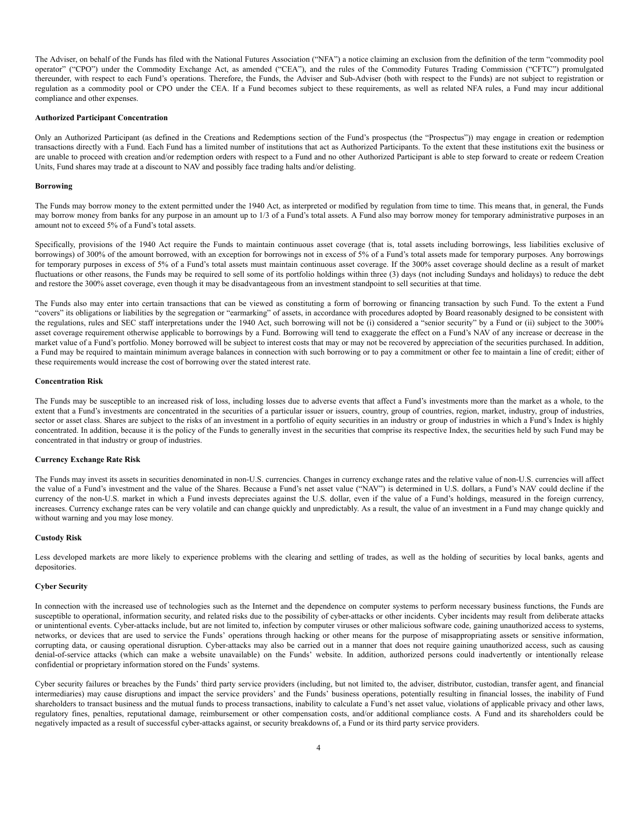The Adviser, on behalf of the Funds has filed with the National Futures Association ("NFA") a notice claiming an exclusion from the definition of the term "commodity pool operator" ("CPO") under the Commodity Exchange Act, as amended ("CEA"), and the rules of the Commodity Futures Trading Commission ("CFTC") promulgated thereunder, with respect to each Fund's operations. Therefore, the Funds, the Adviser and Sub-Adviser (both with respect to the Funds) are not subject to registration or regulation as a commodity pool or CPO under the CEA. If a Fund becomes subject to these requirements, as well as related NFA rules, a Fund may incur additional compliance and other expenses.

#### **Authorized Participant Concentration**

Only an Authorized Participant (as defined in the Creations and Redemptions section of the Fund's prospectus (the "Prospectus")) may engage in creation or redemption transactions directly with a Fund. Each Fund has a limited number of institutions that act as Authorized Participants. To the extent that these institutions exit the business or are unable to proceed with creation and/or redemption orders with respect to a Fund and no other Authorized Participant is able to step forward to create or redeem Creation Units, Fund shares may trade at a discount to NAV and possibly face trading halts and/or delisting.

#### **Borrowing**

The Funds may borrow money to the extent permitted under the 1940 Act, as interpreted or modified by regulation from time to time. This means that, in general, the Funds may borrow money from banks for any purpose in an amount up to 1/3 of a Fund's total assets. A Fund also may borrow money for temporary administrative purposes in an amount not to exceed 5% of a Fund's total assets.

Specifically, provisions of the 1940 Act require the Funds to maintain continuous asset coverage (that is, total assets including borrowings, less liabilities exclusive of borrowings) of 300% of the amount borrowed, with an exception for borrowings not in excess of 5% of a Fund's total assets made for temporary purposes. Any borrowings for temporary purposes in excess of 5% of a Fund's total assets must maintain continuous asset coverage. If the 300% asset coverage should decline as a result of market fluctuations or other reasons, the Funds may be required to sell some of its portfolio holdings within three (3) days (not including Sundays and holidays) to reduce the debt and restore the 300% asset coverage, even though it may be disadvantageous from an investment standpoint to sell securities at that time.

The Funds also may enter into certain transactions that can be viewed as constituting a form of borrowing or financing transaction by such Fund. To the extent a Fund "covers" its obligations or liabilities by the segregation or "earmarking" of assets, in accordance with procedures adopted by Board reasonably designed to be consistent with the regulations, rules and SEC staff interpretations under the 1940 Act, such borrowing will not be (i) considered a "senior security" by a Fund or (ii) subject to the 300% asset coverage requirement otherwise applicable to borrowings by a Fund. Borrowing will tend to exaggerate the effect on a Fund's NAV of any increase or decrease in the market value of a Fund's portfolio. Money borrowed will be subject to interest costs that may or may not be recovered by appreciation of the securities purchased. In addition, a Fund may be required to maintain minimum average balances in connection with such borrowing or to pay a commitment or other fee to maintain a line of credit; either of these requirements would increase the cost of borrowing over the stated interest rate.

# **Concentration Risk**

The Funds may be susceptible to an increased risk of loss, including losses due to adverse events that affect a Fund's investments more than the market as a whole, to the extent that a Fund's investments are concentrated in the securities of a particular issuer or issuers, country, group of countries, region, market, industry, group of industries, sector or asset class. Shares are subject to the risks of an investment in a portfolio of equity securities in an industry or group of industries in which a Fund's Index is highly concentrated. In addition, because it is the policy of the Funds to generally invest in the securities that comprise its respective Index, the securities held by such Fund may be concentrated in that industry or group of industries.

# **Currency Exchange Rate Risk**

The Funds may invest its assets in securities denominated in non-U.S. currencies. Changes in currency exchange rates and the relative value of non-U.S. currencies will affect the value of a Fund's investment and the value of the Shares. Because a Fund's net asset value ("NAV") is determined in U.S. dollars, a Fund's NAV could decline if the currency of the non-U.S. market in which a Fund invests depreciates against the U.S. dollar, even if the value of a Fund's holdings, measured in the foreign currency, increases. Currency exchange rates can be very volatile and can change quickly and unpredictably. As a result, the value of an investment in a Fund may change quickly and without warning and you may lose money.

### **Custody Risk**

Less developed markets are more likely to experience problems with the clearing and settling of trades, as well as the holding of securities by local banks, agents and depositories.

### **Cyber Security**

In connection with the increased use of technologies such as the Internet and the dependence on computer systems to perform necessary business functions, the Funds are susceptible to operational, information security, and related risks due to the possibility of cyber-attacks or other incidents. Cyber incidents may result from deliberate attacks or unintentional events. Cyber-attacks include, but are not limited to, infection by computer viruses or other malicious software code, gaining unauthorized access to systems, networks, or devices that are used to service the Funds' operations through hacking or other means for the purpose of misappropriating assets or sensitive information, corrupting data, or causing operational disruption. Cyber-attacks may also be carried out in a manner that does not require gaining unauthorized access, such as causing denial-of-service attacks (which can make a website unavailable) on the Funds' website. In addition, authorized persons could inadvertently or intentionally release confidential or proprietary information stored on the Funds' systems.

Cyber security failures or breaches by the Funds' third party service providers (including, but not limited to, the adviser, distributor, custodian, transfer agent, and financial intermediaries) may cause disruptions and impact the service providers' and the Funds' business operations, potentially resulting in financial losses, the inability of Fund shareholders to transact business and the mutual funds to process transactions, inability to calculate a Fund's net asset value, violations of applicable privacy and other laws, regulatory fines, penalties, reputational damage, reimbursement or other compensation costs, and/or additional compliance costs. A Fund and its shareholders could be negatively impacted as a result of successful cyber-attacks against, or security breakdowns of, a Fund or its third party service providers.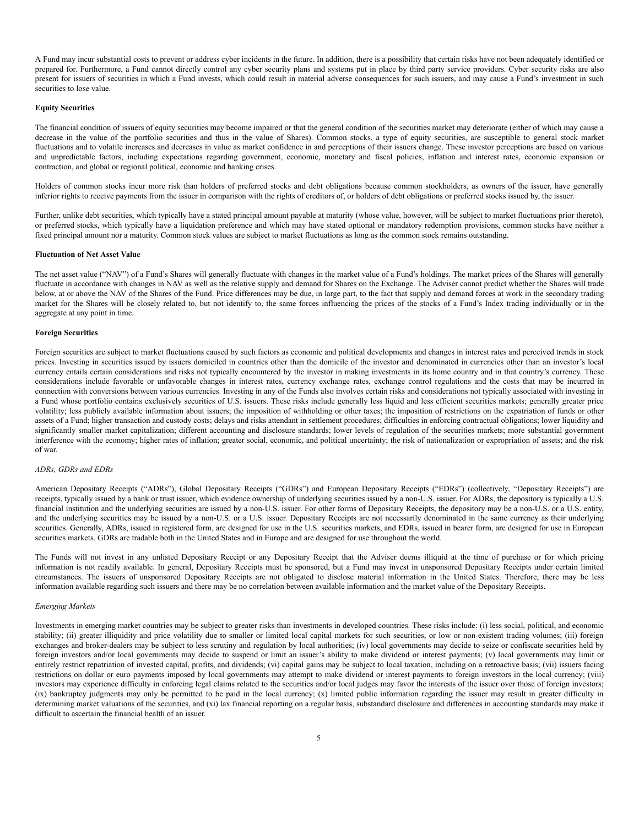A Fund may incur substantial costs to prevent or address cyber incidents in the future. In addition, there is a possibility that certain risks have not been adequately identified or prepared for. Furthermore, a Fund cannot directly control any cyber security plans and systems put in place by third party service providers. Cyber security risks are also present for issuers of securities in which a Fund invests, which could result in material adverse consequences for such issuers, and may cause a Fund's investment in such securities to lose value.

#### **Equity Securities**

The financial condition of issuers of equity securities may become impaired or that the general condition of the securities market may deteriorate (either of which may cause a decrease in the value of the portfolio securities and thus in the value of Shares). Common stocks, a type of equity securities, are susceptible to general stock market fluctuations and to volatile increases and decreases in value as market confidence in and perceptions of their issuers change. These investor perceptions are based on various and unpredictable factors, including expectations regarding government, economic, monetary and fiscal policies, inflation and interest rates, economic expansion or contraction, and global or regional political, economic and banking crises.

Holders of common stocks incur more risk than holders of preferred stocks and debt obligations because common stockholders, as owners of the issuer, have generally inferior rights to receive payments from the issuer in comparison with the rights of creditors of, or holders of debt obligations or preferred stocks issued by, the issuer.

Further, unlike debt securities, which typically have a stated principal amount payable at maturity (whose value, however, will be subject to market fluctuations prior thereto), or preferred stocks, which typically have a liquidation preference and which may have stated optional or mandatory redemption provisions, common stocks have neither a fixed principal amount nor a maturity. Common stock values are subject to market fluctuations as long as the common stock remains outstanding.

### **Fluctuation of Net Asset Value**

The net asset value ("NAV") of a Fund's Shares will generally fluctuate with changes in the market value of a Fund's holdings. The market prices of the Shares will generally fluctuate in accordance with changes in NAV as well as the relative supply and demand for Shares on the Exchange. The Adviser cannot predict whether the Shares will trade below, at or above the NAV of the Shares of the Fund. Price differences may be due, in large part, to the fact that supply and demand forces at work in the secondary trading market for the Shares will be closely related to, but not identify to, the same forces influencing the prices of the stocks of a Fund's Index trading individually or in the aggregate at any point in time.

#### **Foreign Securities**

Foreign securities are subject to market fluctuations caused by such factors as economic and political developments and changes in interest rates and perceived trends in stock prices. Investing in securities issued by issuers domiciled in countries other than the domicile of the investor and denominated in currencies other than an investor's local currency entails certain considerations and risks not typically encountered by the investor in making investments in its home country and in that country's currency. These considerations include favorable or unfavorable changes in interest rates, currency exchange rates, exchange control regulations and the costs that may be incurred in connection with conversions between various currencies. Investing in any of the Funds also involves certain risks and considerations not typically associated with investing in a Fund whose portfolio contains exclusively securities of U.S. issuers. These risks include generally less liquid and less efficient securities markets; generally greater price volatility; less publicly available information about issuers; the imposition of withholding or other taxes; the imposition of restrictions on the expatriation of funds or other assets of a Fund; higher transaction and custody costs; delays and risks attendant in settlement procedures; difficulties in enforcing contractual obligations; lower liquidity and significantly smaller market capitalization; different accounting and disclosure standards; lower levels of regulation of the securities markets; more substantial government interference with the economy; higher rates of inflation; greater social, economic, and political uncertainty; the risk of nationalization or expropriation of assets; and the risk of war.

## *ADRs, GDRs and EDRs*

American Depositary Receipts ("ADRs"), Global Depositary Receipts ("GDRs") and European Depositary Receipts ("EDRs") (collectively, "Depositary Receipts") are receipts, typically issued by a bank or trust issuer, which evidence ownership of underlying securities issued by a non-U.S. issuer. For ADRs, the depository is typically a U.S. financial institution and the underlying securities are issued by a non-U.S. issuer. For other forms of Depositary Receipts, the depository may be a non-U.S. or a U.S. entity, and the underlying securities may be issued by a non-U.S. or a U.S. issuer. Depositary Receipts are not necessarily denominated in the same currency as their underlying securities. Generally, ADRs, issued in registered form, are designed for use in the U.S. securities markets, and EDRs, issued in bearer form, are designed for use in European securities markets. GDRs are tradable both in the United States and in Europe and are designed for use throughout the world.

The Funds will not invest in any unlisted Depositary Receipt or any Depositary Receipt that the Adviser deems illiquid at the time of purchase or for which pricing information is not readily available. In general, Depositary Receipts must be sponsored, but a Fund may invest in unsponsored Depositary Receipts under certain limited circumstances. The issuers of unsponsored Depositary Receipts are not obligated to disclose material information in the United States. Therefore, there may be less information available regarding such issuers and there may be no correlation between available information and the market value of the Depositary Receipts.

### *Emerging Markets*

Investments in emerging market countries may be subject to greater risks than investments in developed countries. These risks include: (i) less social, political, and economic stability; (ii) greater illiquidity and price volatility due to smaller or limited local capital markets for such securities, or low or non-existent trading volumes; (iii) foreign exchanges and broker-dealers may be subject to less scrutiny and regulation by local authorities; (iv) local governments may decide to seize or confiscate securities held by foreign investors and/or local governments may decide to suspend or limit an issuer's ability to make dividend or interest payments; (v) local governments may limit or entirely restrict repatriation of invested capital, profits, and dividends; (vi) capital gains may be subject to local taxation, including on a retroactive basis; (vii) issuers facing restrictions on dollar or euro payments imposed by local governments may attempt to make dividend or interest payments to foreign investors in the local currency; (viii) investors may experience difficulty in enforcing legal claims related to the securities and/or local judges may favor the interests of the issuer over those of foreign investors; (ix) bankruptcy judgments may only be permitted to be paid in the local currency; (x) limited public information regarding the issuer may result in greater difficulty in determining market valuations of the securities, and (xi) lax financial reporting on a regular basis, substandard disclosure and differences in accounting standards may make it difficult to ascertain the financial health of an issuer.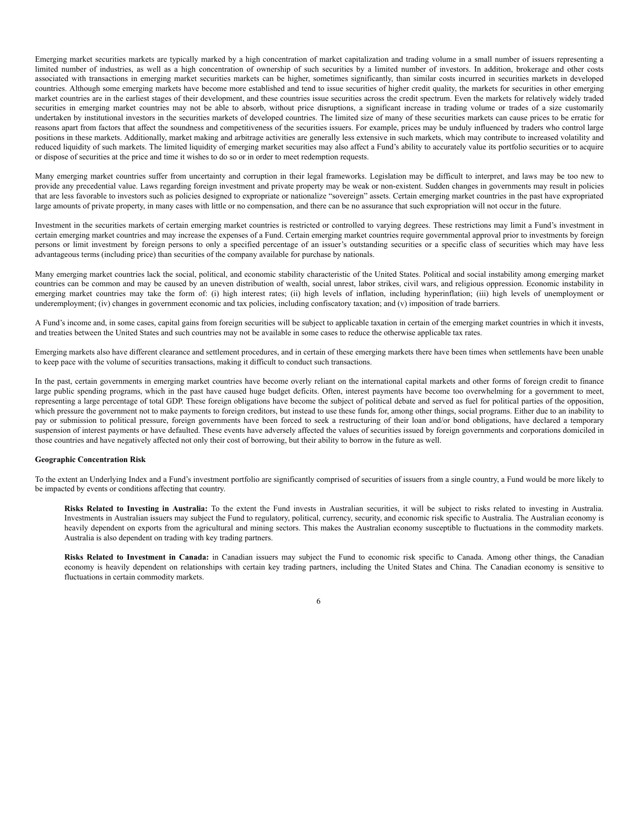Emerging market securities markets are typically marked by a high concentration of market capitalization and trading volume in a small number of issuers representing a limited number of industries, as well as a high concentration of ownership of such securities by a limited number of investors. In addition, brokerage and other costs associated with transactions in emerging market securities markets can be higher, sometimes significantly, than similar costs incurred in securities markets in developed countries. Although some emerging markets have become more established and tend to issue securities of higher credit quality, the markets for securities in other emerging market countries are in the earliest stages of their development, and these countries issue securities across the credit spectrum. Even the markets for relatively widely traded securities in emerging market countries may not be able to absorb, without price disruptions, a significant increase in trading volume or trades of a size customarily undertaken by institutional investors in the securities markets of developed countries. The limited size of many of these securities markets can cause prices to be erratic for reasons apart from factors that affect the soundness and competitiveness of the securities issuers. For example, prices may be unduly influenced by traders who control large positions in these markets. Additionally, market making and arbitrage activities are generally less extensive in such markets, which may contribute to increased volatility and reduced liquidity of such markets. The limited liquidity of emerging market securities may also affect a Fund's ability to accurately value its portfolio securities or to acquire or dispose of securities at the price and time it wishes to do so or in order to meet redemption requests.

Many emerging market countries suffer from uncertainty and corruption in their legal frameworks. Legislation may be difficult to interpret, and laws may be too new to provide any precedential value. Laws regarding foreign investment and private property may be weak or non-existent. Sudden changes in governments may result in policies that are less favorable to investors such as policies designed to expropriate or nationalize "sovereign" assets. Certain emerging market countries in the past have expropriated large amounts of private property, in many cases with little or no compensation, and there can be no assurance that such expropriation will not occur in the future.

Investment in the securities markets of certain emerging market countries is restricted or controlled to varying degrees. These restrictions may limit a Fund's investment in certain emerging market countries and may increase the expenses of a Fund. Certain emerging market countries require governmental approval prior to investments by foreign persons or limit investment by foreign persons to only a specified percentage of an issuer's outstanding securities or a specific class of securities which may have less advantageous terms (including price) than securities of the company available for purchase by nationals.

Many emerging market countries lack the social, political, and economic stability characteristic of the United States. Political and social instability among emerging market countries can be common and may be caused by an uneven distribution of wealth, social unrest, labor strikes, civil wars, and religious oppression. Economic instability in emerging market countries may take the form of: (i) high interest rates; (ii) high levels of inflation, including hyperinflation; (iii) high levels of unemployment or underemployment; (iv) changes in government economic and tax policies, including confiscatory taxation; and (v) imposition of trade barriers.

A Fund's income and, in some cases, capital gains from foreign securities will be subject to applicable taxation in certain of the emerging market countries in which it invests, and treaties between the United States and such countries may not be available in some cases to reduce the otherwise applicable tax rates.

Emerging markets also have different clearance and settlement procedures, and in certain of these emerging markets there have been times when settlements have been unable to keep pace with the volume of securities transactions, making it difficult to conduct such transactions.

In the past, certain governments in emerging market countries have become overly reliant on the international capital markets and other forms of foreign credit to finance large public spending programs, which in the past have caused huge budget deficits. Often, interest payments have become too overwhelming for a government to meet, representing a large percentage of total GDP. These foreign obligations have become the subject of political debate and served as fuel for political parties of the opposition, which pressure the government not to make payments to foreign creditors, but instead to use these funds for, among other things, social programs. Either due to an inability to pay or submission to political pressure, foreign governments have been forced to seek a restructuring of their loan and/or bond obligations, have declared a temporary suspension of interest payments or have defaulted. These events have adversely affected the values of securities issued by foreign governments and corporations domiciled in those countries and have negatively affected not only their cost of borrowing, but their ability to borrow in the future as well.

# **Geographic Concentration Risk**

To the extent an Underlying Index and a Fund's investment portfolio are significantly comprised of securities of issuers from a single country, a Fund would be more likely to be impacted by events or conditions affecting that country.

**Risks Related to Investing in Australia:** To the extent the Fund invests in Australian securities, it will be subject to risks related to investing in Australia. Investments in Australian issuers may subject the Fund to regulatory, political, currency, security, and economic risk specific to Australia. The Australian economy is heavily dependent on exports from the agricultural and mining sectors. This makes the Australian economy susceptible to fluctuations in the commodity markets. Australia is also dependent on trading with key trading partners.

**Risks Related to Investment in Canada:** in Canadian issuers may subject the Fund to economic risk specific to Canada. Among other things, the Canadian economy is heavily dependent on relationships with certain key trading partners, including the United States and China. The Canadian economy is sensitive to fluctuations in certain commodity markets.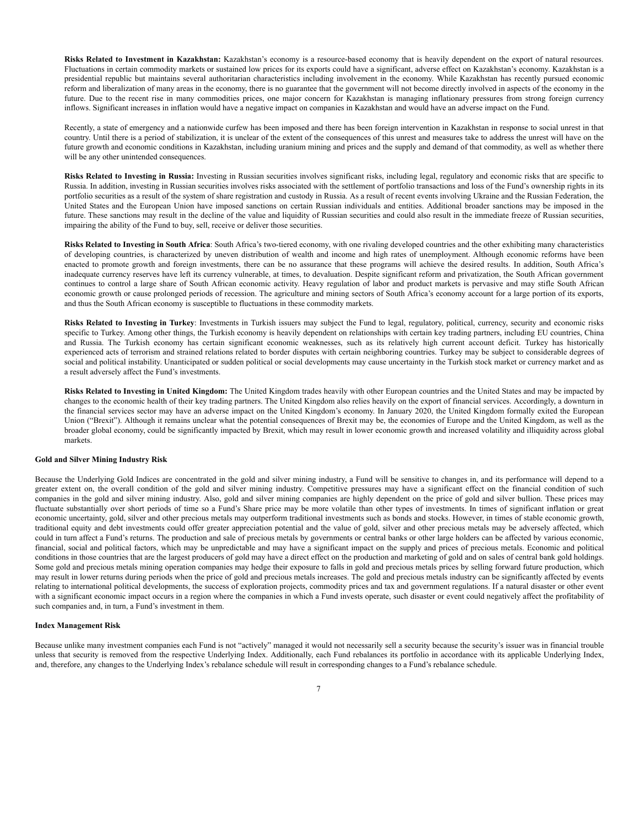**Risks Related to Investment in Kazakhstan:** Kazakhstan's economy is a resource-based economy that is heavily dependent on the export of natural resources. Fluctuations in certain commodity markets or sustained low prices for its exports could have a significant, adverse effect on Kazakhstan's economy. Kazakhstan is a presidential republic but maintains several authoritarian characteristics including involvement in the economy. While Kazakhstan has recently pursued economic reform and liberalization of many areas in the economy, there is no guarantee that the government will not become directly involved in aspects of the economy in the future. Due to the recent rise in many commodities prices, one major concern for Kazakhstan is managing inflationary pressures from strong foreign currency inflows. Significant increases in inflation would have a negative impact on companies in Kazakhstan and would have an adverse impact on the Fund.

Recently, a state of emergency and a nationwide curfew has been imposed and there has been foreign intervention in Kazakhstan in response to social unrest in that country. Until there is a period of stabilization, it is unclear of the extent of the consequences of this unrest and measures take to address the unrest will have on the future growth and economic conditions in Kazakhstan, including uranium mining and prices and the supply and demand of that commodity, as well as whether there will be any other unintended consequences.

**Risks Related to Investing in Russia:** Investing in Russian securities involves significant risks, including legal, regulatory and economic risks that are specific to Russia. In addition, investing in Russian securities involves risks associated with the settlement of portfolio transactions and loss of the Fund's ownership rights in its portfolio securities as a result of the system of share registration and custody in Russia. As a result of recent events involving Ukraine and the Russian Federation, the United States and the European Union have imposed sanctions on certain Russian individuals and entities. Additional broader sanctions may be imposed in the future. These sanctions may result in the decline of the value and liquidity of Russian securities and could also result in the immediate freeze of Russian securities, impairing the ability of the Fund to buy, sell, receive or deliver those securities.

**Risks Related to Investing in South Africa**: South Africa's two-tiered economy, with one rivaling developed countries and the other exhibiting many characteristics of developing countries, is characterized by uneven distribution of wealth and income and high rates of unemployment. Although economic reforms have been enacted to promote growth and foreign investments, there can be no assurance that these programs will achieve the desired results. In addition, South Africa's inadequate currency reserves have left its currency vulnerable, at times, to devaluation. Despite significant reform and privatization, the South African government continues to control a large share of South African economic activity. Heavy regulation of labor and product markets is pervasive and may stifle South African economic growth or cause prolonged periods of recession. The agriculture and mining sectors of South Africa's economy account for a large portion of its exports, and thus the South African economy is susceptible to fluctuations in these commodity markets.

**Risks Related to Investing in Turkey**: Investments in Turkish issuers may subject the Fund to legal, regulatory, political, currency, security and economic risks specific to Turkey. Among other things, the Turkish economy is heavily dependent on relationships with certain key trading partners, including EU countries, China and Russia. The Turkish economy has certain significant economic weaknesses, such as its relatively high current account deficit. Turkey has historically experienced acts of terrorism and strained relations related to border disputes with certain neighboring countries. Turkey may be subject to considerable degrees of social and political instability. Unanticipated or sudden political or social developments may cause uncertainty in the Turkish stock market or currency market and as a result adversely affect the Fund's investments.

**Risks Related to Investing in United Kingdom:** The United Kingdom trades heavily with other European countries and the United States and may be impacted by changes to the economic health of their key trading partners. The United Kingdom also relies heavily on the export of financial services. Accordingly, a downturn in the financial services sector may have an adverse impact on the United Kingdom's economy. In January 2020, the United Kingdom formally exited the European Union ("Brexit"). Although it remains unclear what the potential consequences of Brexit may be, the economies of Europe and the United Kingdom, as well as the broader global economy, could be significantly impacted by Brexit, which may result in lower economic growth and increased volatility and illiquidity across global markets.

# **Gold and Silver Mining Industry Risk**

Because the Underlying Gold Indices are concentrated in the gold and silver mining industry, a Fund will be sensitive to changes in, and its performance will depend to a greater extent on, the overall condition of the gold and silver mining industry. Competitive pressures may have a significant effect on the financial condition of such companies in the gold and silver mining industry. Also, gold and silver mining companies are highly dependent on the price of gold and silver bullion. These prices may fluctuate substantially over short periods of time so a Fund's Share price may be more volatile than other types of investments. In times of significant inflation or great economic uncertainty, gold, silver and other precious metals may outperform traditional investments such as bonds and stocks. However, in times of stable economic growth, traditional equity and debt investments could offer greater appreciation potential and the value of gold, silver and other precious metals may be adversely affected, which could in turn affect a Fund's returns. The production and sale of precious metals by governments or central banks or other large holders can be affected by various economic, financial, social and political factors, which may be unpredictable and may have a significant impact on the supply and prices of precious metals. Economic and political conditions in those countries that are the largest producers of gold may have a direct effect on the production and marketing of gold and on sales of central bank gold holdings. Some gold and precious metals mining operation companies may hedge their exposure to falls in gold and precious metals prices by selling forward future production, which may result in lower returns during periods when the price of gold and precious metals increases. The gold and precious metals industry can be significantly affected by events relating to international political developments, the success of exploration projects, commodity prices and tax and government regulations. If a natural disaster or other event with a significant economic impact occurs in a region where the companies in which a Fund invests operate, such disaster or event could negatively affect the profitability of such companies and, in turn, a Fund's investment in them.

#### **Index Management Risk**

Because unlike many investment companies each Fund is not "actively" managed it would not necessarily sell a security because the security's issuer was in financial trouble unless that security is removed from the respective Underlying Index. Additionally, each Fund rebalances its portfolio in accordance with its applicable Underlying Index, and, therefore, any changes to the Underlying Index's rebalance schedule will result in corresponding changes to a Fund's rebalance schedule.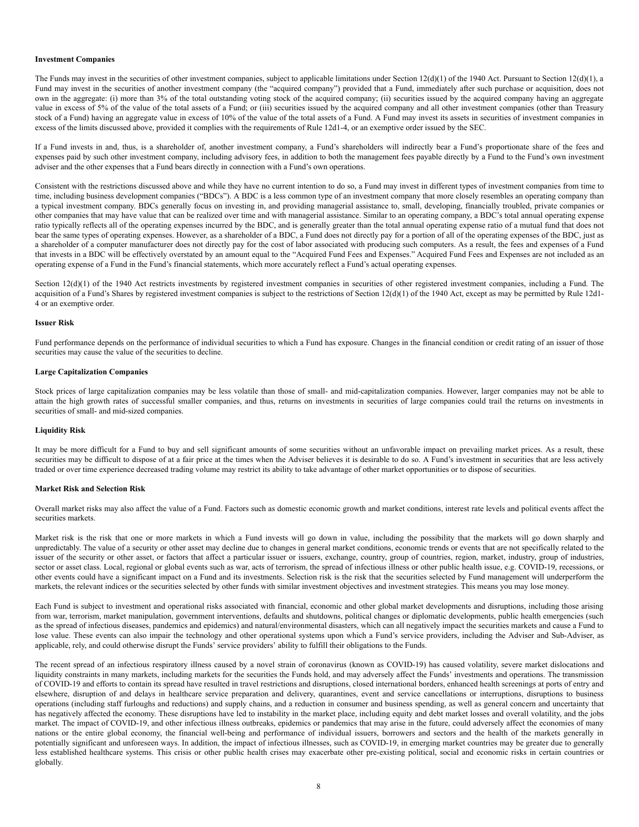### **Investment Companies**

The Funds may invest in the securities of other investment companies, subject to applicable limitations under Section  $12(d)(1)$  of the 1940 Act. Pursuant to Section  $12(d)(1)$ , a Fund may invest in the securities of another investment company (the "acquired company") provided that a Fund, immediately after such purchase or acquisition, does not own in the aggregate: (i) more than 3% of the total outstanding voting stock of the acquired company; (ii) securities issued by the acquired company having an aggregate value in excess of 5% of the value of the total assets of a Fund; or (iii) securities issued by the acquired company and all other investment companies (other than Treasury stock of a Fund) having an aggregate value in excess of 10% of the value of the total assets of a Fund. A Fund may invest its assets in securities of investment companies in excess of the limits discussed above, provided it complies with the requirements of Rule 12d1-4, or an exemptive order issued by the SEC.

If a Fund invests in and, thus, is a shareholder of, another investment company, a Fund's shareholders will indirectly bear a Fund's proportionate share of the fees and expenses paid by such other investment company, including advisory fees, in addition to both the management fees payable directly by a Fund to the Fund's own investment adviser and the other expenses that a Fund bears directly in connection with a Fund's own operations.

Consistent with the restrictions discussed above and while they have no current intention to do so, a Fund may invest in different types of investment companies from time to time, including business development companies ("BDCs"). A BDC is a less common type of an investment company that more closely resembles an operating company than a typical investment company. BDCs generally focus on investing in, and providing managerial assistance to, small, developing, financially troubled, private companies or other companies that may have value that can be realized over time and with managerial assistance. Similar to an operating company, a BDC's total annual operating expense ratio typically reflects all of the operating expenses incurred by the BDC, and is generally greater than the total annual operating expense ratio of a mutual fund that does not bear the same types of operating expenses. However, as a shareholder of a BDC, a Fund does not directly pay for a portion of all of the operating expenses of the BDC, just as a shareholder of a computer manufacturer does not directly pay for the cost of labor associated with producing such computers. As a result, the fees and expenses of a Fund that invests in a BDC will be effectively overstated by an amount equal to the "Acquired Fund Fees and Expenses." Acquired Fund Fees and Expenses are not included as an operating expense of a Fund in the Fund's financial statements, which more accurately reflect a Fund's actual operating expenses.

Section  $12(d)(1)$  of the 1940 Act restricts investments by registered investment companies in securities of other registered investment companies, including a Fund. The acquisition of a Fund's Shares by registered investment companies is subject to the restrictions of Section 12(d)(1) of the 1940 Act, except as may be permitted by Rule 12d1-4 or an exemptive order.

# **Issuer Risk**

Fund performance depends on the performance of individual securities to which a Fund has exposure. Changes in the financial condition or credit rating of an issuer of those securities may cause the value of the securities to decline.

# **Large Capitalization Companies**

Stock prices of large capitalization companies may be less volatile than those of small- and mid-capitalization companies. However, larger companies may not be able to attain the high growth rates of successful smaller companies, and thus, returns on investments in securities of large companies could trail the returns on investments in securities of small- and mid-sized companies.

### **Liquidity Risk**

It may be more difficult for a Fund to buy and sell significant amounts of some securities without an unfavorable impact on prevailing market prices. As a result, these securities may be difficult to dispose of at a fair price at the times when the Adviser believes it is desirable to do so. A Fund's investment in securities that are less actively traded or over time experience decreased trading volume may restrict its ability to take advantage of other market opportunities or to dispose of securities.

# **Market Risk and Selection Risk**

Overall market risks may also affect the value of a Fund. Factors such as domestic economic growth and market conditions, interest rate levels and political events affect the securities markets.

Market risk is the risk that one or more markets in which a Fund invests will go down in value, including the possibility that the markets will go down sharply and unpredictably. The value of a security or other asset may decline due to changes in general market conditions, economic trends or events that are not specifically related to the issuer of the security or other asset, or factors that affect a particular issuer or issuers, exchange, country, group of countries, region, market, industry, group of industries, sector or asset class. Local, regional or global events such as war, acts of terrorism, the spread of infectious illness or other public health issue, e.g. COVID-19, recessions, or other events could have a significant impact on a Fund and its investments. Selection risk is the risk that the securities selected by Fund management will underperform the markets, the relevant indices or the securities selected by other funds with similar investment objectives and investment strategies. This means you may lose money.

Each Fund is subject to investment and operational risks associated with financial, economic and other global market developments and disruptions, including those arising from war, terrorism, market manipulation, government interventions, defaults and shutdowns, political changes or diplomatic developments, public health emergencies (such as the spread of infectious diseases, pandemics and epidemics) and natural/environmental disasters, which can all negatively impact the securities markets and cause a Fund to lose value. These events can also impair the technology and other operational systems upon which a Fund's service providers, including the Adviser and Sub-Adviser, as applicable, rely, and could otherwise disrupt the Funds' service providers' ability to fulfill their obligations to the Funds.

The recent spread of an infectious respiratory illness caused by a novel strain of coronavirus (known as COVID-19) has caused volatility, severe market dislocations and liquidity constraints in many markets, including markets for the securities the Funds hold, and may adversely affect the Funds' investments and operations. The transmission of COVID-19 and efforts to contain its spread have resulted in travel restrictions and disruptions, closed international borders, enhanced health screenings at ports of entry and elsewhere, disruption of and delays in healthcare service preparation and delivery, quarantines, event and service cancellations or interruptions, disruptions to business operations (including staff furloughs and reductions) and supply chains, and a reduction in consumer and business spending, as well as general concern and uncertainty that has negatively affected the economy. These disruptions have led to instability in the market place, including equity and debt market losses and overall volatility, and the jobs market. The impact of COVID-19, and other infectious illness outbreaks, epidemics or pandemics that may arise in the future, could adversely affect the economies of many nations or the entire global economy, the financial well-being and performance of individual issuers, borrowers and sectors and the health of the markets generally in potentially significant and unforeseen ways. In addition, the impact of infectious illnesses, such as COVID-19, in emerging market countries may be greater due to generally less established healthcare systems. This crisis or other public health crises may exacerbate other pre-existing political, social and economic risks in certain countries or globally.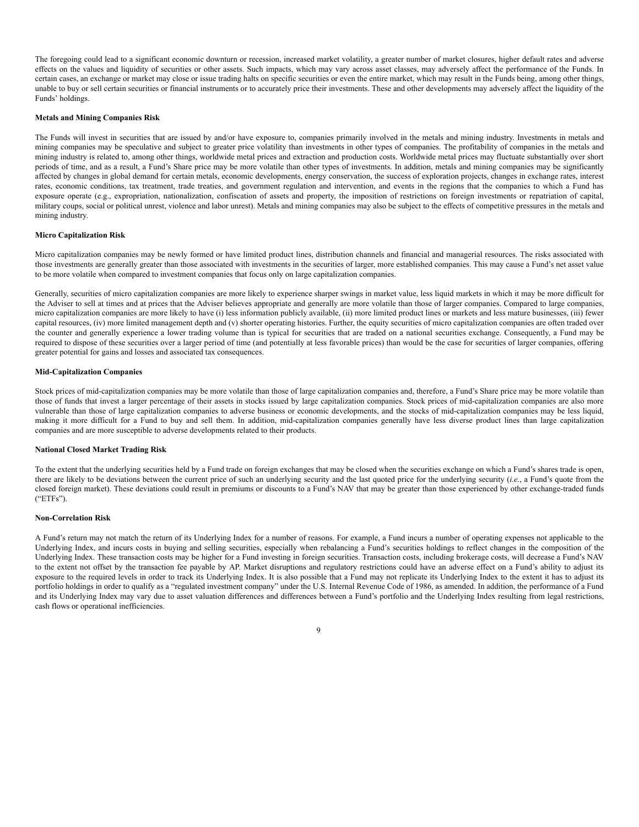The foregoing could lead to a significant economic downturn or recession, increased market volatility, a greater number of market closures, higher default rates and adverse effects on the values and liquidity of securities or other assets. Such impacts, which may vary across asset classes, may adversely affect the performance of the Funds. In certain cases, an exchange or market may close or issue trading halts on specific securities or even the entire market, which may result in the Funds being, among other things, unable to buy or sell certain securities or financial instruments or to accurately price their investments. These and other developments may adversely affect the liquidity of the Funds' holdings.

## **Metals and Mining Companies Risk**

The Funds will invest in securities that are issued by and/or have exposure to, companies primarily involved in the metals and mining industry. Investments in metals and mining companies may be speculative and subject to greater price volatility than investments in other types of companies. The profitability of companies in the metals and mining industry is related to, among other things, worldwide metal prices and extraction and production costs. Worldwide metal prices may fluctuate substantially over short periods of time, and as a result, a Fund's Share price may be more volatile than other types of investments. In addition, metals and mining companies may be significantly affected by changes in global demand for certain metals, economic developments, energy conservation, the success of exploration projects, changes in exchange rates, interest rates, economic conditions, tax treatment, trade treaties, and government regulation and intervention, and events in the regions that the companies to which a Fund has exposure operate (e.g., expropriation, nationalization, confiscation of assets and property, the imposition of restrictions on foreign investments or repatriation of capital, military coups, social or political unrest, violence and labor unrest). Metals and mining companies may also be subject to the effects of competitive pressures in the metals and mining industry.

# **Micro Capitalization Risk**

Micro capitalization companies may be newly formed or have limited product lines, distribution channels and financial and managerial resources. The risks associated with those investments are generally greater than those associated with investments in the securities of larger, more established companies. This may cause a Fund's net asset value to be more volatile when compared to investment companies that focus only on large capitalization companies.

Generally, securities of micro capitalization companies are more likely to experience sharper swings in market value, less liquid markets in which it may be more difficult for the Adviser to sell at times and at prices that the Adviser believes appropriate and generally are more volatile than those of larger companies. Compared to large companies, micro capitalization companies are more likely to have (i) less information publicly available, (ii) more limited product lines or markets and less mature businesses, (iii) fewer capital resources, (iv) more limited management depth and (v) shorter operating histories. Further, the equity securities of micro capitalization companies are often traded over the counter and generally experience a lower trading volume than is typical for securities that are traded on a national securities exchange. Consequently, a Fund may be required to dispose of these securities over a larger period of time (and potentially at less favorable prices) than would be the case for securities of larger companies, offering greater potential for gains and losses and associated tax consequences.

# **Mid-Capitalization Companies**

Stock prices of mid-capitalization companies may be more volatile than those of large capitalization companies and, therefore, a Fund's Share price may be more volatile than those of funds that invest a larger percentage of their assets in stocks issued by large capitalization companies. Stock prices of mid-capitalization companies are also more vulnerable than those of large capitalization companies to adverse business or economic developments, and the stocks of mid-capitalization companies may be less liquid, making it more difficult for a Fund to buy and sell them. In addition, mid-capitalization companies generally have less diverse product lines than large capitalization companies and are more susceptible to adverse developments related to their products.

# **National Closed Market Trading Risk**

To the extent that the underlying securities held by a Fund trade on foreign exchanges that may be closed when the securities exchange on which a Fund's shares trade is open, there are likely to be deviations between the current price of such an underlying security and the last quoted price for the underlying security (*i.e.*, a Fund's quote from the closed foreign market). These deviations could result in premiums or discounts to a Fund's NAV that may be greater than those experienced by other exchange-traded funds ("ETFs").

#### **Non-Correlation Risk**

A Fund's return may not match the return of its Underlying Index for a number of reasons. For example, a Fund incurs a number of operating expenses not applicable to the Underlying Index, and incurs costs in buying and selling securities, especially when rebalancing a Fund's securities holdings to reflect changes in the composition of the Underlying Index. These transaction costs may be higher for a Fund investing in foreign securities. Transaction costs, including brokerage costs, will decrease a Fund's NAV to the extent not offset by the transaction fee payable by AP. Market disruptions and regulatory restrictions could have an adverse effect on a Fund's ability to adjust its exposure to the required levels in order to track its Underlying Index. It is also possible that a Fund may not replicate its Underlying Index to the extent it has to adjust its portfolio holdings in order to qualify as a "regulated investment company" under the U.S. Internal Revenue Code of 1986, as amended. In addition, the performance of a Fund and its Underlying Index may vary due to asset valuation differences and differences between a Fund's portfolio and the Underlying Index resulting from legal restrictions, cash flows or operational inefficiencies.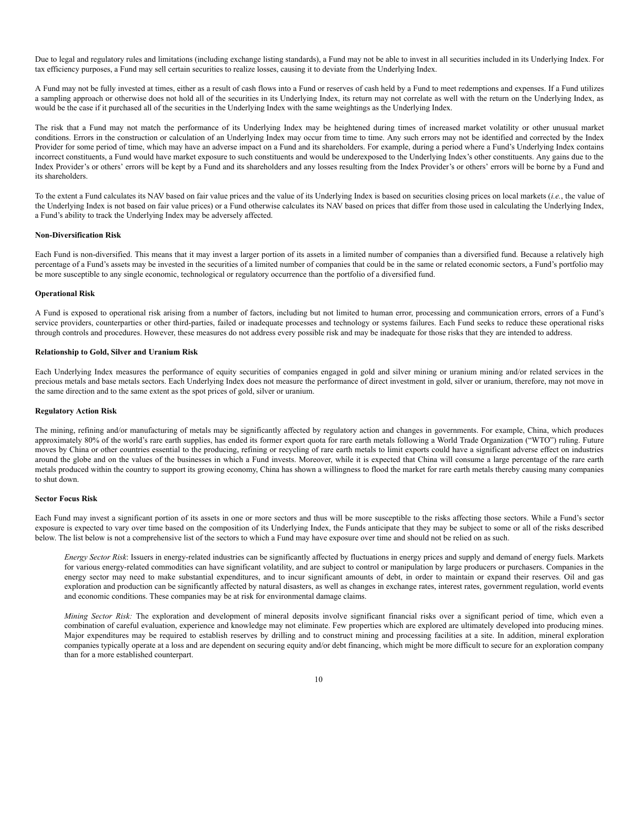Due to legal and regulatory rules and limitations (including exchange listing standards), a Fund may not be able to invest in all securities included in its Underlying Index. For tax efficiency purposes, a Fund may sell certain securities to realize losses, causing it to deviate from the Underlying Index.

A Fund may not be fully invested at times, either as a result of cash flows into a Fund or reserves of cash held by a Fund to meet redemptions and expenses. If a Fund utilizes a sampling approach or otherwise does not hold all of the securities in its Underlying Index, its return may not correlate as well with the return on the Underlying Index, as would be the case if it purchased all of the securities in the Underlying Index with the same weightings as the Underlying Index.

The risk that a Fund may not match the performance of its Underlying Index may be heightened during times of increased market volatility or other unusual market conditions. Errors in the construction or calculation of an Underlying Index may occur from time to time. Any such errors may not be identified and corrected by the Index Provider for some period of time, which may have an adverse impact on a Fund and its shareholders. For example, during a period where a Fund's Underlying Index contains incorrect constituents, a Fund would have market exposure to such constituents and would be underexposed to the Underlying Index's other constituents. Any gains due to the Index Provider's or others' errors will be kept by a Fund and its shareholders and any losses resulting from the Index Provider's or others' errors will be borne by a Fund and its shareholders.

To the extent a Fund calculates its NAV based on fair value prices and the value of its Underlying Index is based on securities closing prices on local markets (*i.e.*, the value of the Underlying Index is not based on fair value prices) or a Fund otherwise calculates its NAV based on prices that differ from those used in calculating the Underlying Index, a Fund's ability to track the Underlying Index may be adversely affected.

# **Non-Diversification Risk**

Each Fund is non-diversified. This means that it may invest a larger portion of its assets in a limited number of companies than a diversified fund. Because a relatively high percentage of a Fund's assets may be invested in the securities of a limited number of companies that could be in the same or related economic sectors, a Fund's portfolio may be more susceptible to any single economic, technological or regulatory occurrence than the portfolio of a diversified fund.

### **Operational Risk**

A Fund is exposed to operational risk arising from a number of factors, including but not limited to human error, processing and communication errors, errors of a Fund's service providers, counterparties or other third-parties, failed or inadequate processes and technology or systems failures. Each Fund seeks to reduce these operational risks through controls and procedures. However, these measures do not address every possible risk and may be inadequate for those risks that they are intended to address.

### **Relationship to Gold, Silver and Uranium Risk**

Each Underlying Index measures the performance of equity securities of companies engaged in gold and silver mining or uranium mining and/or related services in the precious metals and base metals sectors. Each Underlying Index does not measure the performance of direct investment in gold, silver or uranium, therefore, may not move in the same direction and to the same extent as the spot prices of gold, silver or uranium.

### **Regulatory Action Risk**

The mining, refining and/or manufacturing of metals may be significantly affected by regulatory action and changes in governments. For example, China, which produces approximately 80% of the world's rare earth supplies, has ended its former export quota for rare earth metals following a World Trade Organization ("WTO") ruling. Future moves by China or other countries essential to the producing, refining or recycling of rare earth metals to limit exports could have a significant adverse effect on industries around the globe and on the values of the businesses in which a Fund invests. Moreover, while it is expected that China will consume a large percentage of the rare earth metals produced within the country to support its growing economy, China has shown a willingness to flood the market for rare earth metals thereby causing many companies to shut down.

#### **Sector Focus Risk**

Each Fund may invest a significant portion of its assets in one or more sectors and thus will be more susceptible to the risks affecting those sectors. While a Fund's sector exposure is expected to vary over time based on the composition of its Underlying Index, the Funds anticipate that they may be subject to some or all of the risks described below. The list below is not a comprehensive list of the sectors to which a Fund may have exposure over time and should not be relied on as such.

*Energy Sector Risk*: Issuers in energy-related industries can be significantly affected by fluctuations in energy prices and supply and demand of energy fuels. Markets for various energy-related commodities can have significant volatility, and are subject to control or manipulation by large producers or purchasers. Companies in the energy sector may need to make substantial expenditures, and to incur significant amounts of debt, in order to maintain or expand their reserves. Oil and gas exploration and production can be significantly affected by natural disasters, as well as changes in exchange rates, interest rates, government regulation, world events and economic conditions. These companies may be at risk for environmental damage claims.

*Mining Sector Risk:* The exploration and development of mineral deposits involve significant financial risks over a significant period of time, which even a combination of careful evaluation, experience and knowledge may not eliminate. Few properties which are explored are ultimately developed into producing mines. Major expenditures may be required to establish reserves by drilling and to construct mining and processing facilities at a site. In addition, mineral exploration companies typically operate at a loss and are dependent on securing equity and/or debt financing, which might be more difficult to secure for an exploration company than for a more established counterpart.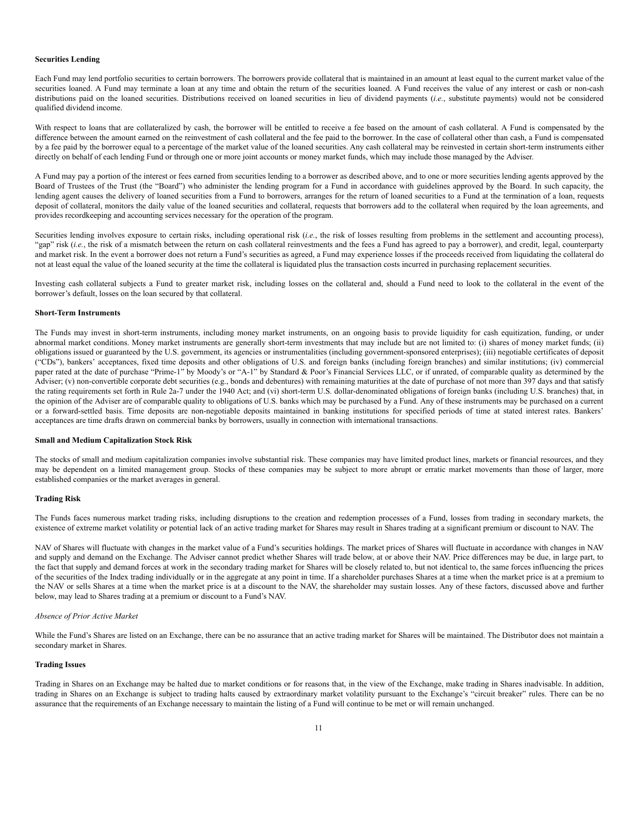#### **Securities Lending**

Each Fund may lend portfolio securities to certain borrowers. The borrowers provide collateral that is maintained in an amount at least equal to the current market value of the securities loaned. A Fund may terminate a loan at any time and obtain the return of the securities loaned. A Fund receives the value of any interest or cash or non-cash distributions paid on the loaned securities. Distributions received on loaned securities in lieu of dividend payments (*i.e.*, substitute payments) would not be considered qualified dividend income.

With respect to loans that are collateralized by cash, the borrower will be entitled to receive a fee based on the amount of cash collateral. A Fund is compensated by the difference between the amount earned on the reinvestment of cash collateral and the fee paid to the borrower. In the case of collateral other than cash, a Fund is compensated by a fee paid by the borrower equal to a percentage of the market value of the loaned securities. Any cash collateral may be reinvested in certain short-term instruments either directly on behalf of each lending Fund or through one or more joint accounts or money market funds, which may include those managed by the Adviser.

A Fund may pay a portion of the interest or fees earned from securities lending to a borrower as described above, and to one or more securities lending agents approved by the Board of Trustees of the Trust (the "Board") who administer the lending program for a Fund in accordance with guidelines approved by the Board. In such capacity, the lending agent causes the delivery of loaned securities from a Fund to borrowers, arranges for the return of loaned securities to a Fund at the termination of a loan, requests deposit of collateral, monitors the daily value of the loaned securities and collateral, requests that borrowers add to the collateral when required by the loan agreements, and provides recordkeeping and accounting services necessary for the operation of the program.

Securities lending involves exposure to certain risks, including operational risk (*i.e.*, the risk of losses resulting from problems in the settlement and accounting process), "gap" risk (i.e., the risk of a mismatch between the return on cash collateral reinvestments and the fees a Fund has agreed to pay a borrower), and credit, legal, counterparty and market risk. In the event a borrower does not return a Fund's securities as agreed, a Fund may experience losses if the proceeds received from liquidating the collateral do not at least equal the value of the loaned security at the time the collateral is liquidated plus the transaction costs incurred in purchasing replacement securities.

Investing cash collateral subjects a Fund to greater market risk, including losses on the collateral and, should a Fund need to look to the collateral in the event of the borrower's default, losses on the loan secured by that collateral.

#### **Short-Term Instruments**

The Funds may invest in short-term instruments, including money market instruments, on an ongoing basis to provide liquidity for cash equitization, funding, or under abnormal market conditions. Money market instruments are generally short-term investments that may include but are not limited to: (i) shares of money market funds; (ii) obligations issued or guaranteed by the U.S. government, its agencies or instrumentalities (including government-sponsored enterprises); (iii) negotiable certificates of deposit ("CDs"), bankers' acceptances, fixed time deposits and other obligations of U.S. and foreign banks (including foreign branches) and similar institutions; (iv) commercial paper rated at the date of purchase "Prime-1" by Moody's or "A-1" by Standard & Poor's Financial Services LLC, or if unrated, of comparable quality as determined by the Adviser; (v) non-convertible corporate debt securities (e.g., bonds and debentures) with remaining maturities at the date of purchase of not more than 397 days and that satisfy the rating requirements set forth in Rule 2a-7 under the 1940 Act; and (vi) short-term U.S. dollar-denominated obligations of foreign banks (including U.S. branches) that, in the opinion of the Adviser are of comparable quality to obligations of U.S. banks which may be purchased by a Fund. Any of these instruments may be purchased on a current or a forward-settled basis. Time deposits are non-negotiable deposits maintained in banking institutions for specified periods of time at stated interest rates. Bankers' acceptances are time drafts drawn on commercial banks by borrowers, usually in connection with international transactions.

## **Small and Medium Capitalization Stock Risk**

The stocks of small and medium capitalization companies involve substantial risk. These companies may have limited product lines, markets or financial resources, and they may be dependent on a limited management group. Stocks of these companies may be subject to more abrupt or erratic market movements than those of larger, more established companies or the market averages in general.

#### **Trading Risk**

The Funds faces numerous market trading risks, including disruptions to the creation and redemption processes of a Fund, losses from trading in secondary markets, the existence of extreme market volatility or potential lack of an active trading market for Shares may result in Shares trading at a significant premium or discount to NAV. The

NAV of Shares will fluctuate with changes in the market value of a Fund's securities holdings. The market prices of Shares will fluctuate in accordance with changes in NAV and supply and demand on the Exchange. The Adviser cannot predict whether Shares will trade below, at or above their NAV. Price differences may be due, in large part, to the fact that supply and demand forces at work in the secondary trading market for Shares will be closely related to, but not identical to, the same forces influencing the prices of the securities of the Index trading individually or in the aggregate at any point in time. If a shareholder purchases Shares at a time when the market price is at a premium to the NAV or sells Shares at a time when the market price is at a discount to the NAV, the shareholder may sustain losses. Any of these factors, discussed above and further below, may lead to Shares trading at a premium or discount to a Fund's NAV.

#### *Absence of Prior Active Market*

While the Fund's Shares are listed on an Exchange, there can be no assurance that an active trading market for Shares will be maintained. The Distributor does not maintain a secondary market in Shares.

# **Trading Issues**

Trading in Shares on an Exchange may be halted due to market conditions or for reasons that, in the view of the Exchange, make trading in Shares inadvisable. In addition, trading in Shares on an Exchange is subject to trading halts caused by extraordinary market volatility pursuant to the Exchange's "circuit breaker" rules. There can be no assurance that the requirements of an Exchange necessary to maintain the listing of a Fund will continue to be met or will remain unchanged.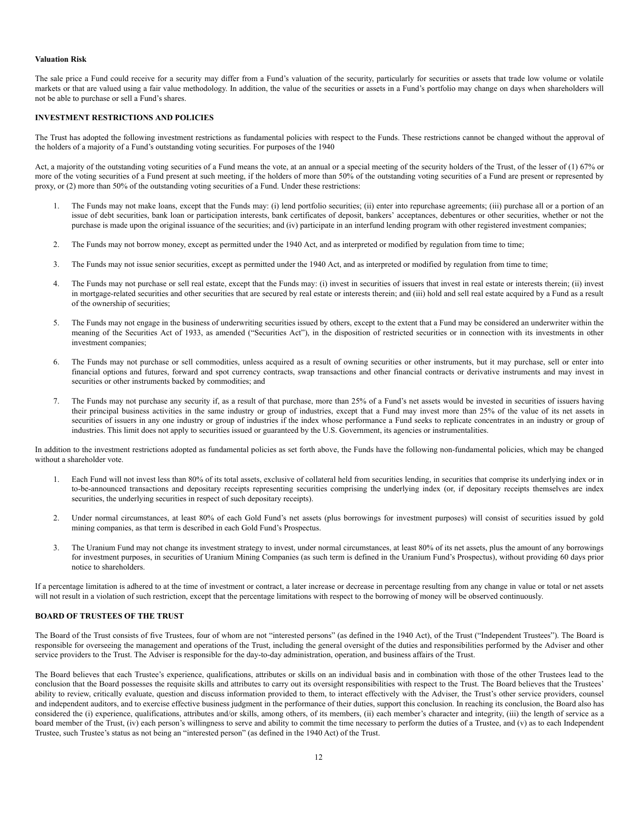# **Valuation Risk**

The sale price a Fund could receive for a security may differ from a Fund's valuation of the security, particularly for securities or assets that trade low volume or volatile markets or that are valued using a fair value methodology. In addition, the value of the securities or assets in a Fund's portfolio may change on days when shareholders will not be able to purchase or sell a Fund's shares.

### <span id="page-11-0"></span>**INVESTMENT RESTRICTIONS AND POLICIES**

The Trust has adopted the following investment restrictions as fundamental policies with respect to the Funds. These restrictions cannot be changed without the approval of the holders of a majority of a Fund's outstanding voting securities. For purposes of the 1940

Act, a majority of the outstanding voting securities of a Fund means the vote, at an annual or a special meeting of the security holders of the Trust, of the lesser of (1) 67% or more of the voting securities of a Fund present at such meeting, if the holders of more than 50% of the outstanding voting securities of a Fund are present or represented by proxy, or (2) more than 50% of the outstanding voting securities of a Fund. Under these restrictions:

- 1. The Funds may not make loans, except that the Funds may: (i) lend portfolio securities; (ii) enter into repurchase agreements; (iii) purchase all or a portion of an issue of debt securities, bank loan or participation interests, bank certificates of deposit, bankers' acceptances, debentures or other securities, whether or not the purchase is made upon the original issuance of the securities; and (iv) participate in an interfund lending program with other registered investment companies;
- 2. The Funds may not borrow money, except as permitted under the 1940 Act, and as interpreted or modified by regulation from time to time;
- 3. The Funds may not issue senior securities, except as permitted under the 1940 Act, and as interpreted or modified by regulation from time to time;
- 4. The Funds may not purchase or sell real estate, except that the Funds may: (i) invest in securities of issuers that invest in real estate or interests therein; (ii) invest in mortgage-related securities and other securities that are secured by real estate or interests therein; and (iii) hold and sell real estate acquired by a Fund as a result of the ownership of securities;
- 5. The Funds may not engage in the business of underwriting securities issued by others, except to the extent that a Fund may be considered an underwriter within the meaning of the Securities Act of 1933, as amended ("Securities Act"), in the disposition of restricted securities or in connection with its investments in other investment companies;
- 6. The Funds may not purchase or sell commodities, unless acquired as a result of owning securities or other instruments, but it may purchase, sell or enter into financial options and futures, forward and spot currency contracts, swap transactions and other financial contracts or derivative instruments and may invest in securities or other instruments backed by commodities; and
- 7. The Funds may not purchase any security if, as a result of that purchase, more than 25% of a Fund's net assets would be invested in securities of issuers having their principal business activities in the same industry or group of industries, except that a Fund may invest more than 25% of the value of its net assets in securities of issuers in any one industry or group of industries if the index whose performance a Fund seeks to replicate concentrates in an industry or group of industries. This limit does not apply to securities issued or guaranteed by the U.S. Government, its agencies or instrumentalities.

In addition to the investment restrictions adopted as fundamental policies as set forth above, the Funds have the following non-fundamental policies, which may be changed without a shareholder vote.

- 1. Each Fund will not invest less than 80% of its total assets, exclusive of collateral held from securities lending, in securities that comprise its underlying index or in to-be-announced transactions and depositary receipts representing securities comprising the underlying index (or, if depositary receipts themselves are index securities, the underlying securities in respect of such depositary receipts).
- 2. Under normal circumstances, at least 80% of each Gold Fund's net assets (plus borrowings for investment purposes) will consist of securities issued by gold mining companies, as that term is described in each Gold Fund's Prospectus.
- 3. The Uranium Fund may not change its investment strategy to invest, under normal circumstances, at least 80% of its net assets, plus the amount of any borrowings for investment purposes, in securities of Uranium Mining Companies (as such term is defined in the Uranium Fund's Prospectus), without providing 60 days prior notice to shareholders.

If a percentage limitation is adhered to at the time of investment or contract, a later increase or decrease in percentage resulting from any change in value or total or net assets will not result in a violation of such restriction, except that the percentage limitations with respect to the borrowing of money will be observed continuously.

## <span id="page-11-1"></span>**BOARD OF TRUSTEES OF THE TRUST**

The Board of the Trust consists of five Trustees, four of whom are not "interested persons" (as defined in the 1940 Act), of the Trust ("Independent Trustees"). The Board is responsible for overseeing the management and operations of the Trust, including the general oversight of the duties and responsibilities performed by the Adviser and other service providers to the Trust. The Adviser is responsible for the day-to-day administration, operation, and business affairs of the Trust.

The Board believes that each Trustee's experience, qualifications, attributes or skills on an individual basis and in combination with those of the other Trustees lead to the conclusion that the Board possesses the requisite skills and attributes to carry out its oversight responsibilities with respect to the Trust. The Board believes that the Trustees' ability to review, critically evaluate, question and discuss information provided to them, to interact effectively with the Adviser, the Trust's other service providers, counsel and independent auditors, and to exercise effective business judgment in the performance of their duties, support this conclusion. In reaching its conclusion, the Board also has considered the (i) experience, qualifications, attributes and/or skills, among others, of its members, (ii) each member's character and integrity, (iii) the length of service as a board member of the Trust, (iv) each person's willingness to serve and ability to commit the time necessary to perform the duties of a Trustee, and (v) as to each Independent Trustee, such Trustee's status as not being an "interested person" (as defined in the 1940 Act) of the Trust.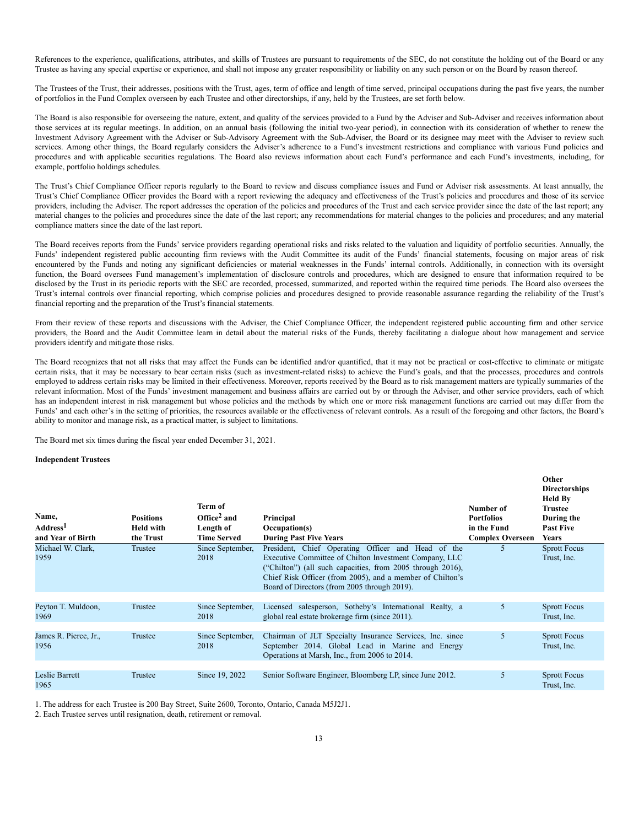References to the experience, qualifications, attributes, and skills of Trustees are pursuant to requirements of the SEC, do not constitute the holding out of the Board or any Trustee as having any special expertise or experience, and shall not impose any greater responsibility or liability on any such person or on the Board by reason thereof.

The Trustees of the Trust, their addresses, positions with the Trust, ages, term of office and length of time served, principal occupations during the past five years, the number of portfolios in the Fund Complex overseen by each Trustee and other directorships, if any, held by the Trustees, are set forth below.

The Board is also responsible for overseeing the nature, extent, and quality of the services provided to a Fund by the Adviser and Sub-Adviser and receives information about those services at its regular meetings. In addition, on an annual basis (following the initial two-year period), in connection with its consideration of whether to renew the Investment Advisory Agreement with the Adviser or Sub-Advisory Agreement with the Sub-Adviser, the Board or its designee may meet with the Adviser to review such services. Among other things, the Board regularly considers the Adviser's adherence to a Fund's investment restrictions and compliance with various Fund policies and procedures and with applicable securities regulations. The Board also reviews information about each Fund's performance and each Fund's investments, including, for example, portfolio holdings schedules.

The Trust's Chief Compliance Officer reports regularly to the Board to review and discuss compliance issues and Fund or Adviser risk assessments. At least annually, the Trust's Chief Compliance Officer provides the Board with a report reviewing the adequacy and effectiveness of the Trust's policies and procedures and those of its service providers, including the Adviser. The report addresses the operation of the policies and procedures of the Trust and each service provider since the date of the last report; any material changes to the policies and procedures since the date of the last report; any recommendations for material changes to the policies and procedures; and any material compliance matters since the date of the last report.

The Board receives reports from the Funds' service providers regarding operational risks and risks related to the valuation and liquidity of portfolio securities. Annually, the Funds' independent registered public accounting firm reviews with the Audit Committee its audit of the Funds' financial statements, focusing on major areas of risk encountered by the Funds and noting any significant deficiencies or material weaknesses in the Funds' internal controls. Additionally, in connection with its oversight function, the Board oversees Fund management's implementation of disclosure controls and procedures, which are designed to ensure that information required to be disclosed by the Trust in its periodic reports with the SEC are recorded, processed, summarized, and reported within the required time periods. The Board also oversees the Trust's internal controls over financial reporting, which comprise policies and procedures designed to provide reasonable assurance regarding the reliability of the Trust's financial reporting and the preparation of the Trust's financial statements.

From their review of these reports and discussions with the Adviser, the Chief Compliance Officer, the independent registered public accounting firm and other service providers, the Board and the Audit Committee learn in detail about the material risks of the Funds, thereby facilitating a dialogue about how management and service providers identify and mitigate those risks.

The Board recognizes that not all risks that may affect the Funds can be identified and/or quantified, that it may not be practical or cost-effective to eliminate or mitigate certain risks, that it may be necessary to bear certain risks (such as investment-related risks) to achieve the Fund's goals, and that the processes, procedures and controls employed to address certain risks may be limited in their effectiveness. Moreover, reports received by the Board as to risk management matters are typically summaries of the relevant information. Most of the Funds' investment management and business affairs are carried out by or through the Adviser, and other service providers, each of which has an independent interest in risk management but whose policies and the methods by which one or more risk management functions are carried out may differ from the Funds' and each other's in the setting of priorities, the resources available or the effectiveness of relevant controls. As a result of the foregoing and other factors, the Board's ability to monitor and manage risk, as a practical matter, is subject to limitations.

The Board met six times during the fiscal year ended December 31, 2021.

# **Independent Trustees**

| Name,<br>Address <sup>1</sup><br>and Year of Birth | <b>Positions</b><br><b>Held with</b><br>the Trust | Term of<br>Office <sup>2</sup> and<br>Length of<br><b>Time Served</b> | Principal<br>Occupation(s)<br><b>During Past Five Years</b>                                                                                                                                                                                                                             | Number of<br><b>Portfolios</b><br>in the Fund<br><b>Complex Overseen</b> | Other<br><b>Directorships</b><br><b>Held By</b><br>Trustee<br>During the<br><b>Past Five</b><br><b>Years</b> |
|----------------------------------------------------|---------------------------------------------------|-----------------------------------------------------------------------|-----------------------------------------------------------------------------------------------------------------------------------------------------------------------------------------------------------------------------------------------------------------------------------------|--------------------------------------------------------------------------|--------------------------------------------------------------------------------------------------------------|
| Michael W. Clark.<br>1959                          | Trustee                                           | Since September,<br>2018                                              | President, Chief Operating Officer and Head of the<br>Executive Committee of Chilton Investment Company, LLC<br>("Chilton") (all such capacities, from 2005 through 2016),<br>Chief Risk Officer (from 2005), and a member of Chilton's<br>Board of Directors (from 2005 through 2019). | 5                                                                        | <b>Sprott Focus</b><br>Trust, Inc.                                                                           |
| Peyton T. Muldoon,<br>1969                         | Trustee                                           | Since September,<br>2018                                              | Licensed salesperson, Sotheby's International Realty, a<br>global real estate brokerage firm (since 2011).                                                                                                                                                                              | 5                                                                        | <b>Sprott Focus</b><br>Trust, Inc.                                                                           |
| James R. Pierce, Jr.,<br>1956                      | Trustee                                           | Since September,<br>2018                                              | Chairman of JLT Specialty Insurance Services, Inc. since<br>September 2014. Global Lead in Marine and Energy<br>Operations at Marsh, Inc., from 2006 to 2014.                                                                                                                           | 5                                                                        | <b>Sprott Focus</b><br>Trust, Inc.                                                                           |
| Leslie Barrett<br>1965                             | Trustee                                           | Since 19, 2022                                                        | Senior Software Engineer, Bloomberg LP, since June 2012.                                                                                                                                                                                                                                | 5                                                                        | <b>Sprott Focus</b><br>Trust, Inc.                                                                           |

1. The address for each Trustee is 200 Bay Street, Suite 2600, Toronto, Ontario, Canada M5J2J1.

2. Each Trustee serves until resignation, death, retirement or removal.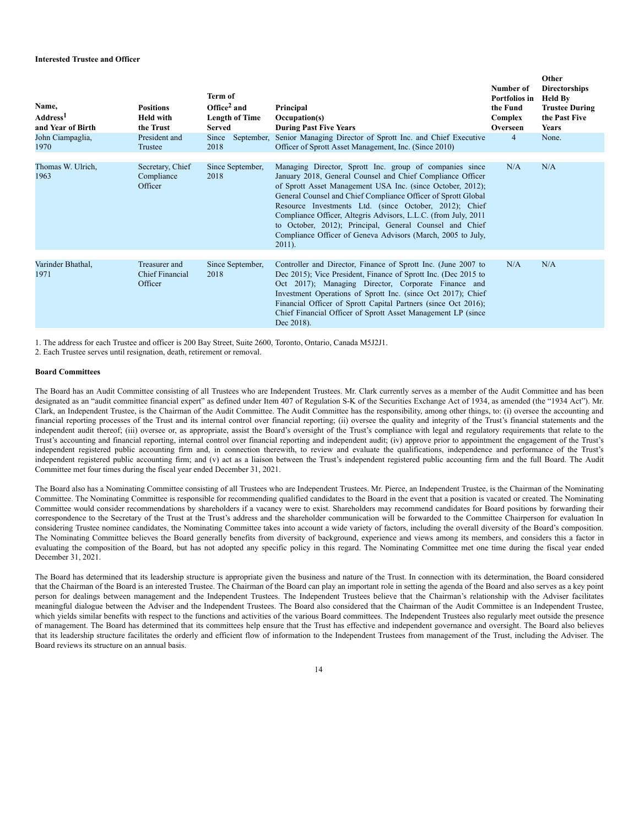# **Interested Trustee and Officer**

| Name,<br>Address <sup>1</sup><br>and Year of Birth | <b>Positions</b><br><b>Held with</b><br>the Trust  | Term of<br>Office <sup>2</sup> and<br><b>Length of Time</b><br><b>Served</b> | Principal<br>Occupation(s)<br><b>During Past Five Years</b>                                                                                                                                                                                                                                                                                                                                                                                                                                                              | Number of<br>Portfolios in<br>the Fund<br>Complex<br>Overseen | Other<br><b>Directorships</b><br><b>Held By</b><br><b>Trustee During</b><br>the Past Five<br><b>Years</b> |
|----------------------------------------------------|----------------------------------------------------|------------------------------------------------------------------------------|--------------------------------------------------------------------------------------------------------------------------------------------------------------------------------------------------------------------------------------------------------------------------------------------------------------------------------------------------------------------------------------------------------------------------------------------------------------------------------------------------------------------------|---------------------------------------------------------------|-----------------------------------------------------------------------------------------------------------|
| John Ciampaglia,<br>1970                           | President and<br>Trustee                           | September,<br>Since<br>2018                                                  | Senior Managing Director of Sprott Inc. and Chief Executive<br>Officer of Sprott Asset Management, Inc. (Since 2010)                                                                                                                                                                                                                                                                                                                                                                                                     | $\overline{4}$                                                | None.                                                                                                     |
| Thomas W. Ulrich,<br>1963                          | Secretary, Chief<br>Compliance<br>Officer          | Since September,<br>2018                                                     | Managing Director, Sprott Inc. group of companies since<br>January 2018, General Counsel and Chief Compliance Officer<br>of Sprott Asset Management USA Inc. (since October, 2012);<br>General Counsel and Chief Compliance Officer of Sprott Global<br>Resource Investments Ltd. (since October, 2012); Chief<br>Compliance Officer, Altegris Advisors, L.L.C. (from July, 2011)<br>to October, 2012); Principal, General Counsel and Chief<br>Compliance Officer of Geneva Advisors (March, 2005 to July,<br>$2011$ ). | N/A                                                           | N/A                                                                                                       |
| Varinder Bhathal,<br>1971                          | Treasurer and<br><b>Chief Financial</b><br>Officer | Since September,<br>2018                                                     | Controller and Director, Finance of Sprott Inc. (June 2007 to<br>Dec 2015); Vice President, Finance of Sprott Inc. (Dec 2015 to<br>Oct 2017); Managing Director, Corporate Finance and<br>Investment Operations of Sprott Inc. (since Oct 2017); Chief<br>Financial Officer of Sprott Capital Partners (since Oct 2016);<br>Chief Financial Officer of Sprott Asset Management LP (since<br>Dec 2018).                                                                                                                   | N/A                                                           | N/A                                                                                                       |

1. The address for each Trustee and officer is 200 Bay Street, Suite 2600, Toronto, Ontario, Canada M5J2J1.

2. Each Trustee serves until resignation, death, retirement or removal.

# **Board Committees**

The Board has an Audit Committee consisting of all Trustees who are Independent Trustees. Mr. Clark currently serves as a member of the Audit Committee and has been designated as an "audit committee financial expert" as defined under Item 407 of Regulation S-K of the Securities Exchange Act of 1934, as amended (the "1934 Act"). Mr. Clark, an Independent Trustee, is the Chairman of the Audit Committee. The Audit Committee has the responsibility, among other things, to: (i) oversee the accounting and financial reporting processes of the Trust and its internal control over financial reporting; (ii) oversee the quality and integrity of the Trust's financial statements and the independent audit thereof; (iii) oversee or, as appropriate, assist the Board's oversight of the Trust's compliance with legal and regulatory requirements that relate to the Trust's accounting and financial reporting, internal control over financial reporting and independent audit; (iv) approve prior to appointment the engagement of the Trust's independent registered public accounting firm and, in connection therewith, to review and evaluate the qualifications, independence and performance of the Trust's independent registered public accounting firm; and (v) act as a liaison between the Trust's independent registered public accounting firm and the full Board. The Audit Committee met four times during the fiscal year ended December 31, 2021.

The Board also has a Nominating Committee consisting of all Trustees who are Independent Trustees. Mr. Pierce, an Independent Trustee, is the Chairman of the Nominating Committee. The Nominating Committee is responsible for recommending qualified candidates to the Board in the event that a position is vacated or created. The Nominating Committee would consider recommendations by shareholders if a vacancy were to exist. Shareholders may recommend candidates for Board positions by forwarding their correspondence to the Secretary of the Trust at the Trust's address and the shareholder communication will be forwarded to the Committee Chairperson for evaluation In considering Trustee nominee candidates, the Nominating Committee takes into account a wide variety of factors, including the overall diversity of the Board's composition. The Nominating Committee believes the Board generally benefits from diversity of background, experience and views among its members, and considers this a factor in evaluating the composition of the Board, but has not adopted any specific policy in this regard. The Nominating Committee met one time during the fiscal year ended December 31, 2021.

The Board has determined that its leadership structure is appropriate given the business and nature of the Trust. In connection with its determination, the Board considered that the Chairman of the Board is an interested Trustee. The Chairman of the Board can play an important role in setting the agenda of the Board and also serves as a key point person for dealings between management and the Independent Trustees. The Independent Trustees believe that the Chairman's relationship with the Adviser facilitates meaningful dialogue between the Adviser and the Independent Trustees. The Board also considered that the Chairman of the Audit Committee is an Independent Trustee, which yields similar benefits with respect to the functions and activities of the various Board committees. The Independent Trustees also regularly meet outside the presence of management. The Board has determined that its committees help ensure that the Trust has effective and independent governance and oversight. The Board also believes that its leadership structure facilitates the orderly and efficient flow of information to the Independent Trustees from management of the Trust, including the Adviser. The Board reviews its structure on an annual basis.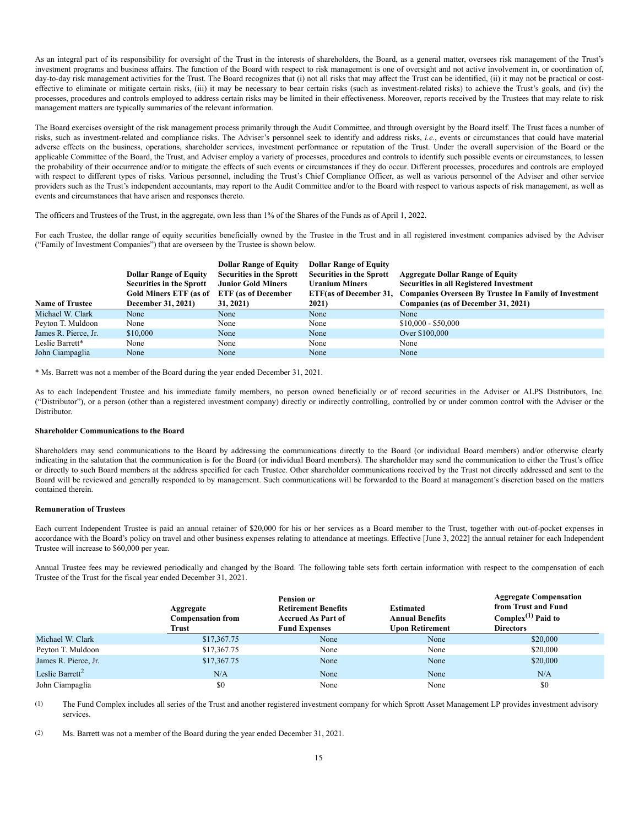As an integral part of its responsibility for oversight of the Trust in the interests of shareholders, the Board, as a general matter, oversees risk management of the Trust's investment programs and business affairs. The function of the Board with respect to risk management is one of oversight and not active involvement in, or coordination of, day-to-day risk management activities for the Trust. The Board recognizes that (i) not all risks that may affect the Trust can be identified, (ii) it may not be practical or costeffective to eliminate or mitigate certain risks, (iii) it may be necessary to bear certain risks (such as investment-related risks) to achieve the Trust's goals, and (iv) the processes, procedures and controls employed to address certain risks may be limited in their effectiveness. Moreover, reports received by the Trustees that may relate to risk management matters are typically summaries of the relevant information.

The Board exercises oversight of the risk management process primarily through the Audit Committee, and through oversight by the Board itself. The Trust faces a number of risks, such as investment-related and compliance risks. The Adviser's personnel seek to identify and address risks, *i.e.*, events or circumstances that could have material adverse effects on the business, operations, shareholder services, investment performance or reputation of the Trust. Under the overall supervision of the Board or the applicable Committee of the Board, the Trust, and Adviser employ a variety of processes, procedures and controls to identify such possible events or circumstances, to lessen the probability of their occurrence and/or to mitigate the effects of such events or circumstances if they do occur. Different processes, procedures and controls are employed with respect to different types of risks. Various personnel, including the Trust's Chief Compliance Officer, as well as various personnel of the Adviser and other service providers such as the Trust's independent accountants, may report to the Audit Committee and/or to the Board with respect to various aspects of risk management, as well as events and circumstances that have arisen and responses thereto.

The officers and Trustees of the Trust, in the aggregate, own less than 1% of the Shares of the Funds as of April 1, 2022.

For each Trustee, the dollar range of equity securities beneficially owned by the Trustee in the Trust and in all registered investment companies advised by the Adviser ("Family of Investment Companies") that are overseen by the Trustee is shown below.

|                        |                                 | <b>Dollar Range of Equity</b>   | <b>Dollar Range of Equity</b>   |                                                                              |
|------------------------|---------------------------------|---------------------------------|---------------------------------|------------------------------------------------------------------------------|
|                        | <b>Dollar Range of Equity</b>   | <b>Securities in the Sprott</b> | <b>Securities in the Sprott</b> | <b>Aggregate Dollar Range of Equity</b>                                      |
|                        | <b>Securities in the Sprott</b> | <b>Junior Gold Miners</b>       | <b>Uranium Miners</b>           | <b>Securities in all Registered Investment</b>                               |
|                        | <b>Gold Miners ETF (as of</b>   | <b>ETF</b> (as of December      |                                 | ETF(as of December 31, Companies Overseen By Trustee In Family of Investment |
| <b>Name of Trustee</b> | December 31, 2021)              | 31, 2021)                       | 2021)                           | Companies (as of December 31, 2021)                                          |
| Michael W. Clark       | None                            | None                            | None                            | None                                                                         |
| Peyton T. Muldoon      | None                            | None                            | None                            | $$10,000 - $50,000$                                                          |
| James R. Pierce, Jr.   | \$10,000                        | None                            | None                            | Over \$100,000                                                               |
| Leslie Barrett*        | None                            | None                            | None                            | None                                                                         |
| John Ciampaglia        | None                            | None                            | None                            | None                                                                         |

\* Ms. Barrett was not a member of the Board during the year ended December 31, 2021.

As to each Independent Trustee and his immediate family members, no person owned beneficially or of record securities in the Adviser or ALPS Distributors, Inc. ("Distributor"), or a person (other than a registered investment company) directly or indirectly controlling, controlled by or under common control with the Adviser or the Distributor.

### **Shareholder Communications to the Board**

Shareholders may send communications to the Board by addressing the communications directly to the Board (or individual Board members) and/or otherwise clearly indicating in the salutation that the communication is for the Board (or individual Board members). The shareholder may send the communication to either the Trust's office or directly to such Board members at the address specified for each Trustee. Other shareholder communications received by the Trust not directly addressed and sent to the Board will be reviewed and generally responded to by management. Such communications will be forwarded to the Board at management's discretion based on the matters contained therein.

#### **Remuneration of Trustees**

Each current Independent Trustee is paid an annual retainer of \$20,000 for his or her services as a Board member to the Trust, together with out-of-pocket expenses in accordance with the Board's policy on travel and other business expenses relating to attendance at meetings. Effective [June 3, 2022] the annual retainer for each Independent Trustee will increase to \$60,000 per year.

Annual Trustee fees may be reviewed periodically and changed by the Board. The following table sets forth certain information with respect to the compensation of each Trustee of the Trust for the fiscal year ended December 31, 2021.

|                             | Aggregate<br><b>Compensation from</b><br><b>Trust</b> | <b>Pension or</b><br><b>Retirement Benefits</b><br><b>Accrued As Part of</b><br><b>Fund Expenses</b> | <b>Estimated</b><br><b>Annual Benefits</b><br><b>Upon Retirement</b> | <b>Aggregate Compensation</b><br>from Trust and Fund<br>Complex $(1)$ Paid to<br><b>Directors</b> |
|-----------------------------|-------------------------------------------------------|------------------------------------------------------------------------------------------------------|----------------------------------------------------------------------|---------------------------------------------------------------------------------------------------|
| Michael W. Clark            | \$17,367.75                                           | None                                                                                                 | None                                                                 | \$20,000                                                                                          |
| Peyton T. Muldoon           | \$17,367.75                                           | None                                                                                                 | None                                                                 | \$20,000                                                                                          |
| James R. Pierce, Jr.        | \$17,367.75                                           | None                                                                                                 | None                                                                 | \$20,000                                                                                          |
| Leslie Barrett <sup>2</sup> | N/A                                                   | None                                                                                                 | None                                                                 | N/A                                                                                               |
| John Ciampaglia             | \$0                                                   | None                                                                                                 | None                                                                 | \$0                                                                                               |

(1) The Fund Complex includes all series of the Trust and another registered investment company for which Sprott Asset Management LP provides investment advisory services.

(2) Ms. Barrett was not a member of the Board during the year ended December 31, 2021.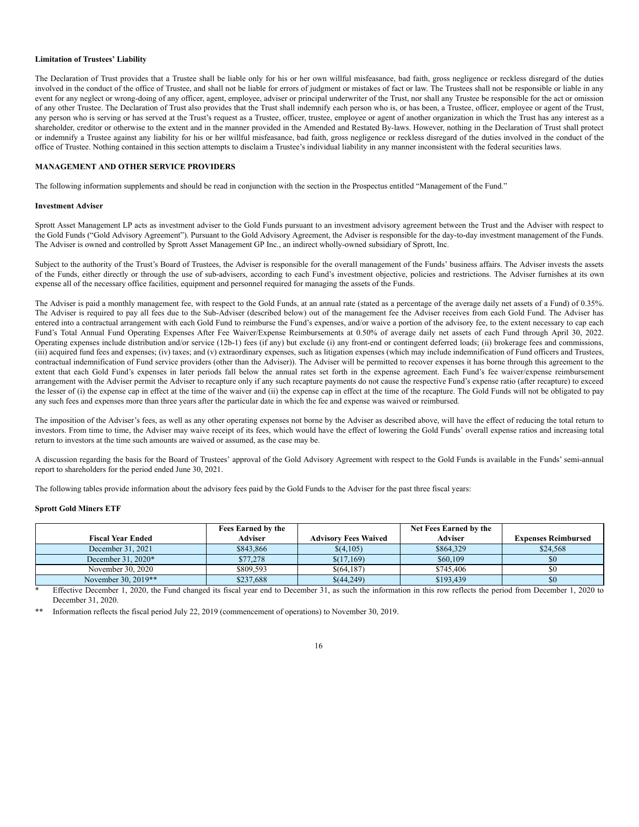### **Limitation of Trustees' Liability**

The Declaration of Trust provides that a Trustee shall be liable only for his or her own willful misfeasance, bad faith, gross negligence or reckless disregard of the duties involved in the conduct of the office of Trustee, and shall not be liable for errors of judgment or mistakes of fact or law. The Trustees shall not be responsible or liable in any event for any neglect or wrong-doing of any officer, agent, employee, adviser or principal underwriter of the Trust, nor shall any Trustee be responsible for the act or omission of any other Trustee. The Declaration of Trust also provides that the Trust shall indemnify each person who is, or has been, a Trustee, officer, employee or agent of the Trust, any person who is serving or has served at the Trust's request as a Trustee, officer, trustee, employee or agent of another organization in which the Trust has any interest as a shareholder, creditor or otherwise to the extent and in the manner provided in the Amended and Restated By-laws. However, nothing in the Declaration of Trust shall protect or indemnify a Trustee against any liability for his or her willful misfeasance, bad faith, gross negligence or reckless disregard of the duties involved in the conduct of the office of Trustee. Nothing contained in this section attempts to disclaim a Trustee's individual liability in any manner inconsistent with the federal securities laws.

## <span id="page-15-0"></span>**MANAGEMENT AND OTHER SERVICE PROVIDERS**

The following information supplements and should be read in conjunction with the section in the Prospectus entitled "Management of the Fund."

#### **Investment Adviser**

Sprott Asset Management LP acts as investment adviser to the Gold Funds pursuant to an investment advisory agreement between the Trust and the Adviser with respect to the Gold Funds ("Gold Advisory Agreement"). Pursuant to the Gold Advisory Agreement, the Adviser is responsible for the day-to-day investment management of the Funds. The Adviser is owned and controlled by Sprott Asset Management GP Inc., an indirect wholly-owned subsidiary of Sprott, Inc.

Subject to the authority of the Trust's Board of Trustees, the Adviser is responsible for the overall management of the Funds' business affairs. The Adviser invests the assets of the Funds, either directly or through the use of sub-advisers, according to each Fund's investment objective, policies and restrictions. The Adviser furnishes at its own expense all of the necessary office facilities, equipment and personnel required for managing the assets of the Funds.

The Adviser is paid a monthly management fee, with respect to the Gold Funds, at an annual rate (stated as a percentage of the average daily net assets of a Fund) of 0.35%. The Adviser is required to pay all fees due to the Sub-Adviser (described below) out of the management fee the Adviser receives from each Gold Fund. The Adviser has entered into a contractual arrangement with each Gold Fund to reimburse the Fund's expenses, and/or waive a portion of the advisory fee, to the extent necessary to cap each Fund's Total Annual Fund Operating Expenses After Fee Waiver/Expense Reimbursements at 0.50% of average daily net assets of each Fund through April 30, 2022. Operating expenses include distribution and/or service (12b-1) fees (if any) but exclude (i) any front-end or contingent deferred loads; (ii) brokerage fees and commissions, (iii) acquired fund fees and expenses; (iv) taxes; and (v) extraordinary expenses, such as litigation expenses (which may include indemnification of Fund officers and Trustees, contractual indemnification of Fund service providers (other than the Adviser)). The Adviser will be permitted to recover expenses it has borne through this agreement to the extent that each Gold Fund's expenses in later periods fall below the annual rates set forth in the expense agreement. Each Fund's fee waiver/expense reimbursement arrangement with the Adviser permit the Adviser to recapture only if any such recapture payments do not cause the respective Fund's expense ratio (after recapture) to exceed the lesser of (i) the expense cap in effect at the time of the waiver and (ii) the expense cap in effect at the time of the recapture. The Gold Funds will not be obligated to pay any such fees and expenses more than three years after the particular date in which the fee and expense was waived or reimbursed.

The imposition of the Adviser's fees, as well as any other operating expenses not borne by the Adviser as described above, will have the effect of reducing the total return to investors. From time to time, the Adviser may waive receipt of its fees, which would have the effect of lowering the Gold Funds' overall expense ratios and increasing total return to investors at the time such amounts are waived or assumed, as the case may be.

A discussion regarding the basis for the Board of Trustees' approval of the Gold Advisory Agreement with respect to the Gold Funds is available in the Funds' semi-annual report to shareholders for the period ended June 30, 2021.

The following tables provide information about the advisory fees paid by the Gold Funds to the Adviser for the past three fiscal years:

### **Sprott Gold Miners ETF**

|                          | Fees Earned by the |                             | Net Fees Earned by the |                            |
|--------------------------|--------------------|-----------------------------|------------------------|----------------------------|
| <b>Fiscal Year Ended</b> | Adviser            | <b>Advisory Fees Waived</b> | Adviser                | <b>Expenses Reimbursed</b> |
| December 31, 2021        | \$843,866          | \$(4,105)                   | \$864,329              | \$24,568                   |
| December $31, 2020*$     | \$77,278           | \$(17,169)                  | \$60,109               | \$0                        |
| November 30, 2020        | \$809,593          | \$(64.187)                  | \$745,406              | \$0                        |
| November 30, 2019**      | \$237,688          | \$(44,249)                  | \$193,439              | \$0                        |

\* Effective December 1, 2020, the Fund changed its fiscal year end to December 31, as such the information in this row reflects the period from December 1, 2020 to December 31, 2020.

Information reflects the fiscal period July 22, 2019 (commencement of operations) to November 30, 2019.

# 16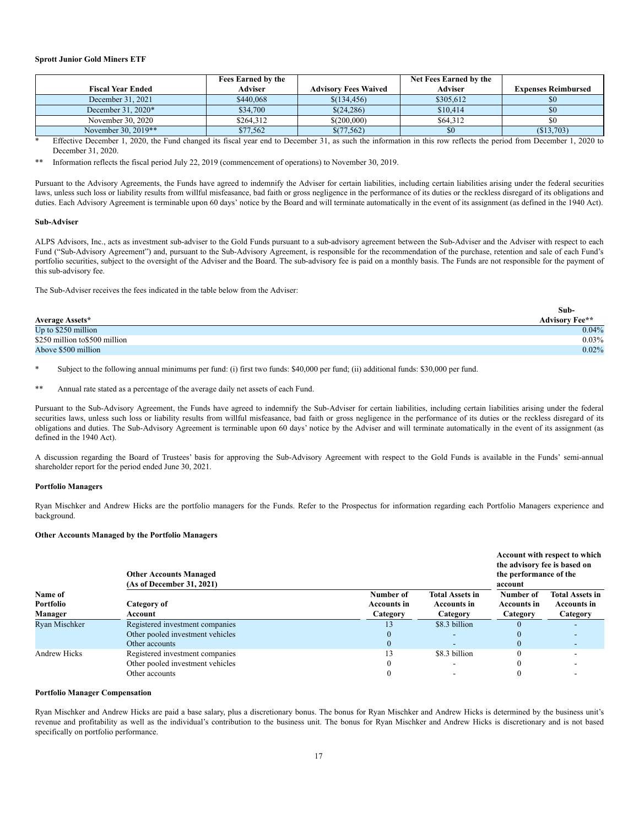### **Sprott Junior Gold Miners ETF**

|                          | <b>Fees Earned by the</b> |                             | Net Fees Earned by the |                            |
|--------------------------|---------------------------|-----------------------------|------------------------|----------------------------|
| <b>Fiscal Year Ended</b> | Adviser                   | <b>Advisory Fees Waived</b> | Adviser                | <b>Expenses Reimbursed</b> |
| December 31, 2021        | \$440,068                 | \$(134, 456)                | \$305,612              | \$0                        |
| December $31,2020*$      | \$34,700                  | \$(24,286)                  | \$10,414               | \$0                        |
| November 30, 2020        | \$264,312                 | \$(200,000)                 | \$64,312               | \$0                        |
| November 30, 2019**      | \$77,562                  | \$(77,562)                  | \$0                    | (S13,703)                  |

Effective December 1, 2020, the Fund changed its fiscal year end to December 31, as such the information in this row reflects the period from December 1, 2020 to December 31, 2020.

Information reflects the fiscal period July 22, 2019 (commencement of operations) to November 30, 2019.

Pursuant to the Advisory Agreements, the Funds have agreed to indemnify the Adviser for certain liabilities, including certain liabilities arising under the federal securities laws, unless such loss or liability results from willful misfeasance, bad faith or gross negligence in the performance of its duties or the reckless disregard of its obligations and duties. Each Advisory Agreement is terminable upon 60 days' notice by the Board and will terminate automatically in the event of its assignment (as defined in the 1940 Act).

#### **Sub-Adviser**

ALPS Advisors, Inc., acts as investment sub-adviser to the Gold Funds pursuant to a sub-advisory agreement between the Sub-Adviser and the Adviser with respect to each Fund ("Sub-Advisory Agreement") and, pursuant to the Sub-Advisory Agreement, is responsible for the recommendation of the purchase, retention and sale of each Fund's portfolio securities, subject to the oversight of the Adviser and the Board. The sub-advisory fee is paid on a monthly basis. The Funds are not responsible for the payment of this sub-advisory fee.

The Sub-Adviser receives the fees indicated in the table below from the Adviser:

|                                | Sub-                  |
|--------------------------------|-----------------------|
| <b>Average Assets*</b>         | <b>Advisory Fee**</b> |
| Up to $$250$ million           | 0.04%                 |
| \$250 million to \$500 million | $0.03\%$              |
| Above \$500 million            | 0.02%                 |

Subject to the following annual minimums per fund: (i) first two funds: \$40,000 per fund; (ii) additional funds: \$30,000 per fund.

\*\* Annual rate stated as a percentage of the average daily net assets of each Fund.

Pursuant to the Sub-Advisory Agreement, the Funds have agreed to indemnify the Sub-Adviser for certain liabilities, including certain liabilities arising under the federal securities laws, unless such loss or liability results from willful misfeasance, bad faith or gross negligence in the performance of its duties or the reckless disregard of its obligations and duties. The Sub-Advisory Agreement is terminable upon 60 days' notice by the Adviser and will terminate automatically in the event of its assignment (as defined in the 1940 Act).

A discussion regarding the Board of Trustees' basis for approving the Sub-Advisory Agreement with respect to the Gold Funds is available in the Funds' semi-annual shareholder report for the period ended June 30, 2021.

#### **Portfolio Managers**

Ryan Mischker and Andrew Hicks are the portfolio managers for the Funds. Refer to the Prospectus for information regarding each Portfolio Managers experience and background.

# **Other Accounts Managed by the Portfolio Managers**

|               | <b>Other Accounts Managed</b><br>(As of December 31, 2021) | Account with respect to which<br>the advisory fee is based on<br>the performance of the<br>account |                        |                    |                        |  |
|---------------|------------------------------------------------------------|----------------------------------------------------------------------------------------------------|------------------------|--------------------|------------------------|--|
| Name of       |                                                            | Number of                                                                                          | <b>Total Assets in</b> | Number of          | <b>Total Assets in</b> |  |
| Portfolio     | Category of                                                | <b>Accounts in</b>                                                                                 | <b>Accounts in</b>     | <b>Accounts in</b> | <b>Accounts in</b>     |  |
| Manager       | Account                                                    | Category                                                                                           | Category               | Category           | Category               |  |
| Ryan Mischker | Registered investment companies                            | 13                                                                                                 | \$8.3 billion          |                    |                        |  |
|               | Other pooled investment vehicles                           | 0                                                                                                  |                        |                    |                        |  |
|               | Other accounts                                             | $\Omega$                                                                                           |                        | $\Omega$           |                        |  |
| Andrew Hicks  | Registered investment companies                            | 13                                                                                                 | \$8.3 billion          | 0                  |                        |  |
|               | Other pooled investment vehicles                           |                                                                                                    |                        |                    |                        |  |
|               | Other accounts                                             |                                                                                                    |                        |                    |                        |  |

# **Portfolio Manager Compensation**

Ryan Mischker and Andrew Hicks are paid a base salary, plus a discretionary bonus. The bonus for Ryan Mischker and Andrew Hicks is determined by the business unit's revenue and profitability as well as the individual's contribution to the business unit. The bonus for Ryan Mischker and Andrew Hicks is discretionary and is not based specifically on portfolio performance.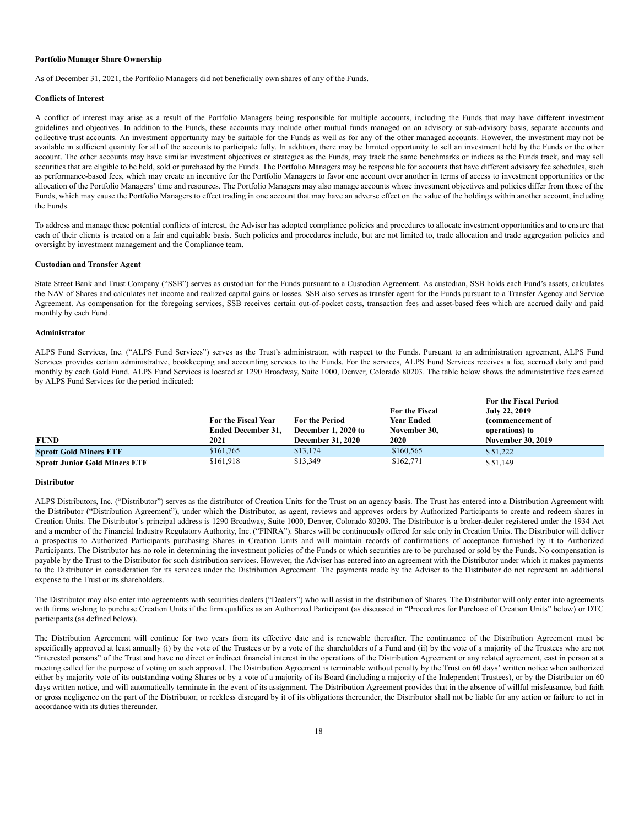#### **Portfolio Manager Share Ownership**

As of December 31, 2021, the Portfolio Managers did not beneficially own shares of any of the Funds.

#### **Conflicts of Interest**

A conflict of interest may arise as a result of the Portfolio Managers being responsible for multiple accounts, including the Funds that may have different investment guidelines and objectives. In addition to the Funds, these accounts may include other mutual funds managed on an advisory or sub-advisory basis, separate accounts and collective trust accounts. An investment opportunity may be suitable for the Funds as well as for any of the other managed accounts. However, the investment may not be available in sufficient quantity for all of the accounts to participate fully. In addition, there may be limited opportunity to sell an investment held by the Funds or the other account. The other accounts may have similar investment objectives or strategies as the Funds, may track the same benchmarks or indices as the Funds track, and may sell securities that are eligible to be held, sold or purchased by the Funds. The Portfolio Managers may be responsible for accounts that have different advisory fee schedules, such as performance-based fees, which may create an incentive for the Portfolio Managers to favor one account over another in terms of access to investment opportunities or the allocation of the Portfolio Managers' time and resources. The Portfolio Managers may also manage accounts whose investment objectives and policies differ from those of the Funds, which may cause the Portfolio Managers to effect trading in one account that may have an adverse effect on the value of the holdings within another account, including the Funds.

To address and manage these potential conflicts of interest, the Adviser has adopted compliance policies and procedures to allocate investment opportunities and to ensure that each of their clients is treated on a fair and equitable basis. Such policies and procedures include, but are not limited to, trade allocation and trade aggregation policies and oversight by investment management and the Compliance team.

#### **Custodian and Transfer Agent**

State Street Bank and Trust Company ("SSB") serves as custodian for the Funds pursuant to a Custodian Agreement. As custodian, SSB holds each Fund's assets, calculates the NAV of Shares and calculates net income and realized capital gains or losses. SSB also serves as transfer agent for the Funds pursuant to a Transfer Agency and Service Agreement. As compensation for the foregoing services, SSB receives certain out-of-pocket costs, transaction fees and asset-based fees which are accrued daily and paid monthly by each Fund.

#### **Administrator**

ALPS Fund Services, Inc. ("ALPS Fund Services") serves as the Trust's administrator, with respect to the Funds. Pursuant to an administration agreement, ALPS Fund Services provides certain administrative, bookkeeping and accounting services to the Funds. For the services, ALPS Fund Services receives a fee, accrued daily and paid monthly by each Gold Fund. ALPS Fund Services is located at 1290 Broadway, Suite 1000, Denver, Colorado 80203. The table below shows the administrative fees earned by ALPS Fund Services for the period indicated:

| <b>FUND</b>                          | For the Fiscal Year<br><b>Ended December 31,</b><br>2021 | <b>For the Period</b><br>December 1, 2020 to<br><b>December 31, 2020</b> | For the Fiscal<br><b>Year Ended</b><br>November 30,<br>2020 | <b>For the Fiscal Period</b><br>July 22, 2019<br>(commencement of<br>operations) to<br><b>November 30, 2019</b> |
|--------------------------------------|----------------------------------------------------------|--------------------------------------------------------------------------|-------------------------------------------------------------|-----------------------------------------------------------------------------------------------------------------|
| <b>Sprott Gold Miners ETF</b>        | \$161,765                                                | \$13,174                                                                 | \$160,565                                                   | \$51,222                                                                                                        |
| <b>Sprott Junior Gold Miners ETF</b> | \$161,918                                                | \$13,349                                                                 | \$162,771                                                   | \$51,149                                                                                                        |

# **Distributor**

ALPS Distributors, Inc. ("Distributor") serves as the distributor of Creation Units for the Trust on an agency basis. The Trust has entered into a Distribution Agreement with the Distributor ("Distribution Agreement"), under which the Distributor, as agent, reviews and approves orders by Authorized Participants to create and redeem shares in Creation Units. The Distributor's principal address is 1290 Broadway, Suite 1000, Denver, Colorado 80203. The Distributor is a broker-dealer registered under the 1934 Act and a member of the Financial Industry Regulatory Authority, Inc. ("FINRA"). Shares will be continuously offered for sale only in Creation Units. The Distributor will deliver a prospectus to Authorized Participants purchasing Shares in Creation Units and will maintain records of confirmations of acceptance furnished by it to Authorized Participants. The Distributor has no role in determining the investment policies of the Funds or which securities are to be purchased or sold by the Funds. No compensation is payable by the Trust to the Distributor for such distribution services. However, the Adviser has entered into an agreement with the Distributor under which it makes payments to the Distributor in consideration for its services under the Distribution Agreement. The payments made by the Adviser to the Distributor do not represent an additional expense to the Trust or its shareholders.

The Distributor may also enter into agreements with securities dealers ("Dealers") who will assist in the distribution of Shares. The Distributor will only enter into agreements with firms wishing to purchase Creation Units if the firm qualifies as an Authorized Participant (as discussed in "Procedures for Purchase of Creation Units" below) or DTC participants (as defined below).

The Distribution Agreement will continue for two years from its effective date and is renewable thereafter. The continuance of the Distribution Agreement must be specifically approved at least annually (i) by the vote of the Trustees or by a vote of the shareholders of a Fund and (ii) by the vote of a majority of the Trustees who are not "interested persons" of the Trust and have no direct or indirect financial interest in the operations of the Distribution Agreement or any related agreement, cast in person at a meeting called for the purpose of voting on such approval. The Distribution Agreement is terminable without penalty by the Trust on 60 days' written notice when authorized either by majority vote of its outstanding voting Shares or by a vote of a majority of its Board (including a majority of the Independent Trustees), or by the Distributor on 60 days written notice, and will automatically terminate in the event of its assignment. The Distribution Agreement provides that in the absence of willful misfeasance, bad faith or gross negligence on the part of the Distributor, or reckless disregard by it of its obligations thereunder, the Distributor shall not be liable for any action or failure to act in accordance with its duties thereunder.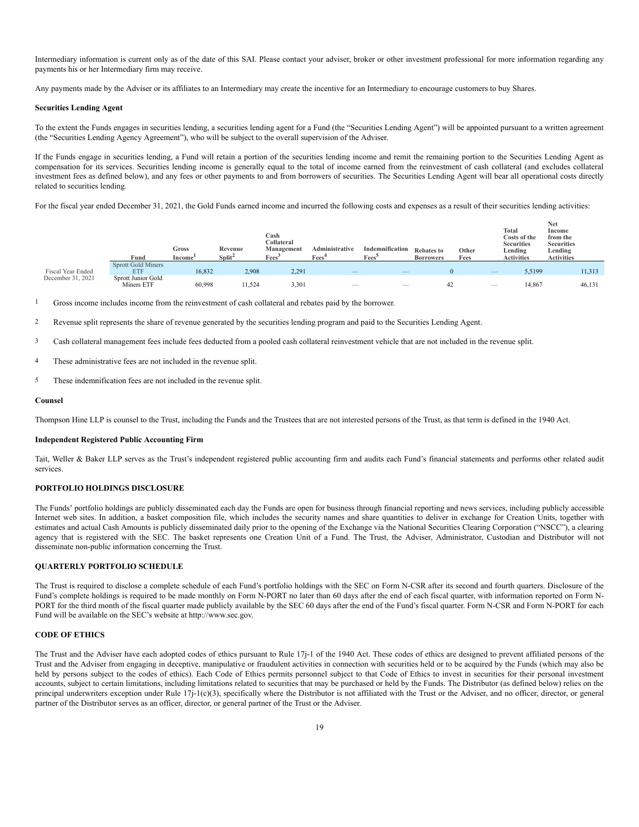Intermediary information is current only as of the date of this SAI. Please contact your adviser, broker or other investment professional for more information regarding any payments his or her Intermediary firm may receive.

Any payments made by the Adviser or its affiliates to an Intermediary may create the incentive for an Intermediary to encourage customers to buy Shares.

#### **Securities Lending Agent**

To the extent the Funds engages in securities lending, a securities lending agent for a Fund (the "Securities Lending Agent") will be appointed pursuant to a written agreement (the "Securities Lending Agency Agreement"), who will be subject to the overall supervision of the Adviser.

If the Funds engage in securities lending, a Fund will retain a portion of the securities lending income and remit the remaining portion to the Securities Lending Agent as compensation for its services. Securities lending income is generally equal to the total of income earned from the reinvestment of cash collateral (and excludes collateral investment fees as defined below), and any fees or other payments to and from borrowers of securities. The Securities Lending Agent will bear all operational costs directly related to securities lending.

For the fiscal year ended December 31, 2021, the Gold Funds earned income and incurred the following costs and expenses as a result of their securities lending activities:

|                   | Fund                             | Gross<br>Income | Revenue<br>Split <sup>2</sup> | Cash<br>Collateral<br>Management<br>Fees <sup>3</sup> | Administrative<br>Fees <sup>4</sup> | Indemnification<br>Fees <sup>5</sup> | <b>Rebates to</b><br><b>Borrowers</b> | Other<br>Fees | Total<br>Costs of the<br><b>Securities</b><br>Lending<br><b>Activities</b> | Net<br>Income<br>from the<br><b>Securities</b><br>Lending<br><b>Activities</b> |  |
|-------------------|----------------------------------|-----------------|-------------------------------|-------------------------------------------------------|-------------------------------------|--------------------------------------|---------------------------------------|---------------|----------------------------------------------------------------------------|--------------------------------------------------------------------------------|--|
|                   | Sprott Gold Miners               |                 |                               |                                                       |                                     |                                      |                                       |               |                                                                            |                                                                                |  |
| Fiscal Year Ended | <b>ETF</b>                       | 16,832          | 2.908                         | 2,291                                                 | $\hspace{0.1mm}$                    | $\hspace{0.1mm}-\hspace{0.1mm}$      |                                       |               | 5,5199<br>$\qquad \qquad - \qquad$                                         | 11,313                                                                         |  |
| December 31, 2021 | Sprott Junior Gold<br>Miners ETF | 60.998          | 11,524                        | 3,301                                                 | $\overline{\phantom{a}}$            | $\overline{\phantom{a}}$             | 42                                    |               | 14.867<br>-                                                                | 46,131                                                                         |  |

1 Gross income includes income from the reinvestment of cash collateral and rebates paid by the borrower.

2 Revenue split represents the share of revenue generated by the securities lending program and paid to the Securities Lending Agent.

3 Cash collateral management fees include fees deducted from a pooled cash collateral reinvestment vehicle that are not included in the revenue split.

- 4 These administrative fees are not included in the revenue split.
- 5 These indemnification fees are not included in the revenue split.

#### **Counsel**

Thompson Hine LLP is counsel to the Trust, including the Funds and the Trustees that are not interested persons of the Trust, as that term is defined in the 1940 Act.

#### **Independent Registered Public Accounting Firm**

Tait, Weller & Baker LLP serves as the Trust's independent registered public accounting firm and audits each Fund's financial statements and performs other related audit services.

# <span id="page-18-0"></span>**PORTFOLIO HOLDINGS DISCLOSURE**

The Funds' portfolio holdings are publicly disseminated each day the Funds are open for business through financial reporting and news services, including publicly accessible Internet web sites. In addition, a basket composition file, which includes the security names and share quantities to deliver in exchange for Creation Units, together with estimates and actual Cash Amounts is publicly disseminated daily prior to the opening of the Exchange via the National Securities Clearing Corporation ("NSCC"), a clearing agency that is registered with the SEC. The basket represents one Creation Unit of a Fund. The Trust, the Adviser, Administrator, Custodian and Distributor will not disseminate non-public information concerning the Trust.

# <span id="page-18-1"></span>**QUARTERLY PORTFOLIO SCHEDULE**

The Trust is required to disclose a complete schedule of each Fund's portfolio holdings with the SEC on Form N-CSR after its second and fourth quarters. Disclosure of the Fund's complete holdings is required to be made monthly on Form N-PORT no later than 60 days after the end of each fiscal quarter, with information reported on Form N-PORT for the third month of the fiscal quarter made publicly available by the SEC 60 days after the end of the Fund's fiscal quarter. Form N-CSR and Form N-PORT for each Fund will be available on the SEC's website at http://www.sec.gov.

# <span id="page-18-2"></span>**CODE OF ETHICS**

The Trust and the Adviser have each adopted codes of ethics pursuant to Rule 17j-1 of the 1940 Act. These codes of ethics are designed to prevent affiliated persons of the Trust and the Adviser from engaging in deceptive, manipulative or fraudulent activities in connection with securities held or to be acquired by the Funds (which may also be held by persons subject to the codes of ethics). Each Code of Ethics permits personnel subject to that Code of Ethics to invest in securities for their personal investment accounts, subject to certain limitations, including limitations related to securities that may be purchased or held by the Funds. The Distributor (as defined below) relies on the principal underwriters exception under Rule 17j-1(c)(3), specifically where the Distributor is not affiliated with the Trust or the Adviser, and no officer, director, or general partner of the Distributor serves as an officer, director, or general partner of the Trust or the Adviser.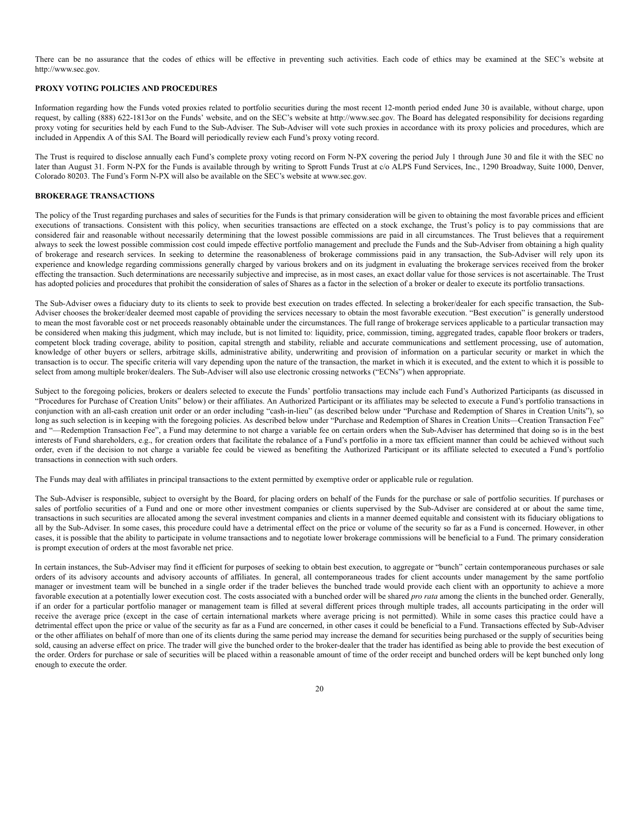There can be no assurance that the codes of ethics will be effective in preventing such activities. Each code of ethics may be examined at the SEC's website at http://www.sec.gov.

# <span id="page-19-0"></span>**PROXY VOTING POLICIES AND PROCEDURES**

Information regarding how the Funds voted proxies related to portfolio securities during the most recent 12-month period ended June 30 is available, without charge, upon request, by calling (888) 622-1813or on the Funds' website, and on the SEC's website at http://www.sec.gov. The Board has delegated responsibility for decisions regarding proxy voting for securities held by each Fund to the Sub-Adviser. The Sub-Adviser will vote such proxies in accordance with its proxy policies and procedures, which are included in Appendix A of this SAI. The Board will periodically review each Fund's proxy voting record.

The Trust is required to disclose annually each Fund's complete proxy voting record on Form N-PX covering the period July 1 through June 30 and file it with the SEC no later than August 31. Form N-PX for the Funds is available through by writing to Sprott Funds Trust at c/o ALPS Fund Services, Inc., 1290 Broadway, Suite 1000, Denver, Colorado 80203. The Fund's Form N-PX will also be available on the SEC's website at www.sec.gov.

# <span id="page-19-1"></span>**BROKERAGE TRANSACTIONS**

The policy of the Trust regarding purchases and sales of securities for the Funds is that primary consideration will be given to obtaining the most favorable prices and efficient executions of transactions. Consistent with this policy, when securities transactions are effected on a stock exchange, the Trust's policy is to pay commissions that are considered fair and reasonable without necessarily determining that the lowest possible commissions are paid in all circumstances. The Trust believes that a requirement always to seek the lowest possible commission cost could impede effective portfolio management and preclude the Funds and the Sub-Adviser from obtaining a high quality of brokerage and research services. In seeking to determine the reasonableness of brokerage commissions paid in any transaction, the Sub-Adviser will rely upon its experience and knowledge regarding commissions generally charged by various brokers and on its judgment in evaluating the brokerage services received from the broker effecting the transaction. Such determinations are necessarily subjective and imprecise, as in most cases, an exact dollar value for those services is not ascertainable. The Trust has adopted policies and procedures that prohibit the consideration of sales of Shares as a factor in the selection of a broker or dealer to execute its portfolio transactions.

The Sub-Adviser owes a fiduciary duty to its clients to seek to provide best execution on trades effected. In selecting a broker/dealer for each specific transaction, the Sub-Adviser chooses the broker/dealer deemed most capable of providing the services necessary to obtain the most favorable execution. "Best execution" is generally understood to mean the most favorable cost or net proceeds reasonably obtainable under the circumstances. The full range of brokerage services applicable to a particular transaction may be considered when making this judgment, which may include, but is not limited to: liquidity, price, commission, timing, aggregated trades, capable floor brokers or traders, competent block trading coverage, ability to position, capital strength and stability, reliable and accurate communications and settlement processing, use of automation, knowledge of other buyers or sellers, arbitrage skills, administrative ability, underwriting and provision of information on a particular security or market in which the transaction is to occur. The specific criteria will vary depending upon the nature of the transaction, the market in which it is executed, and the extent to which it is possible to select from among multiple broker/dealers. The Sub-Adviser will also use electronic crossing networks ("ECNs") when appropriate.

Subject to the foregoing policies, brokers or dealers selected to execute the Funds' portfolio transactions may include each Fund's Authorized Participants (as discussed in "Procedures for Purchase of Creation Units" below) or their affiliates. An Authorized Participant or its affiliates may be selected to execute a Fund's portfolio transactions in conjunction with an all-cash creation unit order or an order including "cash-in-lieu" (as described below under "Purchase and Redemption of Shares in Creation Units"), so long as such selection is in keeping with the foregoing policies. As described below under "Purchase and Redemption of Shares in Creation Units—Creation Transaction Fee" and "—Redemption Transaction Fee", a Fund may determine to not charge a variable fee on certain orders when the Sub-Adviser has determined that doing so is in the best interests of Fund shareholders, e.g., for creation orders that facilitate the rebalance of a Fund's portfolio in a more tax efficient manner than could be achieved without such order, even if the decision to not charge a variable fee could be viewed as benefiting the Authorized Participant or its affiliate selected to executed a Fund's portfolio transactions in connection with such orders.

The Funds may deal with affiliates in principal transactions to the extent permitted by exemptive order or applicable rule or regulation.

The Sub-Adviser is responsible, subject to oversight by the Board, for placing orders on behalf of the Funds for the purchase or sale of portfolio securities. If purchases or sales of portfolio securities of a Fund and one or more other investment companies or clients supervised by the Sub-Adviser are considered at or about the same time, transactions in such securities are allocated among the several investment companies and clients in a manner deemed equitable and consistent with its fiduciary obligations to all by the Sub-Adviser. In some cases, this procedure could have a detrimental effect on the price or volume of the security so far as a Fund is concerned. However, in other cases, it is possible that the ability to participate in volume transactions and to negotiate lower brokerage commissions will be beneficial to a Fund. The primary consideration is prompt execution of orders at the most favorable net price.

In certain instances, the Sub-Adviser may find it efficient for purposes of seeking to obtain best execution, to aggregate or "bunch" certain contemporaneous purchases or sale orders of its advisory accounts and advisory accounts of affiliates. In general, all contemporaneous trades for client accounts under management by the same portfolio manager or investment team will be bunched in a single order if the trader believes the bunched trade would provide each client with an opportunity to achieve a more favorable execution at a potentially lower execution cost. The costs associated with a bunched order will be shared *pro rata* among the clients in the bunched order. Generally, if an order for a particular portfolio manager or management team is filled at several different prices through multiple trades, all accounts participating in the order will receive the average price (except in the case of certain international markets where average pricing is not permitted). While in some cases this practice could have a detrimental effect upon the price or value of the security as far as a Fund are concerned, in other cases it could be beneficial to a Fund. Transactions effected by Sub-Adviser or the other affiliates on behalf of more than one of its clients during the same period may increase the demand for securities being purchased or the supply of securities being sold, causing an adverse effect on price. The trader will give the bunched order to the broker-dealer that the trader has identified as being able to provide the best execution of the order. Orders for purchase or sale of securities will be placed within a reasonable amount of time of the order receipt and bunched orders will be kept bunched only long enough to execute the order.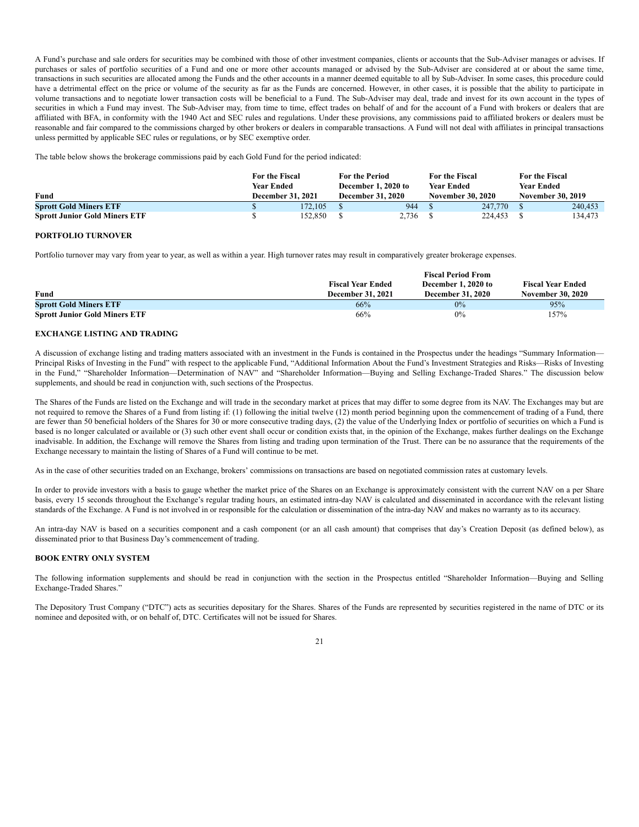A Fund's purchase and sale orders for securities may be combined with those of other investment companies, clients or accounts that the Sub-Adviser manages or advises. If purchases or sales of portfolio securities of a Fund and one or more other accounts managed or advised by the Sub-Adviser are considered at or about the same time, transactions in such securities are allocated among the Funds and the other accounts in a manner deemed equitable to all by Sub-Adviser. In some cases, this procedure could have a detrimental effect on the price or volume of the security as far as the Funds are concerned. However, in other cases, it is possible that the ability to participate in volume transactions and to negotiate lower transaction costs will be beneficial to a Fund. The Sub-Adviser may deal, trade and invest for its own account in the types of securities in which a Fund may invest. The Sub-Adviser may, from time to time, effect trades on behalf of and for the account of a Fund with brokers or dealers that are affiliated with BFA, in conformity with the 1940 Act and SEC rules and regulations. Under these provisions, any commissions paid to affiliated brokers or dealers must be reasonable and fair compared to the commissions charged by other brokers or dealers in comparable transactions. A Fund will not deal with affiliates in principal transactions unless permitted by applicable SEC rules or regulations, or by SEC exemptive order.

The table below shows the brokerage commissions paid by each Gold Fund for the period indicated:

|                                      | For the Fiscal<br>Year Ended |         | <b>For the Period</b><br>December 1, 2020 to |       | For the Fiscal<br><b>Year Ended</b> |         | <b>For the Fiscal</b><br>Year Ended |         |
|--------------------------------------|------------------------------|---------|----------------------------------------------|-------|-------------------------------------|---------|-------------------------------------|---------|
| Fund                                 | <b>December 31, 2021</b>     |         | <b>December 31, 2020</b>                     |       | <b>November 30, 2020</b>            |         | <b>November 30, 2019</b>            |         |
| <b>Sprott Gold Miners ETF</b>        |                              | 172.105 |                                              | 944   |                                     | 247,770 |                                     | 240,453 |
| <b>Sprott Junior Gold Miners ETF</b> |                              | 152.850 |                                              | 2,736 |                                     | 224,453 |                                     | 134.473 |

# **PORTFOLIO TURNOVER**

Portfolio turnover may vary from year to year, as well as within a year. High turnover rates may result in comparatively greater brokerage expenses.

|                                      |                          | <b>Fiscal Period From</b> |                          |
|--------------------------------------|--------------------------|---------------------------|--------------------------|
|                                      | <b>Fiscal Year Ended</b> | December 1, 2020 to       | <b>Fiscal Year Ended</b> |
| Fund                                 | <b>December 31, 2021</b> | <b>December 31, 2020</b>  | <b>November 30, 2020</b> |
| <b>Sprott Gold Miners ETF</b>        | 66%                      | 0%                        | 95%                      |
| <b>Sprott Junior Gold Miners ETF</b> | 66%                      | 0%                        | 157%                     |

# <span id="page-20-0"></span>**EXCHANGE LISTING AND TRADING**

A discussion of exchange listing and trading matters associated with an investment in the Funds is contained in the Prospectus under the headings "Summary Information— Principal Risks of Investing in the Fund" with respect to the applicable Fund, "Additional Information About the Fund's Investment Strategies and Risks—Risks of Investing in the Fund," "Shareholder Information—Determination of NAV" and "Shareholder Information—Buying and Selling Exchange-Traded Shares." The discussion below supplements, and should be read in conjunction with, such sections of the Prospectus.

The Shares of the Funds are listed on the Exchange and will trade in the secondary market at prices that may differ to some degree from its NAV. The Exchanges may but are not required to remove the Shares of a Fund from listing if: (1) following the initial twelve (12) month period beginning upon the commencement of trading of a Fund, there are fewer than 50 beneficial holders of the Shares for 30 or more consecutive trading days, (2) the value of the Underlying Index or portfolio of securities on which a Fund is based is no longer calculated or available or (3) such other event shall occur or condition exists that, in the opinion of the Exchange, makes further dealings on the Exchange inadvisable. In addition, the Exchange will remove the Shares from listing and trading upon termination of the Trust. There can be no assurance that the requirements of the Exchange necessary to maintain the listing of Shares of a Fund will continue to be met.

As in the case of other securities traded on an Exchange, brokers' commissions on transactions are based on negotiated commission rates at customary levels.

In order to provide investors with a basis to gauge whether the market price of the Shares on an Exchange is approximately consistent with the current NAV on a per Share basis, every 15 seconds throughout the Exchange's regular trading hours, an estimated intra-day NAV is calculated and disseminated in accordance with the relevant listing standards of the Exchange. A Fund is not involved in or responsible for the calculation or dissemination of the intra-day NAV and makes no warranty as to its accuracy.

An intra-day NAV is based on a securities component and a cash component (or an all cash amount) that comprises that day's Creation Deposit (as defined below), as disseminated prior to that Business Day's commencement of trading.

# <span id="page-20-1"></span>**BOOK ENTRY ONLY SYSTEM**

The following information supplements and should be read in conjunction with the section in the Prospectus entitled "Shareholder Information—Buying and Selling Exchange-Traded Shares."

The Depository Trust Company ("DTC") acts as securities depositary for the Shares. Shares of the Funds are represented by securities registered in the name of DTC or its nominee and deposited with, or on behalf of, DTC. Certificates will not be issued for Shares.

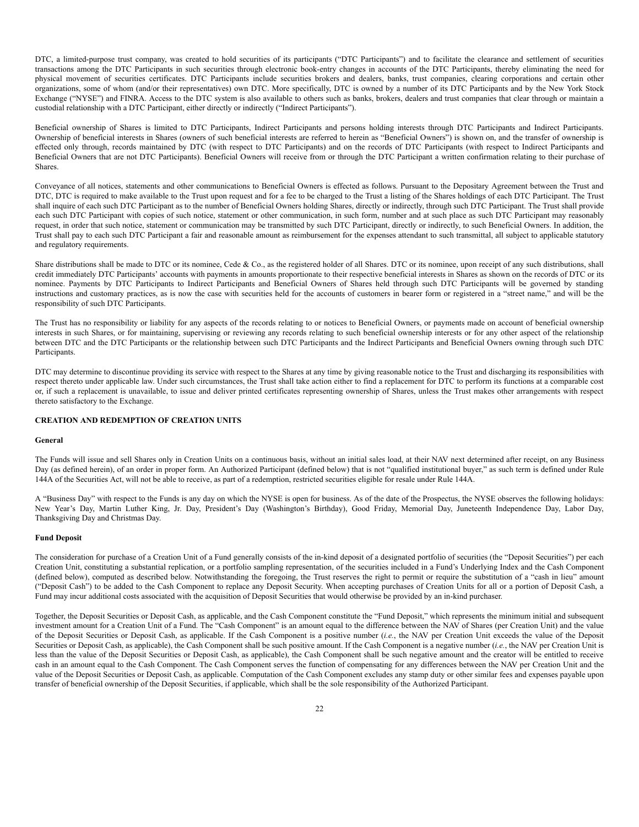DTC, a limited-purpose trust company, was created to hold securities of its participants ("DTC Participants") and to facilitate the clearance and settlement of securities transactions among the DTC Participants in such securities through electronic book-entry changes in accounts of the DTC Participants, thereby eliminating the need for physical movement of securities certificates. DTC Participants include securities brokers and dealers, banks, trust companies, clearing corporations and certain other organizations, some of whom (and/or their representatives) own DTC. More specifically, DTC is owned by a number of its DTC Participants and by the New York Stock Exchange ("NYSE") and FINRA. Access to the DTC system is also available to others such as banks, brokers, dealers and trust companies that clear through or maintain a custodial relationship with a DTC Participant, either directly or indirectly ("Indirect Participants").

Beneficial ownership of Shares is limited to DTC Participants, Indirect Participants and persons holding interests through DTC Participants and Indirect Participants. Ownership of beneficial interests in Shares (owners of such beneficial interests are referred to herein as "Beneficial Owners") is shown on, and the transfer of ownership is effected only through, records maintained by DTC (with respect to DTC Participants) and on the records of DTC Participants (with respect to Indirect Participants and Beneficial Owners that are not DTC Participants). Beneficial Owners will receive from or through the DTC Participant a written confirmation relating to their purchase of Shares.

Conveyance of all notices, statements and other communications to Beneficial Owners is effected as follows. Pursuant to the Depositary Agreement between the Trust and DTC, DTC is required to make available to the Trust upon request and for a fee to be charged to the Trust a listing of the Shares holdings of each DTC Participant. The Trust shall inquire of each such DTC Participant as to the number of Beneficial Owners holding Shares, directly or indirectly, through such DTC Participant. The Trust shall provide each such DTC Participant with copies of such notice, statement or other communication, in such form, number and at such place as such DTC Participant may reasonably request, in order that such notice, statement or communication may be transmitted by such DTC Participant, directly or indirectly, to such Beneficial Owners. In addition, the Trust shall pay to each such DTC Participant a fair and reasonable amount as reimbursement for the expenses attendant to such transmittal, all subject to applicable statutory and regulatory requirements.

Share distributions shall be made to DTC or its nominee, Cede & Co., as the registered holder of all Shares. DTC or its nominee, upon receipt of any such distributions, shall credit immediately DTC Participants' accounts with payments in amounts proportionate to their respective beneficial interests in Shares as shown on the records of DTC or its nominee. Payments by DTC Participants to Indirect Participants and Beneficial Owners of Shares held through such DTC Participants will be governed by standing instructions and customary practices, as is now the case with securities held for the accounts of customers in bearer form or registered in a "street name," and will be the responsibility of such DTC Participants.

The Trust has no responsibility or liability for any aspects of the records relating to or notices to Beneficial Owners, or payments made on account of beneficial ownership interests in such Shares, or for maintaining, supervising or reviewing any records relating to such beneficial ownership interests or for any other aspect of the relationship between DTC and the DTC Participants or the relationship between such DTC Participants and the Indirect Participants and Beneficial Owners owning through such DTC Participants.

DTC may determine to discontinue providing its service with respect to the Shares at any time by giving reasonable notice to the Trust and discharging its responsibilities with respect thereto under applicable law. Under such circumstances, the Trust shall take action either to find a replacement for DTC to perform its functions at a comparable cost or, if such a replacement is unavailable, to issue and deliver printed certificates representing ownership of Shares, unless the Trust makes other arrangements with respect thereto satisfactory to the Exchange.

# <span id="page-21-0"></span>**CREATION AND REDEMPTION OF CREATION UNITS**

### **General**

The Funds will issue and sell Shares only in Creation Units on a continuous basis, without an initial sales load, at their NAV next determined after receipt, on any Business Day (as defined herein), of an order in proper form. An Authorized Participant (defined below) that is not "qualified institutional buyer," as such term is defined under Rule 144A of the Securities Act, will not be able to receive, as part of a redemption, restricted securities eligible for resale under Rule 144A.

A "Business Day" with respect to the Funds is any day on which the NYSE is open for business. As of the date of the Prospectus, the NYSE observes the following holidays: New Year's Day, Martin Luther King, Jr. Day, President's Day (Washington's Birthday), Good Friday, Memorial Day, Juneteenth Independence Day, Labor Day, Thanksgiving Day and Christmas Day.

# **Fund Deposit**

The consideration for purchase of a Creation Unit of a Fund generally consists of the in-kind deposit of a designated portfolio of securities (the "Deposit Securities") per each Creation Unit, constituting a substantial replication, or a portfolio sampling representation, of the securities included in a Fund's Underlying Index and the Cash Component (defined below), computed as described below. Notwithstanding the foregoing, the Trust reserves the right to permit or require the substitution of a "cash in lieu" amount ("Deposit Cash") to be added to the Cash Component to replace any Deposit Security. When accepting purchases of Creation Units for all or a portion of Deposit Cash, a Fund may incur additional costs associated with the acquisition of Deposit Securities that would otherwise be provided by an in-kind purchaser.

Together, the Deposit Securities or Deposit Cash, as applicable, and the Cash Component constitute the "Fund Deposit," which represents the minimum initial and subsequent investment amount for a Creation Unit of a Fund. The "Cash Component" is an amount equal to the difference between the NAV of Shares (per Creation Unit) and the value of the Deposit Securities or Deposit Cash, as applicable. If the Cash Component is a positive number (*i.e.*, the NAV per Creation Unit exceeds the value of the Deposit Securities or Deposit Cash, as applicable), the Cash Component shall be such positive amount. If the Cash Component is a negative number (*i.e.*, the NAV per Creation Unit is less than the value of the Deposit Securities or Deposit Cash, as applicable), the Cash Component shall be such negative amount and the creator will be entitled to receive cash in an amount equal to the Cash Component. The Cash Component serves the function of compensating for any differences between the NAV per Creation Unit and the value of the Deposit Securities or Deposit Cash, as applicable. Computation of the Cash Component excludes any stamp duty or other similar fees and expenses payable upon transfer of beneficial ownership of the Deposit Securities, if applicable, which shall be the sole responsibility of the Authorized Participant.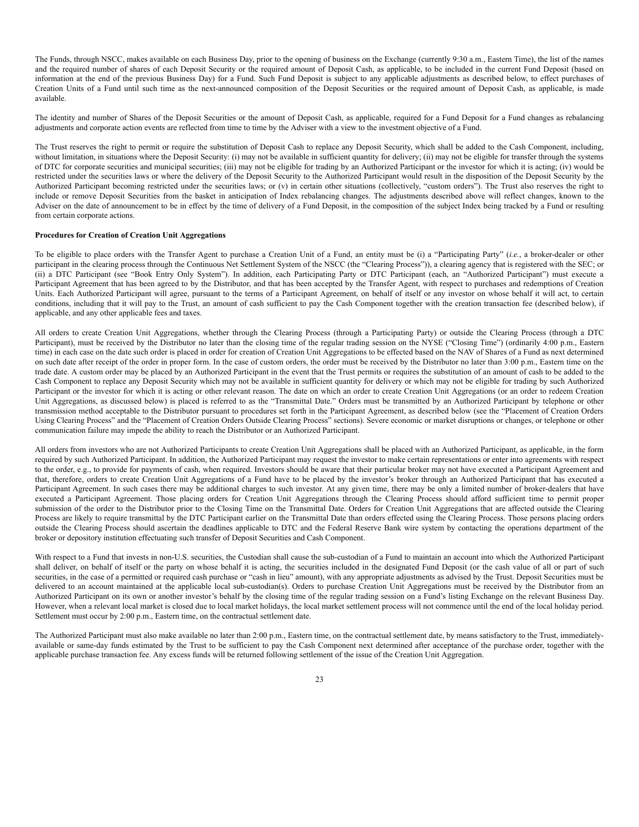The Funds, through NSCC, makes available on each Business Day, prior to the opening of business on the Exchange (currently 9:30 a.m., Eastern Time), the list of the names and the required number of shares of each Deposit Security or the required amount of Deposit Cash, as applicable, to be included in the current Fund Deposit (based on information at the end of the previous Business Day) for a Fund. Such Fund Deposit is subject to any applicable adjustments as described below, to effect purchases of Creation Units of a Fund until such time as the next-announced composition of the Deposit Securities or the required amount of Deposit Cash, as applicable, is made available.

The identity and number of Shares of the Deposit Securities or the amount of Deposit Cash, as applicable, required for a Fund Deposit for a Fund changes as rebalancing adjustments and corporate action events are reflected from time to time by the Adviser with a view to the investment objective of a Fund.

The Trust reserves the right to permit or require the substitution of Deposit Cash to replace any Deposit Security, which shall be added to the Cash Component, including, without limitation, in situations where the Deposit Security: (i) may not be available in sufficient quantity for delivery; (ii) may not be eligible for transfer through the systems of DTC for corporate securities and municipal securities; (iii) may not be eligible for trading by an Authorized Participant or the investor for which it is acting; (iv) would be restricted under the securities laws or where the delivery of the Deposit Security to the Authorized Participant would result in the disposition of the Deposit Security by the Authorized Participant becoming restricted under the securities laws; or (v) in certain other situations (collectively, "custom orders"). The Trust also reserves the right to include or remove Deposit Securities from the basket in anticipation of Index rebalancing changes. The adjustments described above will reflect changes, known to the Adviser on the date of announcement to be in effect by the time of delivery of a Fund Deposit, in the composition of the subject Index being tracked by a Fund or resulting from certain corporate actions.

# **Procedures for Creation of Creation Unit Aggregations**

To be eligible to place orders with the Transfer Agent to purchase a Creation Unit of a Fund, an entity must be (i) a "Participating Party" (*i.e.*, a broker-dealer or other participant in the clearing process through the Continuous Net Settlement System of the NSCC (the "Clearing Process")), a clearing agency that is registered with the SEC; or (ii) a DTC Participant (see "Book Entry Only System"). In addition, each Participating Party or DTC Participant (each, an "Authorized Participant") must execute a Participant Agreement that has been agreed to by the Distributor, and that has been accepted by the Transfer Agent, with respect to purchases and redemptions of Creation Units. Each Authorized Participant will agree, pursuant to the terms of a Participant Agreement, on behalf of itself or any investor on whose behalf it will act, to certain conditions, including that it will pay to the Trust, an amount of cash sufficient to pay the Cash Component together with the creation transaction fee (described below), if applicable, and any other applicable fees and taxes.

All orders to create Creation Unit Aggregations, whether through the Clearing Process (through a Participating Party) or outside the Clearing Process (through a DTC Participant), must be received by the Distributor no later than the closing time of the regular trading session on the NYSE ("Closing Time") (ordinarily 4:00 p.m., Eastern time) in each case on the date such order is placed in order for creation of Creation Unit Aggregations to be effected based on the NAV of Shares of a Fund as next determined on such date after receipt of the order in proper form. In the case of custom orders, the order must be received by the Distributor no later than 3:00 p.m., Eastern time on the trade date. A custom order may be placed by an Authorized Participant in the event that the Trust permits or requires the substitution of an amount of cash to be added to the Cash Component to replace any Deposit Security which may not be available in sufficient quantity for delivery or which may not be eligible for trading by such Authorized Participant or the investor for which it is acting or other relevant reason. The date on which an order to create Creation Unit Aggregations (or an order to redeem Creation Unit Aggregations, as discussed below) is placed is referred to as the "Transmittal Date." Orders must be transmitted by an Authorized Participant by telephone or other transmission method acceptable to the Distributor pursuant to procedures set forth in the Participant Agreement, as described below (see the "Placement of Creation Orders Using Clearing Process" and the "Placement of Creation Orders Outside Clearing Process" sections). Severe economic or market disruptions or changes, or telephone or other communication failure may impede the ability to reach the Distributor or an Authorized Participant.

All orders from investors who are not Authorized Participants to create Creation Unit Aggregations shall be placed with an Authorized Participant, as applicable, in the form required by such Authorized Participant. In addition, the Authorized Participant may request the investor to make certain representations or enter into agreements with respect to the order, e.g., to provide for payments of cash, when required. Investors should be aware that their particular broker may not have executed a Participant Agreement and that, therefore, orders to create Creation Unit Aggregations of a Fund have to be placed by the investor's broker through an Authorized Participant that has executed a Participant Agreement. In such cases there may be additional charges to such investor. At any given time, there may be only a limited number of broker-dealers that have executed a Participant Agreement. Those placing orders for Creation Unit Aggregations through the Clearing Process should afford sufficient time to permit proper submission of the order to the Distributor prior to the Closing Time on the Transmittal Date. Orders for Creation Unit Aggregations that are affected outside the Clearing Process are likely to require transmittal by the DTC Participant earlier on the Transmittal Date than orders effected using the Clearing Process. Those persons placing orders outside the Clearing Process should ascertain the deadlines applicable to DTC and the Federal Reserve Bank wire system by contacting the operations department of the broker or depository institution effectuating such transfer of Deposit Securities and Cash Component.

With respect to a Fund that invests in non-U.S. securities, the Custodian shall cause the sub-custodian of a Fund to maintain an account into which the Authorized Participant shall deliver, on behalf of itself or the party on whose behalf it is acting, the securities included in the designated Fund Deposit (or the cash value of all or part of such securities, in the case of a permitted or required cash purchase or "cash in lieu" amount), with any appropriate adjustments as advised by the Trust. Deposit Securities must be delivered to an account maintained at the applicable local sub-custodian(s). Orders to purchase Creation Unit Aggregations must be received by the Distributor from an Authorized Participant on its own or another investor's behalf by the closing time of the regular trading session on a Fund's listing Exchange on the relevant Business Day. However, when a relevant local market is closed due to local market holidays, the local market settlement process will not commence until the end of the local holiday period. Settlement must occur by 2:00 p.m., Eastern time, on the contractual settlement date.

The Authorized Participant must also make available no later than 2:00 p.m., Eastern time, on the contractual settlement date, by means satisfactory to the Trust, immediatelyavailable or same-day funds estimated by the Trust to be sufficient to pay the Cash Component next determined after acceptance of the purchase order, together with the applicable purchase transaction fee. Any excess funds will be returned following settlement of the issue of the Creation Unit Aggregation.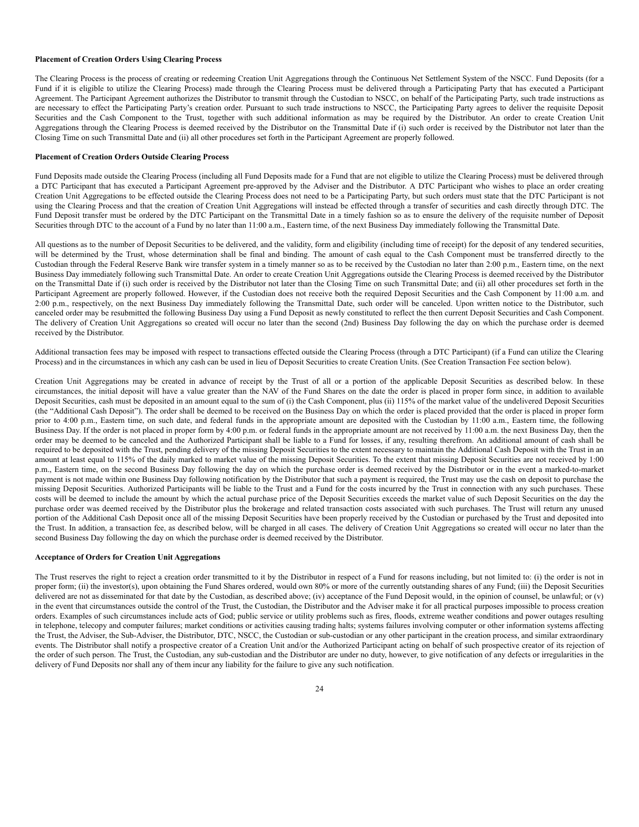#### **Placement of Creation Orders Using Clearing Process**

The Clearing Process is the process of creating or redeeming Creation Unit Aggregations through the Continuous Net Settlement System of the NSCC. Fund Deposits (for a Fund if it is eligible to utilize the Clearing Process) made through the Clearing Process must be delivered through a Participating Party that has executed a Participant Agreement. The Participant Agreement authorizes the Distributor to transmit through the Custodian to NSCC, on behalf of the Participating Party, such trade instructions as are necessary to effect the Participating Party's creation order. Pursuant to such trade instructions to NSCC, the Participating Party agrees to deliver the requisite Deposit Securities and the Cash Component to the Trust, together with such additional information as may be required by the Distributor. An order to create Creation Unit Aggregations through the Clearing Process is deemed received by the Distributor on the Transmittal Date if (i) such order is received by the Distributor not later than the Closing Time on such Transmittal Date and (ii) all other procedures set forth in the Participant Agreement are properly followed.

# **Placement of Creation Orders Outside Clearing Process**

Fund Deposits made outside the Clearing Process (including all Fund Deposits made for a Fund that are not eligible to utilize the Clearing Process) must be delivered through a DTC Participant that has executed a Participant Agreement pre-approved by the Adviser and the Distributor. A DTC Participant who wishes to place an order creating Creation Unit Aggregations to be effected outside the Clearing Process does not need to be a Participating Party, but such orders must state that the DTC Participant is not using the Clearing Process and that the creation of Creation Unit Aggregations will instead be effected through a transfer of securities and cash directly through DTC. The Fund Deposit transfer must be ordered by the DTC Participant on the Transmittal Date in a timely fashion so as to ensure the delivery of the requisite number of Deposit Securities through DTC to the account of a Fund by no later than 11:00 a.m., Eastern time, of the next Business Day immediately following the Transmittal Date.

All questions as to the number of Deposit Securities to be delivered, and the validity, form and eligibility (including time of receipt) for the deposit of any tendered securities, will be determined by the Trust, whose determination shall be final and binding. The amount of cash equal to the Cash Component must be transferred directly to the Custodian through the Federal Reserve Bank wire transfer system in a timely manner so as to be received by the Custodian no later than 2:00 p.m., Eastern time, on the next Business Day immediately following such Transmittal Date. An order to create Creation Unit Aggregations outside the Clearing Process is deemed received by the Distributor on the Transmittal Date if (i) such order is received by the Distributor not later than the Closing Time on such Transmittal Date; and (ii) all other procedures set forth in the Participant Agreement are properly followed. However, if the Custodian does not receive both the required Deposit Securities and the Cash Component by 11:00 a.m. and 2:00 p.m., respectively, on the next Business Day immediately following the Transmittal Date, such order will be canceled. Upon written notice to the Distributor, such canceled order may be resubmitted the following Business Day using a Fund Deposit as newly constituted to reflect the then current Deposit Securities and Cash Component. The delivery of Creation Unit Aggregations so created will occur no later than the second (2nd) Business Day following the day on which the purchase order is deemed received by the Distributor.

Additional transaction fees may be imposed with respect to transactions effected outside the Clearing Process (through a DTC Participant) (if a Fund can utilize the Clearing Process) and in the circumstances in which any cash can be used in lieu of Deposit Securities to create Creation Units. (See Creation Transaction Fee section below).

Creation Unit Aggregations may be created in advance of receipt by the Trust of all or a portion of the applicable Deposit Securities as described below. In these circumstances, the initial deposit will have a value greater than the NAV of the Fund Shares on the date the order is placed in proper form since, in addition to available Deposit Securities, cash must be deposited in an amount equal to the sum of (i) the Cash Component, plus (ii) 115% of the market value of the undelivered Deposit Securities (the "Additional Cash Deposit"). The order shall be deemed to be received on the Business Day on which the order is placed provided that the order is placed in proper form prior to 4:00 p.m., Eastern time, on such date, and federal funds in the appropriate amount are deposited with the Custodian by 11:00 a.m., Eastern time, the following Business Day. If the order is not placed in proper form by 4:00 p.m. or federal funds in the appropriate amount are not received by 11:00 a.m. the next Business Day, then the order may be deemed to be canceled and the Authorized Participant shall be liable to a Fund for losses, if any, resulting therefrom. An additional amount of cash shall be required to be deposited with the Trust, pending delivery of the missing Deposit Securities to the extent necessary to maintain the Additional Cash Deposit with the Trust in an amount at least equal to 115% of the daily marked to market value of the missing Deposit Securities. To the extent that missing Deposit Securities are not received by 1:00 p.m., Eastern time, on the second Business Day following the day on which the purchase order is deemed received by the Distributor or in the event a marked-to-market payment is not made within one Business Day following notification by the Distributor that such a payment is required, the Trust may use the cash on deposit to purchase the missing Deposit Securities. Authorized Participants will be liable to the Trust and a Fund for the costs incurred by the Trust in connection with any such purchases. These costs will be deemed to include the amount by which the actual purchase price of the Deposit Securities exceeds the market value of such Deposit Securities on the day the purchase order was deemed received by the Distributor plus the brokerage and related transaction costs associated with such purchases. The Trust will return any unused portion of the Additional Cash Deposit once all of the missing Deposit Securities have been properly received by the Custodian or purchased by the Trust and deposited into the Trust. In addition, a transaction fee, as described below, will be charged in all cases. The delivery of Creation Unit Aggregations so created will occur no later than the second Business Day following the day on which the purchase order is deemed received by the Distributor.

# **Acceptance of Orders for Creation Unit Aggregations**

The Trust reserves the right to reject a creation order transmitted to it by the Distributor in respect of a Fund for reasons including, but not limited to: (i) the order is not in proper form; (ii) the investor(s), upon obtaining the Fund Shares ordered, would own 80% or more of the currently outstanding shares of any Fund; (iii) the Deposit Securities delivered are not as disseminated for that date by the Custodian, as described above; (iv) acceptance of the Fund Deposit would, in the opinion of counsel, be unlawful; or (v) in the event that circumstances outside the control of the Trust, the Custodian, the Distributor and the Adviser make it for all practical purposes impossible to process creation orders. Examples of such circumstances include acts of God; public service or utility problems such as fires, floods, extreme weather conditions and power outages resulting in telephone, telecopy and computer failures; market conditions or activities causing trading halts; systems failures involving computer or other information systems affecting the Trust, the Adviser, the Sub-Adviser, the Distributor, DTC, NSCC, the Custodian or sub-custodian or any other participant in the creation process, and similar extraordinary events. The Distributor shall notify a prospective creator of a Creation Unit and/or the Authorized Participant acting on behalf of such prospective creator of its rejection of the order of such person. The Trust, the Custodian, any sub-custodian and the Distributor are under no duty, however, to give notification of any defects or irregularities in the delivery of Fund Deposits nor shall any of them incur any liability for the failure to give any such notification.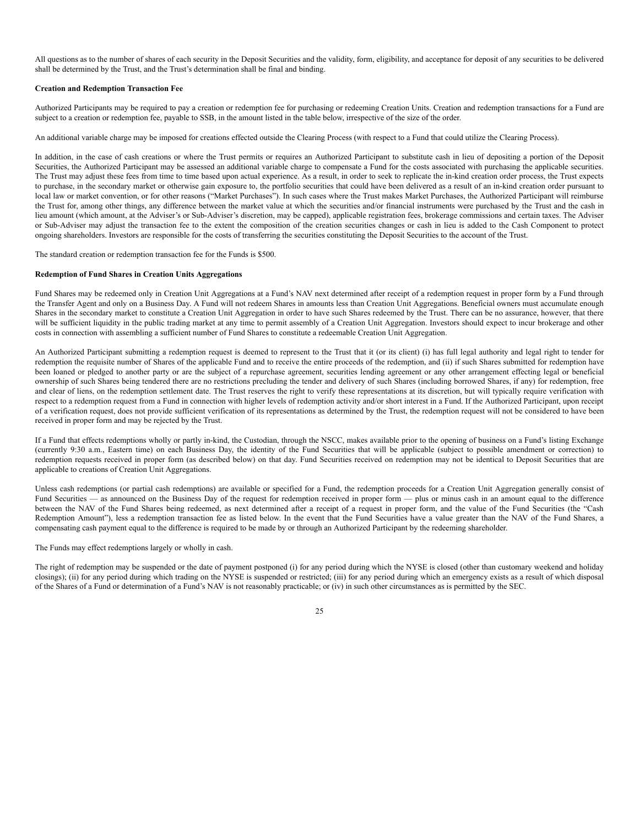All questions as to the number of shares of each security in the Deposit Securities and the validity, form, eligibility, and acceptance for deposit of any securities to be delivered shall be determined by the Trust, and the Trust's determination shall be final and binding.

## **Creation and Redemption Transaction Fee**

Authorized Participants may be required to pay a creation or redemption fee for purchasing or redeeming Creation Units. Creation and redemption transactions for a Fund are subject to a creation or redemption fee, payable to SSB, in the amount listed in the table below, irrespective of the size of the order.

An additional variable charge may be imposed for creations effected outside the Clearing Process (with respect to a Fund that could utilize the Clearing Process).

In addition, in the case of cash creations or where the Trust permits or requires an Authorized Participant to substitute cash in lieu of depositing a portion of the Deposit Securities, the Authorized Participant may be assessed an additional variable charge to compensate a Fund for the costs associated with purchasing the applicable securities. The Trust may adjust these fees from time to time based upon actual experience. As a result, in order to seek to replicate the in-kind creation order process, the Trust expects to purchase, in the secondary market or otherwise gain exposure to, the portfolio securities that could have been delivered as a result of an in-kind creation order pursuant to local law or market convention, or for other reasons ("Market Purchases"). In such cases where the Trust makes Market Purchases, the Authorized Participant will reimburse the Trust for, among other things, any difference between the market value at which the securities and/or financial instruments were purchased by the Trust and the cash in lieu amount (which amount, at the Adviser's or Sub-Adviser's discretion, may be capped), applicable registration fees, brokerage commissions and certain taxes. The Adviser or Sub-Adviser may adjust the transaction fee to the extent the composition of the creation securities changes or cash in lieu is added to the Cash Component to protect ongoing shareholders. Investors are responsible for the costs of transferring the securities constituting the Deposit Securities to the account of the Trust.

The standard creation or redemption transaction fee for the Funds is \$500.

# **Redemption of Fund Shares in Creation Units Aggregations**

Fund Shares may be redeemed only in Creation Unit Aggregations at a Fund's NAV next determined after receipt of a redemption request in proper form by a Fund through the Transfer Agent and only on a Business Day. A Fund will not redeem Shares in amounts less than Creation Unit Aggregations. Beneficial owners must accumulate enough Shares in the secondary market to constitute a Creation Unit Aggregation in order to have such Shares redeemed by the Trust. There can be no assurance, however, that there will be sufficient liquidity in the public trading market at any time to permit assembly of a Creation Unit Aggregation. Investors should expect to incur brokerage and other costs in connection with assembling a sufficient number of Fund Shares to constitute a redeemable Creation Unit Aggregation.

An Authorized Participant submitting a redemption request is deemed to represent to the Trust that it (or its client) (i) has full legal authority and legal right to tender for redemption the requisite number of Shares of the applicable Fund and to receive the entire proceeds of the redemption, and (ii) if such Shares submitted for redemption have been loaned or pledged to another party or are the subject of a repurchase agreement, securities lending agreement or any other arrangement effecting legal or beneficial ownership of such Shares being tendered there are no restrictions precluding the tender and delivery of such Shares (including borrowed Shares, if any) for redemption, free and clear of liens, on the redemption settlement date. The Trust reserves the right to verify these representations at its discretion, but will typically require verification with respect to a redemption request from a Fund in connection with higher levels of redemption activity and/or short interest in a Fund. If the Authorized Participant, upon receipt of a verification request, does not provide sufficient verification of its representations as determined by the Trust, the redemption request will not be considered to have been received in proper form and may be rejected by the Trust.

If a Fund that effects redemptions wholly or partly in-kind, the Custodian, through the NSCC, makes available prior to the opening of business on a Fund's listing Exchange (currently 9:30 a.m., Eastern time) on each Business Day, the identity of the Fund Securities that will be applicable (subject to possible amendment or correction) to redemption requests received in proper form (as described below) on that day. Fund Securities received on redemption may not be identical to Deposit Securities that are applicable to creations of Creation Unit Aggregations.

Unless cash redemptions (or partial cash redemptions) are available or specified for a Fund, the redemption proceeds for a Creation Unit Aggregation generally consist of Fund Securities — as announced on the Business Day of the request for redemption received in proper form — plus or minus cash in an amount equal to the difference between the NAV of the Fund Shares being redeemed, as next determined after a receipt of a request in proper form, and the value of the Fund Securities (the "Cash Redemption Amount"), less a redemption transaction fee as listed below. In the event that the Fund Securities have a value greater than the NAV of the Fund Shares, a compensating cash payment equal to the difference is required to be made by or through an Authorized Participant by the redeeming shareholder.

# The Funds may effect redemptions largely or wholly in cash.

The right of redemption may be suspended or the date of payment postponed (i) for any period during which the NYSE is closed (other than customary weekend and holiday closings); (ii) for any period during which trading on the NYSE is suspended or restricted; (iii) for any period during which an emergency exists as a result of which disposal of the Shares of a Fund or determination of a Fund's NAV is not reasonably practicable; or (iv) in such other circumstances as is permitted by the SEC.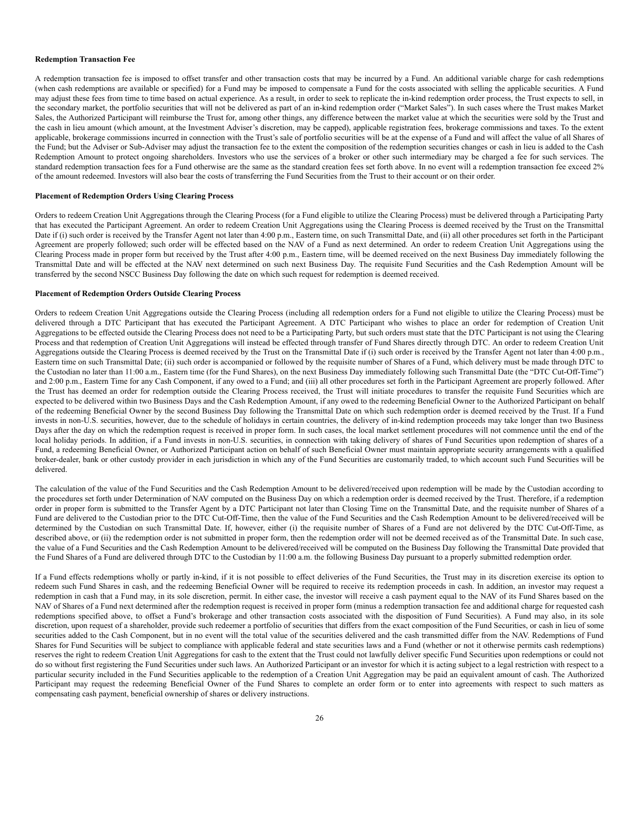#### **Redemption Transaction Fee**

A redemption transaction fee is imposed to offset transfer and other transaction costs that may be incurred by a Fund. An additional variable charge for cash redemptions (when cash redemptions are available or specified) for a Fund may be imposed to compensate a Fund for the costs associated with selling the applicable securities. A Fund may adjust these fees from time to time based on actual experience. As a result, in order to seek to replicate the in-kind redemption order process, the Trust expects to sell, in the secondary market, the portfolio securities that will not be delivered as part of an in-kind redemption order ("Market Sales"). In such cases where the Trust makes Market Sales, the Authorized Participant will reimburse the Trust for, among other things, any difference between the market value at which the securities were sold by the Trust and the cash in lieu amount (which amount, at the Investment Adviser's discretion, may be capped), applicable registration fees, brokerage commissions and taxes. To the extent applicable, brokerage commissions incurred in connection with the Trust's sale of portfolio securities will be at the expense of a Fund and will affect the value of all Shares of the Fund; but the Adviser or Sub-Adviser may adjust the transaction fee to the extent the composition of the redemption securities changes or cash in lieu is added to the Cash Redemption Amount to protect ongoing shareholders. Investors who use the services of a broker or other such intermediary may be charged a fee for such services. The standard redemption transaction fees for a Fund otherwise are the same as the standard creation fees set forth above. In no event will a redemption transaction fee exceed 2% of the amount redeemed. Investors will also bear the costs of transferring the Fund Securities from the Trust to their account or on their order.

# **Placement of Redemption Orders Using Clearing Process**

Orders to redeem Creation Unit Aggregations through the Clearing Process (for a Fund eligible to utilize the Clearing Process) must be delivered through a Participating Party that has executed the Participant Agreement. An order to redeem Creation Unit Aggregations using the Clearing Process is deemed received by the Trust on the Transmittal Date if (i) such order is received by the Transfer Agent not later than 4:00 p.m., Eastern time, on such Transmittal Date, and (ii) all other procedures set forth in the Participant Agreement are properly followed; such order will be effected based on the NAV of a Fund as next determined. An order to redeem Creation Unit Aggregations using the Clearing Process made in proper form but received by the Trust after 4:00 p.m., Eastern time, will be deemed received on the next Business Day immediately following the Transmittal Date and will be effected at the NAV next determined on such next Business Day. The requisite Fund Securities and the Cash Redemption Amount will be transferred by the second NSCC Business Day following the date on which such request for redemption is deemed received.

## **Placement of Redemption Orders Outside Clearing Process**

Orders to redeem Creation Unit Aggregations outside the Clearing Process (including all redemption orders for a Fund not eligible to utilize the Clearing Process) must be delivered through a DTC Participant that has executed the Participant Agreement. A DTC Participant who wishes to place an order for redemption of Creation Unit Aggregations to be effected outside the Clearing Process does not need to be a Participating Party, but such orders must state that the DTC Participant is not using the Clearing Process and that redemption of Creation Unit Aggregations will instead be effected through transfer of Fund Shares directly through DTC. An order to redeem Creation Unit Aggregations outside the Clearing Process is deemed received by the Trust on the Transmittal Date if (i) such order is received by the Transfer Agent not later than 4:00 p.m., Eastern time on such Transmittal Date; (ii) such order is accompanied or followed by the requisite number of Shares of a Fund, which delivery must be made through DTC to the Custodian no later than 11:00 a.m., Eastern time (for the Fund Shares), on the next Business Day immediately following such Transmittal Date (the "DTC Cut-Off-Time") and 2:00 p.m., Eastern Time for any Cash Component, if any owed to a Fund; and (iii) all other procedures set forth in the Participant Agreement are properly followed. After the Trust has deemed an order for redemption outside the Clearing Process received, the Trust will initiate procedures to transfer the requisite Fund Securities which are expected to be delivered within two Business Days and the Cash Redemption Amount, if any owed to the redeeming Beneficial Owner to the Authorized Participant on behalf of the redeeming Beneficial Owner by the second Business Day following the Transmittal Date on which such redemption order is deemed received by the Trust. If a Fund invests in non-U.S. securities, however, due to the schedule of holidays in certain countries, the delivery of in-kind redemption proceeds may take longer than two Business Days after the day on which the redemption request is received in proper form. In such cases, the local market settlement procedures will not commence until the end of the local holiday periods. In addition, if a Fund invests in non-U.S. securities, in connection with taking delivery of shares of Fund Securities upon redemption of shares of a Fund, a redeeming Beneficial Owner, or Authorized Participant action on behalf of such Beneficial Owner must maintain appropriate security arrangements with a qualified broker-dealer, bank or other custody provider in each jurisdiction in which any of the Fund Securities are customarily traded, to which account such Fund Securities will be delivered.

The calculation of the value of the Fund Securities and the Cash Redemption Amount to be delivered/received upon redemption will be made by the Custodian according to the procedures set forth under Determination of NAV computed on the Business Day on which a redemption order is deemed received by the Trust. Therefore, if a redemption order in proper form is submitted to the Transfer Agent by a DTC Participant not later than Closing Time on the Transmittal Date, and the requisite number of Shares of a Fund are delivered to the Custodian prior to the DTC Cut-Off-Time, then the value of the Fund Securities and the Cash Redemption Amount to be delivered/received will be determined by the Custodian on such Transmittal Date. If, however, either (i) the requisite number of Shares of a Fund are not delivered by the DTC Cut-Off-Time, as described above, or (ii) the redemption order is not submitted in proper form, then the redemption order will not be deemed received as of the Transmittal Date. In such case, the value of a Fund Securities and the Cash Redemption Amount to be delivered/received will be computed on the Business Day following the Transmittal Date provided that the Fund Shares of a Fund are delivered through DTC to the Custodian by 11:00 a.m. the following Business Day pursuant to a properly submitted redemption order.

If a Fund effects redemptions wholly or partly in-kind, if it is not possible to effect deliveries of the Fund Securities, the Trust may in its discretion exercise its option to redeem such Fund Shares in cash, and the redeeming Beneficial Owner will be required to receive its redemption proceeds in cash. In addition, an investor may request a redemption in cash that a Fund may, in its sole discretion, permit. In either case, the investor will receive a cash payment equal to the NAV of its Fund Shares based on the NAV of Shares of a Fund next determined after the redemption request is received in proper form (minus a redemption transaction fee and additional charge for requested cash redemptions specified above, to offset a Fund's brokerage and other transaction costs associated with the disposition of Fund Securities). A Fund may also, in its sole discretion, upon request of a shareholder, provide such redeemer a portfolio of securities that differs from the exact composition of the Fund Securities, or cash in lieu of some securities added to the Cash Component, but in no event will the total value of the securities delivered and the cash transmitted differ from the NAV. Redemptions of Fund Shares for Fund Securities will be subject to compliance with applicable federal and state securities laws and a Fund (whether or not it otherwise permits cash redemptions) reserves the right to redeem Creation Unit Aggregations for cash to the extent that the Trust could not lawfully deliver specific Fund Securities upon redemptions or could not do so without first registering the Fund Securities under such laws. An Authorized Participant or an investor for which it is acting subject to a legal restriction with respect to a particular security included in the Fund Securities applicable to the redemption of a Creation Unit Aggregation may be paid an equivalent amount of cash. The Authorized Participant may request the redeeming Beneficial Owner of the Fund Shares to complete an order form or to enter into agreements with respect to such matters as compensating cash payment, beneficial ownership of shares or delivery instructions.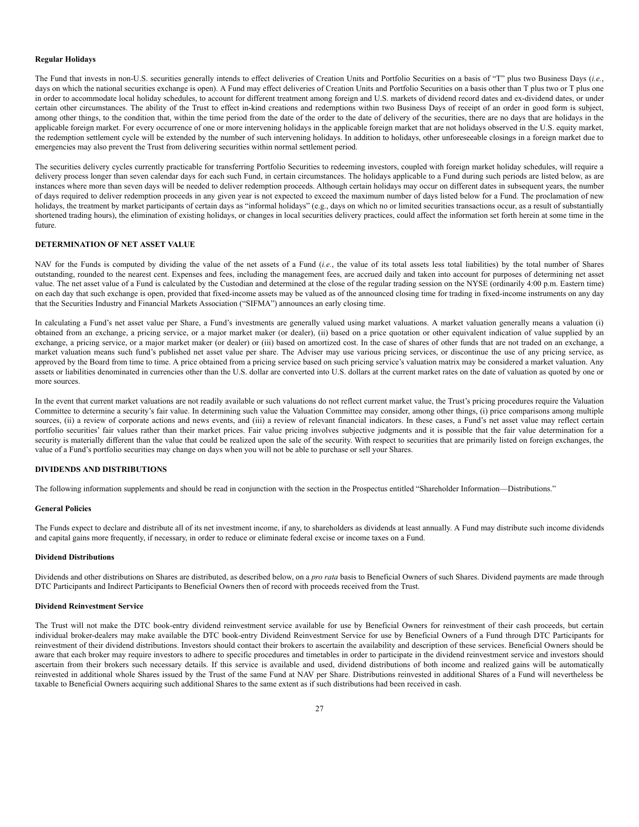#### **Regular Holidays**

The Fund that invests in non-U.S. securities generally intends to effect deliveries of Creation Units and Portfolio Securities on a basis of "T" plus two Business Days (*i.e.*, days on which the national securities exchange is open). A Fund may effect deliveries of Creation Units and Portfolio Securities on a basis other than T plus two or T plus one in order to accommodate local holiday schedules, to account for different treatment among foreign and U.S. markets of dividend record dates and ex-dividend dates, or under certain other circumstances. The ability of the Trust to effect in-kind creations and redemptions within two Business Days of receipt of an order in good form is subject, among other things, to the condition that, within the time period from the date of the order to the date of delivery of the securities, there are no days that are holidays in the applicable foreign market. For every occurrence of one or more intervening holidays in the applicable foreign market that are not holidays observed in the U.S. equity market, the redemption settlement cycle will be extended by the number of such intervening holidays. In addition to holidays, other unforeseeable closings in a foreign market due to emergencies may also prevent the Trust from delivering securities within normal settlement period.

The securities delivery cycles currently practicable for transferring Portfolio Securities to redeeming investors, coupled with foreign market holiday schedules, will require a delivery process longer than seven calendar days for each such Fund, in certain circumstances. The holidays applicable to a Fund during such periods are listed below, as are instances where more than seven days will be needed to deliver redemption proceeds. Although certain holidays may occur on different dates in subsequent years, the number of days required to deliver redemption proceeds in any given year is not expected to exceed the maximum number of days listed below for a Fund. The proclamation of new holidays, the treatment by market participants of certain days as "informal holidays" (e.g., days on which no or limited securities transactions occur, as a result of substantially shortened trading hours), the elimination of existing holidays, or changes in local securities delivery practices, could affect the information set forth herein at some time in the future.

### <span id="page-26-0"></span>**DETERMINATION OF NET ASSET VALUE**

NAV for the Funds is computed by dividing the value of the net assets of a Fund (*i.e.*, the value of its total assets less total liabilities) by the total number of Shares outstanding, rounded to the nearest cent. Expenses and fees, including the management fees, are accrued daily and taken into account for purposes of determining net asset value. The net asset value of a Fund is calculated by the Custodian and determined at the close of the regular trading session on the NYSE (ordinarily 4:00 p.m. Eastern time) on each day that such exchange is open, provided that fixed-income assets may be valued as of the announced closing time for trading in fixed-income instruments on any day that the Securities Industry and Financial Markets Association ("SIFMA") announces an early closing time.

In calculating a Fund's net asset value per Share, a Fund's investments are generally valued using market valuations. A market valuation generally means a valuation (i) obtained from an exchange, a pricing service, or a major market maker (or dealer), (ii) based on a price quotation or other equivalent indication of value supplied by an exchange, a pricing service, or a major market maker (or dealer) or (iii) based on amortized cost. In the case of shares of other funds that are not traded on an exchange, a market valuation means such fund's published net asset value per share. The Adviser may use various pricing services, or discontinue the use of any pricing service, as approved by the Board from time to time. A price obtained from a pricing service based on such pricing service's valuation matrix may be considered a market valuation. Any assets or liabilities denominated in currencies other than the U.S. dollar are converted into U.S. dollars at the current market rates on the date of valuation as quoted by one or more sources.

In the event that current market valuations are not readily available or such valuations do not reflect current market value, the Trust's pricing procedures require the Valuation Committee to determine a security's fair value. In determining such value the Valuation Committee may consider, among other things, (i) price comparisons among multiple sources, (ii) a review of corporate actions and news events, and (iii) a review of relevant financial indicators. In these cases, a Fund's net asset value may reflect certain portfolio securities' fair values rather than their market prices. Fair value pricing involves subjective judgments and it is possible that the fair value determination for a security is materially different than the value that could be realized upon the sale of the security. With respect to securities that are primarily listed on foreign exchanges, the value of a Fund's portfolio securities may change on days when you will not be able to purchase or sell your Shares.

## <span id="page-26-1"></span>**DIVIDENDS AND DISTRIBUTIONS**

The following information supplements and should be read in conjunction with the section in the Prospectus entitled "Shareholder Information—Distributions."

#### **General Policies**

The Funds expect to declare and distribute all of its net investment income, if any, to shareholders as dividends at least annually. A Fund may distribute such income dividends and capital gains more frequently, if necessary, in order to reduce or eliminate federal excise or income taxes on a Fund.

# **Dividend Distributions**

Dividends and other distributions on Shares are distributed, as described below, on a *pro rata* basis to Beneficial Owners of such Shares. Dividend payments are made through DTC Participants and Indirect Participants to Beneficial Owners then of record with proceeds received from the Trust.

# **Dividend Reinvestment Service**

The Trust will not make the DTC book-entry dividend reinvestment service available for use by Beneficial Owners for reinvestment of their cash proceeds, but certain individual broker-dealers may make available the DTC book-entry Dividend Reinvestment Service for use by Beneficial Owners of a Fund through DTC Participants for reinvestment of their dividend distributions. Investors should contact their brokers to ascertain the availability and description of these services. Beneficial Owners should be aware that each broker may require investors to adhere to specific procedures and timetables in order to participate in the dividend reinvestment service and investors should ascertain from their brokers such necessary details. If this service is available and used, dividend distributions of both income and realized gains will be automatically reinvested in additional whole Shares issued by the Trust of the same Fund at NAV per Share. Distributions reinvested in additional Shares of a Fund will nevertheless be taxable to Beneficial Owners acquiring such additional Shares to the same extent as if such distributions had been received in cash.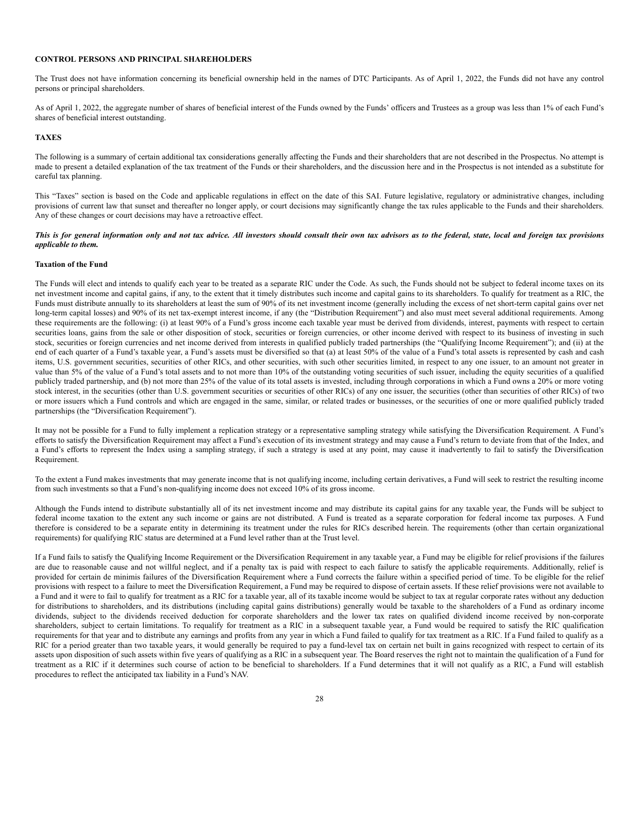# <span id="page-27-0"></span>**CONTROL PERSONS AND PRINCIPAL SHAREHOLDERS**

The Trust does not have information concerning its beneficial ownership held in the names of DTC Participants. As of April 1, 2022, the Funds did not have any control persons or principal shareholders.

As of April 1, 2022, the aggregate number of shares of beneficial interest of the Funds owned by the Funds' officers and Trustees as a group was less than 1% of each Fund's shares of beneficial interest outstanding.

#### <span id="page-27-1"></span>**TAXES**

The following is a summary of certain additional tax considerations generally affecting the Funds and their shareholders that are not described in the Prospectus. No attempt is made to present a detailed explanation of the tax treatment of the Funds or their shareholders, and the discussion here and in the Prospectus is not intended as a substitute for careful tax planning.

This "Taxes" section is based on the Code and applicable regulations in effect on the date of this SAI. Future legislative, regulatory or administrative changes, including provisions of current law that sunset and thereafter no longer apply, or court decisions may significantly change the tax rules applicable to the Funds and their shareholders. Any of these changes or court decisions may have a retroactive effect.

# This is for general information only and not tax advice. All investors should consult their own tax advisors as to the federal, state, local and foreign tax provisions *applicable to them.*

# **Taxation of the Fund**

The Funds will elect and intends to qualify each year to be treated as a separate RIC under the Code. As such, the Funds should not be subject to federal income taxes on its net investment income and capital gains, if any, to the extent that it timely distributes such income and capital gains to its shareholders. To qualify for treatment as a RIC, the Funds must distribute annually to its shareholders at least the sum of 90% of its net investment income (generally including the excess of net short-term capital gains over net long-term capital losses) and 90% of its net tax-exempt interest income, if any (the "Distribution Requirement") and also must meet several additional requirements. Among these requirements are the following: (i) at least 90% of a Fund's gross income each taxable year must be derived from dividends, interest, payments with respect to certain securities loans, gains from the sale or other disposition of stock, securities or foreign currencies, or other income derived with respect to its business of investing in such stock, securities or foreign currencies and net income derived from interests in qualified publicly traded partnerships (the "Qualifying Income Requirement"); and (ii) at the end of each quarter of a Fund's taxable year, a Fund's assets must be diversified so that (a) at least 50% of the value of a Fund's total assets is represented by cash and cash items, U.S. government securities, securities of other RICs, and other securities, with such other securities limited, in respect to any one issuer, to an amount not greater in value than 5% of the value of a Fund's total assets and to not more than 10% of the outstanding voting securities of such issuer, including the equity securities of a qualified publicly traded partnership, and (b) not more than 25% of the value of its total assets is invested, including through corporations in which a Fund owns a 20% or more voting stock interest, in the securities (other than U.S. government securities or securities of other RICs) of any one issuer, the securities (other than securities of other RICs) of two or more issuers which a Fund controls and which are engaged in the same, similar, or related trades or businesses, or the securities of one or more qualified publicly traded partnerships (the "Diversification Requirement").

It may not be possible for a Fund to fully implement a replication strategy or a representative sampling strategy while satisfying the Diversification Requirement. A Fund's efforts to satisfy the Diversification Requirement may affect a Fund's execution of its investment strategy and may cause a Fund's return to deviate from that of the Index, and a Fund's efforts to represent the Index using a sampling strategy, if such a strategy is used at any point, may cause it inadvertently to fail to satisfy the Diversification Requirement.

To the extent a Fund makes investments that may generate income that is not qualifying income, including certain derivatives, a Fund will seek to restrict the resulting income from such investments so that a Fund's non-qualifying income does not exceed 10% of its gross income.

Although the Funds intend to distribute substantially all of its net investment income and may distribute its capital gains for any taxable year, the Funds will be subject to federal income taxation to the extent any such income or gains are not distributed. A Fund is treated as a separate corporation for federal income tax purposes. A Fund therefore is considered to be a separate entity in determining its treatment under the rules for RICs described herein. The requirements (other than certain organizational requirements) for qualifying RIC status are determined at a Fund level rather than at the Trust level.

If a Fund fails to satisfy the Qualifying Income Requirement or the Diversification Requirement in any taxable year, a Fund may be eligible for relief provisions if the failures are due to reasonable cause and not willful neglect, and if a penalty tax is paid with respect to each failure to satisfy the applicable requirements. Additionally, relief is provided for certain de minimis failures of the Diversification Requirement where a Fund corrects the failure within a specified period of time. To be eligible for the relief provisions with respect to a failure to meet the Diversification Requirement, a Fund may be required to dispose of certain assets. If these relief provisions were not available to a Fund and it were to fail to qualify for treatment as a RIC for a taxable year, all of its taxable income would be subject to tax at regular corporate rates without any deduction for distributions to shareholders, and its distributions (including capital gains distributions) generally would be taxable to the shareholders of a Fund as ordinary income dividends, subject to the dividends received deduction for corporate shareholders and the lower tax rates on qualified dividend income received by non-corporate shareholders, subject to certain limitations. To requalify for treatment as a RIC in a subsequent taxable year, a Fund would be required to satisfy the RIC qualification requirements for that year and to distribute any earnings and profits from any year in which a Fund failed to qualify for tax treatment as a RIC. If a Fund failed to qualify as a RIC for a period greater than two taxable years, it would generally be required to pay a fund-level tax on certain net built in gains recognized with respect to certain of its assets upon disposition of such assets within five years of qualifying as a RIC in a subsequent year. The Board reserves the right not to maintain the qualification of a Fund for treatment as a RIC if it determines such course of action to be beneficial to shareholders. If a Fund determines that it will not qualify as a RIC, a Fund will establish procedures to reflect the anticipated tax liability in a Fund's NAV.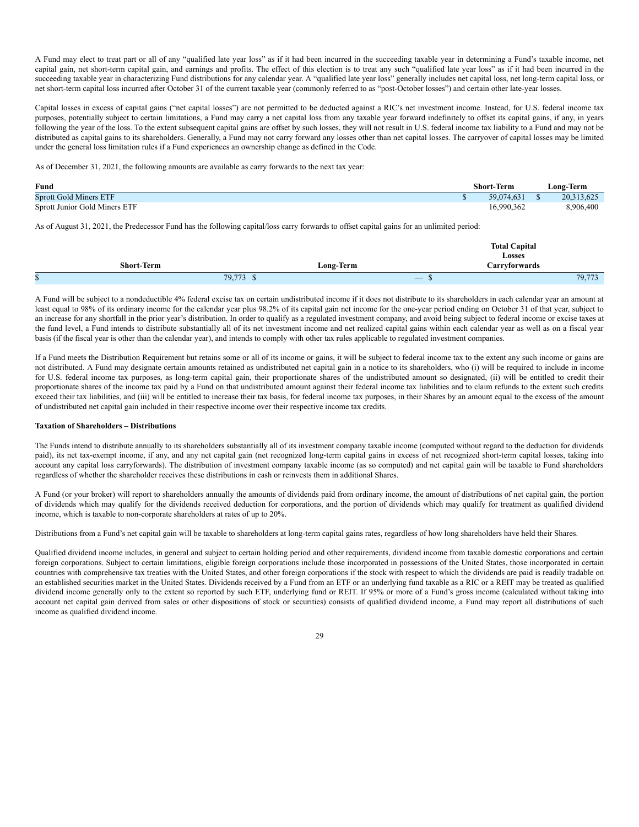A Fund may elect to treat part or all of any "qualified late year loss" as if it had been incurred in the succeeding taxable year in determining a Fund's taxable income, net capital gain, net short-term capital gain, and earnings and profits. The effect of this election is to treat any such "qualified late year loss" as if it had been incurred in the succeeding taxable year in characterizing Fund distributions for any calendar year. A "qualified late year loss" generally includes net capital loss, net long-term capital loss, or net short-term capital loss incurred after October 31 of the current taxable year (commonly referred to as "post-October losses") and certain other late-year losses.

Capital losses in excess of capital gains ("net capital losses") are not permitted to be deducted against a RIC's net investment income. Instead, for U.S. federal income tax purposes, potentially subject to certain limitations, a Fund may carry a net capital loss from any taxable year forward indefinitely to offset its capital gains, if any, in years following the year of the loss. To the extent subsequent capital gains are offset by such losses, they will not result in U.S. federal income tax liability to a Fund and may not be distributed as capital gains to its shareholders. Generally, a Fund may not carry forward any losses other than net capital losses. The carryover of capital losses may be limited under the general loss limitation rules if a Fund experiences an ownership change as defined in the Code.

As of December 31, 2021, the following amounts are available as carry forwards to the next tax year:

| Fund                          | Short-Term | Long-Term  |
|-------------------------------|------------|------------|
| <b>Sprott Gold Miners ETF</b> | 59,074,631 | 20,313,625 |
| Sprott Junior Gold Miners ETF | 16,990,362 | 8,906,400  |

As of August 31, 2021, the Predecessor Fund has the following capital/loss carry forwards to offset capital gains for an unlimited period:

|                   |           | <b>Total Capital</b><br>Losses                                                                                                                              |
|-------------------|-----------|-------------------------------------------------------------------------------------------------------------------------------------------------------------|
| <b>Short-Term</b> | Long-Term | Carryforwards                                                                                                                                               |
| 79,773<br>ъ       | ND.       | 79,773<br>$\qquad \qquad - \qquad$<br><b>Contract Contract Contract Contract Contract Contract Contract Contract Contract Contract Contract Contract Co</b> |

A Fund will be subject to a nondeductible 4% federal excise tax on certain undistributed income if it does not distribute to its shareholders in each calendar year an amount at least equal to 98% of its ordinary income for the calendar year plus 98.2% of its capital gain net income for the one-year period ending on October 31 of that year, subject to an increase for any shortfall in the prior year's distribution. In order to qualify as a regulated investment company, and avoid being subject to federal income or excise taxes at the fund level, a Fund intends to distribute substantially all of its net investment income and net realized capital gains within each calendar year as well as on a fiscal year basis (if the fiscal year is other than the calendar year), and intends to comply with other tax rules applicable to regulated investment companies.

If a Fund meets the Distribution Requirement but retains some or all of its income or gains, it will be subject to federal income tax to the extent any such income or gains are not distributed. A Fund may designate certain amounts retained as undistributed net capital gain in a notice to its shareholders, who (i) will be required to include in income for U.S. federal income tax purposes, as long-term capital gain, their proportionate shares of the undistributed amount so designated, (ii) will be entitled to credit their proportionate shares of the income tax paid by a Fund on that undistributed amount against their federal income tax liabilities and to claim refunds to the extent such credits exceed their tax liabilities, and (iii) will be entitled to increase their tax basis, for federal income tax purposes, in their Shares by an amount equal to the excess of the amount of undistributed net capital gain included in their respective income over their respective income tax credits.

### **Taxation of Shareholders – Distributions**

The Funds intend to distribute annually to its shareholders substantially all of its investment company taxable income (computed without regard to the deduction for dividends paid), its net tax-exempt income, if any, and any net capital gain (net recognized long-term capital gains in excess of net recognized short-term capital losses, taking into account any capital loss carryforwards). The distribution of investment company taxable income (as so computed) and net capital gain will be taxable to Fund shareholders regardless of whether the shareholder receives these distributions in cash or reinvests them in additional Shares.

A Fund (or your broker) will report to shareholders annually the amounts of dividends paid from ordinary income, the amount of distributions of net capital gain, the portion of dividends which may qualify for the dividends received deduction for corporations, and the portion of dividends which may qualify for treatment as qualified dividend income, which is taxable to non-corporate shareholders at rates of up to 20%.

Distributions from a Fund's net capital gain will be taxable to shareholders at long-term capital gains rates, regardless of how long shareholders have held their Shares.

Qualified dividend income includes, in general and subject to certain holding period and other requirements, dividend income from taxable domestic corporations and certain foreign corporations. Subject to certain limitations, eligible foreign corporations include those incorporated in possessions of the United States, those incorporated in certain countries with comprehensive tax treaties with the United States, and other foreign corporations if the stock with respect to which the dividends are paid is readily tradable on an established securities market in the United States. Dividends received by a Fund from an ETF or an underlying fund taxable as a RIC or a REIT may be treated as qualified dividend income generally only to the extent so reported by such ETF, underlying fund or REIT. If 95% or more of a Fund's gross income (calculated without taking into account net capital gain derived from sales or other dispositions of stock or securities) consists of qualified dividend income, a Fund may report all distributions of such income as qualified dividend income.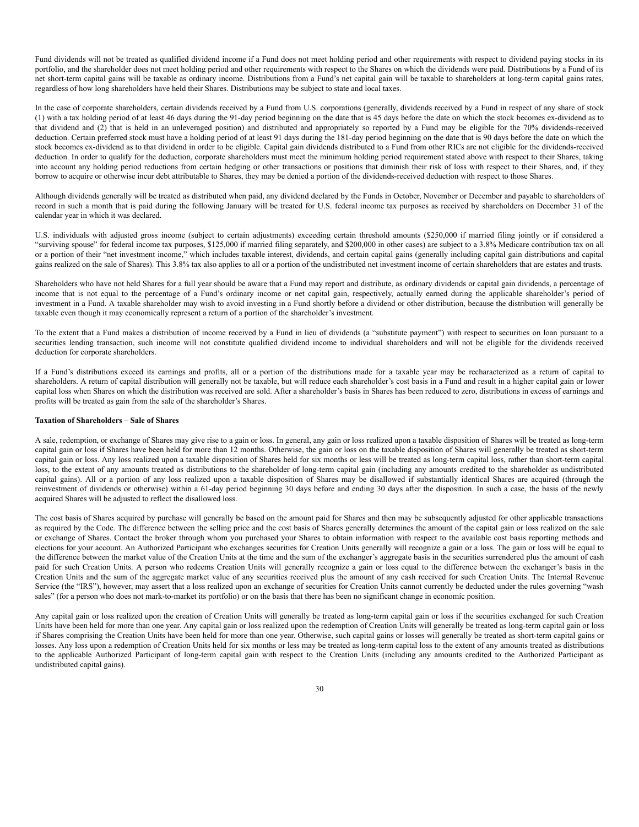Fund dividends will not be treated as qualified dividend income if a Fund does not meet holding period and other requirements with respect to dividend paying stocks in its portfolio, and the shareholder does not meet holding period and other requirements with respect to the Shares on which the dividends were paid. Distributions by a Fund of its net short-term capital gains will be taxable as ordinary income. Distributions from a Fund's net capital gain will be taxable to shareholders at long-term capital gains rates, regardless of how long shareholders have held their Shares. Distributions may be subject to state and local taxes.

In the case of corporate shareholders, certain dividends received by a Fund from U.S. corporations (generally, dividends received by a Fund in respect of any share of stock (1) with a tax holding period of at least 46 days during the 91-day period beginning on the date that is 45 days before the date on which the stock becomes ex-dividend as to that dividend and (2) that is held in an unleveraged position) and distributed and appropriately so reported by a Fund may be eligible for the 70% dividends-received deduction. Certain preferred stock must have a holding period of at least 91 days during the 181-day period beginning on the date that is 90 days before the date on which the stock becomes ex-dividend as to that dividend in order to be eligible. Capital gain dividends distributed to a Fund from other RICs are not eligible for the dividends-received deduction. In order to qualify for the deduction, corporate shareholders must meet the minimum holding period requirement stated above with respect to their Shares, taking into account any holding period reductions from certain hedging or other transactions or positions that diminish their risk of loss with respect to their Shares, and, if they borrow to acquire or otherwise incur debt attributable to Shares, they may be denied a portion of the dividends-received deduction with respect to those Shares.

Although dividends generally will be treated as distributed when paid, any dividend declared by the Funds in October, November or December and payable to shareholders of record in such a month that is paid during the following January will be treated for U.S. federal income tax purposes as received by shareholders on December 31 of the calendar year in which it was declared.

U.S. individuals with adjusted gross income (subject to certain adjustments) exceeding certain threshold amounts (\$250,000 if married filing jointly or if considered a "surviving spouse" for federal income tax purposes, \$125,000 if married filing separately, and \$200,000 in other cases) are subject to a 3.8% Medicare contribution tax on all or a portion of their "net investment income," which includes taxable interest, dividends, and certain capital gains (generally including capital gain distributions and capital gains realized on the sale of Shares). This 3.8% tax also applies to all or a portion of the undistributed net investment income of certain shareholders that are estates and trusts.

Shareholders who have not held Shares for a full year should be aware that a Fund may report and distribute, as ordinary dividends or capital gain dividends, a percentage of income that is not equal to the percentage of a Fund's ordinary income or net capital gain, respectively, actually earned during the applicable shareholder's period of investment in a Fund. A taxable shareholder may wish to avoid investing in a Fund shortly before a dividend or other distribution, because the distribution will generally be taxable even though it may economically represent a return of a portion of the shareholder's investment.

To the extent that a Fund makes a distribution of income received by a Fund in lieu of dividends (a "substitute payment") with respect to securities on loan pursuant to a securities lending transaction, such income will not constitute qualified dividend income to individual shareholders and will not be eligible for the dividends received deduction for corporate shareholders.

If a Fund's distributions exceed its earnings and profits, all or a portion of the distributions made for a taxable year may be recharacterized as a return of capital to shareholders. A return of capital distribution will generally not be taxable, but will reduce each shareholder's cost basis in a Fund and result in a higher capital gain or lower capital loss when Shares on which the distribution was received are sold. After a shareholder's basis in Shares has been reduced to zero, distributions in excess of earnings and profits will be treated as gain from the sale of the shareholder's Shares.

#### **Taxation of Shareholders – Sale of Shares**

A sale, redemption, or exchange of Shares may give rise to a gain or loss. In general, any gain or loss realized upon a taxable disposition of Shares will be treated as long-term capital gain or loss if Shares have been held for more than 12 months. Otherwise, the gain or loss on the taxable disposition of Shares will generally be treated as short-term capital gain or loss. Any loss realized upon a taxable disposition of Shares held for six months or less will be treated as long-term capital loss, rather than short-term capital loss, to the extent of any amounts treated as distributions to the shareholder of long-term capital gain (including any amounts credited to the shareholder as undistributed capital gains). All or a portion of any loss realized upon a taxable disposition of Shares may be disallowed if substantially identical Shares are acquired (through the reinvestment of dividends or otherwise) within a 61-day period beginning 30 days before and ending 30 days after the disposition. In such a case, the basis of the newly acquired Shares will be adjusted to reflect the disallowed loss.

The cost basis of Shares acquired by purchase will generally be based on the amount paid for Shares and then may be subsequently adjusted for other applicable transactions as required by the Code. The difference between the selling price and the cost basis of Shares generally determines the amount of the capital gain or loss realized on the sale or exchange of Shares. Contact the broker through whom you purchased your Shares to obtain information with respect to the available cost basis reporting methods and elections for your account. An Authorized Participant who exchanges securities for Creation Units generally will recognize a gain or a loss. The gain or loss will be equal to the difference between the market value of the Creation Units at the time and the sum of the exchanger's aggregate basis in the securities surrendered plus the amount of cash paid for such Creation Units. A person who redeems Creation Units will generally recognize a gain or loss equal to the difference between the exchanger's basis in the Creation Units and the sum of the aggregate market value of any securities received plus the amount of any cash received for such Creation Units. The Internal Revenue Service (the "IRS"), however, may assert that a loss realized upon an exchange of securities for Creation Units cannot currently be deducted under the rules governing "wash sales" (for a person who does not mark-to-market its portfolio) or on the basis that there has been no significant change in economic position.

Any capital gain or loss realized upon the creation of Creation Units will generally be treated as long-term capital gain or loss if the securities exchanged for such Creation Units have been held for more than one year. Any capital gain or loss realized upon the redemption of Creation Units will generally be treated as long-term capital gain or loss if Shares comprising the Creation Units have been held for more than one year. Otherwise, such capital gains or losses will generally be treated as short-term capital gains or losses. Any loss upon a redemption of Creation Units held for six months or less may be treated as long-term capital loss to the extent of any amounts treated as distributions to the applicable Authorized Participant of long-term capital gain with respect to the Creation Units (including any amounts credited to the Authorized Participant as undistributed capital gains).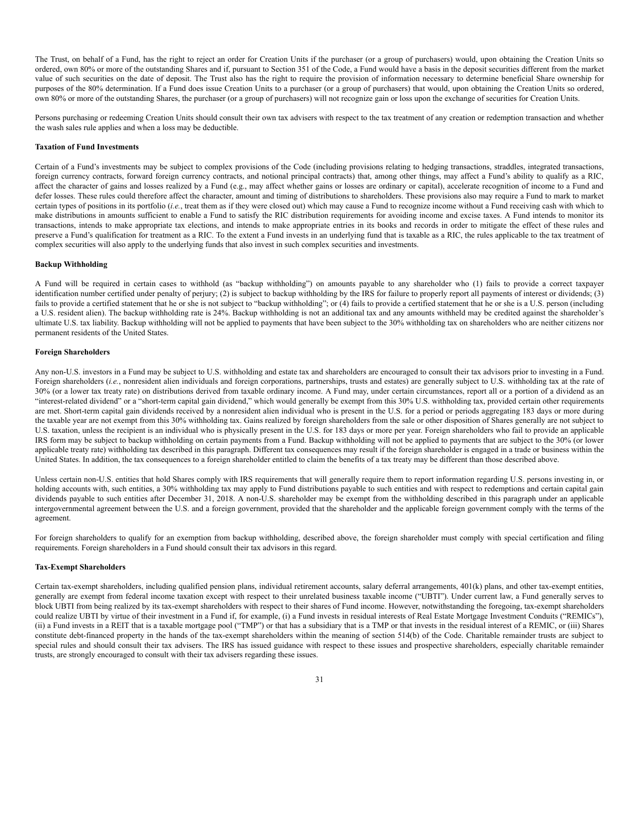The Trust, on behalf of a Fund, has the right to reject an order for Creation Units if the purchaser (or a group of purchasers) would, upon obtaining the Creation Units so ordered, own 80% or more of the outstanding Shares and if, pursuant to Section 351 of the Code, a Fund would have a basis in the deposit securities different from the market value of such securities on the date of deposit. The Trust also has the right to require the provision of information necessary to determine beneficial Share ownership for purposes of the 80% determination. If a Fund does issue Creation Units to a purchaser (or a group of purchasers) that would, upon obtaining the Creation Units so ordered, own 80% or more of the outstanding Shares, the purchaser (or a group of purchasers) will not recognize gain or loss upon the exchange of securities for Creation Units.

Persons purchasing or redeeming Creation Units should consult their own tax advisers with respect to the tax treatment of any creation or redemption transaction and whether the wash sales rule applies and when a loss may be deductible.

#### **Taxation of Fund Investments**

Certain of a Fund's investments may be subject to complex provisions of the Code (including provisions relating to hedging transactions, straddles, integrated transactions, foreign currency contracts, forward foreign currency contracts, and notional principal contracts) that, among other things, may affect a Fund's ability to qualify as a RIC, affect the character of gains and losses realized by a Fund (e.g., may affect whether gains or losses are ordinary or capital), accelerate recognition of income to a Fund and defer losses. These rules could therefore affect the character, amount and timing of distributions to shareholders. These provisions also may require a Fund to mark to market certain types of positions in its portfolio (*i.e.*, treat them as if they were closed out) which may cause a Fund to recognize income without a Fund receiving cash with which to make distributions in amounts sufficient to enable a Fund to satisfy the RIC distribution requirements for avoiding income and excise taxes. A Fund intends to monitor its transactions, intends to make appropriate tax elections, and intends to make appropriate entries in its books and records in order to mitigate the effect of these rules and preserve a Fund's qualification for treatment as a RIC. To the extent a Fund invests in an underlying fund that is taxable as a RIC, the rules applicable to the tax treatment of complex securities will also apply to the underlying funds that also invest in such complex securities and investments.

### **Backup Withholding**

A Fund will be required in certain cases to withhold (as "backup withholding") on amounts payable to any shareholder who (1) fails to provide a correct taxpayer identification number certified under penalty of perjury; (2) is subject to backup withholding by the IRS for failure to properly report all payments of interest or dividends; (3) fails to provide a certified statement that he or she is not subject to "backup withholding"; or (4) fails to provide a certified statement that he or she is a U.S. person (including a U.S. resident alien). The backup withholding rate is 24%. Backup withholding is not an additional tax and any amounts withheld may be credited against the shareholder's ultimate U.S. tax liability. Backup withholding will not be applied to payments that have been subject to the 30% withholding tax on shareholders who are neither citizens nor permanent residents of the United States.

### **Foreign Shareholders**

Any non-U.S. investors in a Fund may be subject to U.S. withholding and estate tax and shareholders are encouraged to consult their tax advisors prior to investing in a Fund. Foreign shareholders (*i.e.*, nonresident alien individuals and foreign corporations, partnerships, trusts and estates) are generally subject to U.S. withholding tax at the rate of 30% (or a lower tax treaty rate) on distributions derived from taxable ordinary income. A Fund may, under certain circumstances, report all or a portion of a dividend as an "interest-related dividend" or a "short-term capital gain dividend," which would generally be exempt from this 30% U.S. withholding tax, provided certain other requirements are met. Short-term capital gain dividends received by a nonresident alien individual who is present in the U.S. for a period or periods aggregating 183 days or more during the taxable year are not exempt from this 30% withholding tax. Gains realized by foreign shareholders from the sale or other disposition of Shares generally are not subject to U.S. taxation, unless the recipient is an individual who is physically present in the U.S. for 183 days or more per year. Foreign shareholders who fail to provide an applicable IRS form may be subject to backup withholding on certain payments from a Fund. Backup withholding will not be applied to payments that are subject to the 30% (or lower applicable treaty rate) withholding tax described in this paragraph. Different tax consequences may result if the foreign shareholder is engaged in a trade or business within the United States. In addition, the tax consequences to a foreign shareholder entitled to claim the benefits of a tax treaty may be different than those described above.

Unless certain non-U.S. entities that hold Shares comply with IRS requirements that will generally require them to report information regarding U.S. persons investing in, or holding accounts with, such entities, a 30% withholding tax may apply to Fund distributions payable to such entities and with respect to redemptions and certain capital gain dividends payable to such entities after December 31, 2018. A non-U.S. shareholder may be exempt from the withholding described in this paragraph under an applicable intergovernmental agreement between the U.S. and a foreign government, provided that the shareholder and the applicable foreign government comply with the terms of the agreement.

For foreign shareholders to qualify for an exemption from backup withholding, described above, the foreign shareholder must comply with special certification and filing requirements. Foreign shareholders in a Fund should consult their tax advisors in this regard.

#### **Tax-Exempt Shareholders**

Certain tax-exempt shareholders, including qualified pension plans, individual retirement accounts, salary deferral arrangements, 401(k) plans, and other tax-exempt entities, generally are exempt from federal income taxation except with respect to their unrelated business taxable income ("UBTI"). Under current law, a Fund generally serves to block UBTI from being realized by its tax-exempt shareholders with respect to their shares of Fund income. However, notwithstanding the foregoing, tax-exempt shareholders could realize UBTI by virtue of their investment in a Fund if, for example, (i) a Fund invests in residual interests of Real Estate Mortgage Investment Conduits ("REMICs"), (ii) a Fund invests in a REIT that is a taxable mortgage pool ("TMP") or that has a subsidiary that is a TMP or that invests in the residual interest of a REMIC, or (iii) Shares constitute debt-financed property in the hands of the tax-exempt shareholders within the meaning of section 514(b) of the Code. Charitable remainder trusts are subject to special rules and should consult their tax advisers. The IRS has issued guidance with respect to these issues and prospective shareholders, especially charitable remainder trusts, are strongly encouraged to consult with their tax advisers regarding these issues.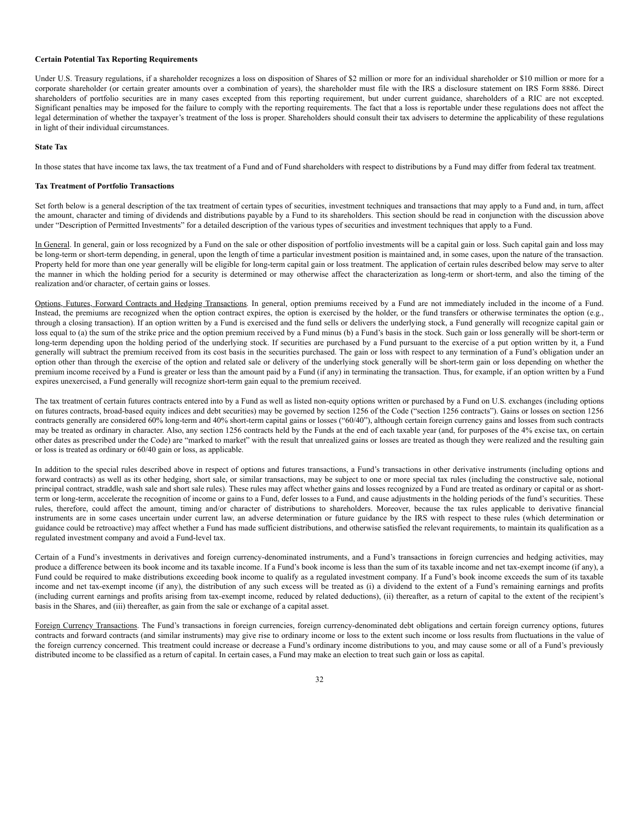### **Certain Potential Tax Reporting Requirements**

Under U.S. Treasury regulations, if a shareholder recognizes a loss on disposition of Shares of \$2 million or more for an individual shareholder or \$10 million or more for a corporate shareholder (or certain greater amounts over a combination of years), the shareholder must file with the IRS a disclosure statement on IRS Form 8886. Direct shareholders of portfolio securities are in many cases excepted from this reporting requirement, but under current guidance, shareholders of a RIC are not excepted. Significant penalties may be imposed for the failure to comply with the reporting requirements. The fact that a loss is reportable under these regulations does not affect the legal determination of whether the taxpayer's treatment of the loss is proper. Shareholders should consult their tax advisers to determine the applicability of these regulations in light of their individual circumstances.

#### **State Tax**

In those states that have income tax laws, the tax treatment of a Fund and of Fund shareholders with respect to distributions by a Fund may differ from federal tax treatment.

### **Tax Treatment of Portfolio Transactions**

Set forth below is a general description of the tax treatment of certain types of securities, investment techniques and transactions that may apply to a Fund and, in turn, affect the amount, character and timing of dividends and distributions payable by a Fund to its shareholders. This section should be read in conjunction with the discussion above under "Description of Permitted Investments" for a detailed description of the various types of securities and investment techniques that apply to a Fund.

In General. In general, gain or loss recognized by a Fund on the sale or other disposition of portfolio investments will be a capital gain or loss. Such capital gain and loss may be long-term or short-term depending, in general, upon the length of time a particular investment position is maintained and, in some cases, upon the nature of the transaction. Property held for more than one year generally will be eligible for long-term capital gain or loss treatment. The application of certain rules described below may serve to alter the manner in which the holding period for a security is determined or may otherwise affect the characterization as long-term or short-term, and also the timing of the realization and/or character, of certain gains or losses.

Options, Futures, Forward Contracts and Hedging Transactions. In general, option premiums received by a Fund are not immediately included in the income of a Fund. Instead, the premiums are recognized when the option contract expires, the option is exercised by the holder, or the fund transfers or otherwise terminates the option (e.g., through a closing transaction). If an option written by a Fund is exercised and the fund sells or delivers the underlying stock, a Fund generally will recognize capital gain or loss equal to (a) the sum of the strike price and the option premium received by a Fund minus (b) a Fund's basis in the stock. Such gain or loss generally will be short-term or long-term depending upon the holding period of the underlying stock. If securities are purchased by a Fund pursuant to the exercise of a put option written by it, a Fund generally will subtract the premium received from its cost basis in the securities purchased. The gain or loss with respect to any termination of a Fund's obligation under an option other than through the exercise of the option and related sale or delivery of the underlying stock generally will be short-term gain or loss depending on whether the premium income received by a Fund is greater or less than the amount paid by a Fund (if any) in terminating the transaction. Thus, for example, if an option written by a Fund expires unexercised, a Fund generally will recognize short-term gain equal to the premium received.

The tax treatment of certain futures contracts entered into by a Fund as well as listed non-equity options written or purchased by a Fund on U.S. exchanges (including options on futures contracts, broad-based equity indices and debt securities) may be governed by section 1256 of the Code ("section 1256 contracts"). Gains or losses on section 1256 contracts generally are considered 60% long-term and 40% short-term capital gains or losses ("60/40"), although certain foreign currency gains and losses from such contracts may be treated as ordinary in character. Also, any section 1256 contracts held by the Funds at the end of each taxable year (and, for purposes of the 4% excise tax, on certain other dates as prescribed under the Code) are "marked to market" with the result that unrealized gains or losses are treated as though they were realized and the resulting gain or loss is treated as ordinary or 60/40 gain or loss, as applicable.

In addition to the special rules described above in respect of options and futures transactions, a Fund's transactions in other derivative instruments (including options and forward contracts) as well as its other hedging, short sale, or similar transactions, may be subject to one or more special tax rules (including the constructive sale, notional principal contract, straddle, wash sale and short sale rules). These rules may affect whether gains and losses recognized by a Fund are treated as ordinary or capital or as shortterm or long-term, accelerate the recognition of income or gains to a Fund, defer losses to a Fund, and cause adjustments in the holding periods of the fund's securities. These rules, therefore, could affect the amount, timing and/or character of distributions to shareholders. Moreover, because the tax rules applicable to derivative financial instruments are in some cases uncertain under current law, an adverse determination or future guidance by the IRS with respect to these rules (which determination or guidance could be retroactive) may affect whether a Fund has made sufficient distributions, and otherwise satisfied the relevant requirements, to maintain its qualification as a regulated investment company and avoid a Fund-level tax.

Certain of a Fund's investments in derivatives and foreign currency-denominated instruments, and a Fund's transactions in foreign currencies and hedging activities, may produce a difference between its book income and its taxable income. If a Fund's book income is less than the sum of its taxable income and net tax-exempt income (if any), a Fund could be required to make distributions exceeding book income to qualify as a regulated investment company. If a Fund's book income exceeds the sum of its taxable income and net tax-exempt income (if any), the distribution of any such excess will be treated as (i) a dividend to the extent of a Fund's remaining earnings and profits (including current earnings and profits arising from tax-exempt income, reduced by related deductions), (ii) thereafter, as a return of capital to the extent of the recipient's basis in the Shares, and (iii) thereafter, as gain from the sale or exchange of a capital asset.

Foreign Currency Transactions. The Fund's transactions in foreign currencies, foreign currency-denominated debt obligations and certain foreign currency options, futures contracts and forward contracts (and similar instruments) may give rise to ordinary income or loss to the extent such income or loss results from fluctuations in the value of the foreign currency concerned. This treatment could increase or decrease a Fund's ordinary income distributions to you, and may cause some or all of a Fund's previously distributed income to be classified as a return of capital. In certain cases, a Fund may make an election to treat such gain or loss as capital.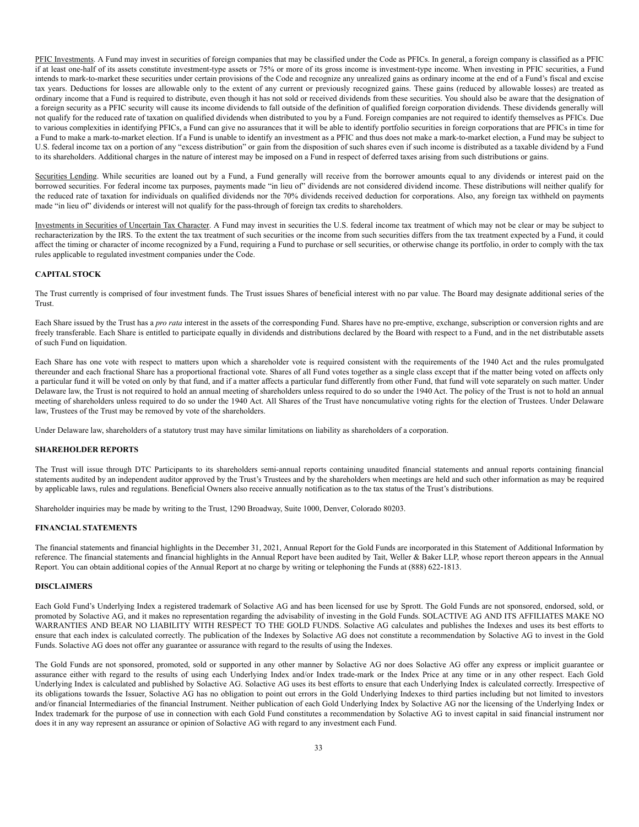PFIC Investments. A Fund may invest in securities of foreign companies that may be classified under the Code as PFICs. In general, a foreign company is classified as a PFIC if at least one-half of its assets constitute investment-type assets or 75% or more of its gross income is investment-type income. When investing in PFIC securities, a Fund intends to mark-to-market these securities under certain provisions of the Code and recognize any unrealized gains as ordinary income at the end of a Fund's fiscal and excise tax years. Deductions for losses are allowable only to the extent of any current or previously recognized gains. These gains (reduced by allowable losses) are treated as ordinary income that a Fund is required to distribute, even though it has not sold or received dividends from these securities. You should also be aware that the designation of a foreign security as a PFIC security will cause its income dividends to fall outside of the definition of qualified foreign corporation dividends. These dividends generally will not qualify for the reduced rate of taxation on qualified dividends when distributed to you by a Fund. Foreign companies are not required to identify themselves as PFICs. Due to various complexities in identifying PFICs, a Fund can give no assurances that it will be able to identify portfolio securities in foreign corporations that are PFICs in time for a Fund to make a mark-to-market election. If a Fund is unable to identify an investment as a PFIC and thus does not make a mark-to-market election, a Fund may be subject to U.S. federal income tax on a portion of any "excess distribution" or gain from the disposition of such shares even if such income is distributed as a taxable dividend by a Fund to its shareholders. Additional charges in the nature of interest may be imposed on a Fund in respect of deferred taxes arising from such distributions or gains.

Securities Lending. While securities are loaned out by a Fund, a Fund generally will receive from the borrower amounts equal to any dividends or interest paid on the borrowed securities. For federal income tax purposes, payments made "in lieu of" dividends are not considered dividend income. These distributions will neither qualify for the reduced rate of taxation for individuals on qualified dividends nor the 70% dividends received deduction for corporations. Also, any foreign tax withheld on payments made "in lieu of" dividends or interest will not qualify for the pass-through of foreign tax credits to shareholders.

Investments in Securities of Uncertain Tax Character. A Fund may invest in securities the U.S. federal income tax treatment of which may not be clear or may be subject to recharacterization by the IRS. To the extent the tax treatment of such securities or the income from such securities differs from the tax treatment expected by a Fund, it could affect the timing or character of income recognized by a Fund, requiring a Fund to purchase or sell securities, or otherwise change its portfolio, in order to comply with the tax rules applicable to regulated investment companies under the Code.

# <span id="page-32-0"></span>**CAPITAL STOCK**

The Trust currently is comprised of four investment funds. The Trust issues Shares of beneficial interest with no par value. The Board may designate additional series of the Trust.

Each Share issued by the Trust has a *pro rata* interest in the assets of the corresponding Fund. Shares have no pre-emptive, exchange, subscription or conversion rights and are freely transferable. Each Share is entitled to participate equally in dividends and distributions declared by the Board with respect to a Fund, and in the net distributable assets of such Fund on liquidation.

Each Share has one vote with respect to matters upon which a shareholder vote is required consistent with the requirements of the 1940 Act and the rules promulgated thereunder and each fractional Share has a proportional fractional vote. Shares of all Fund votes together as a single class except that if the matter being voted on affects only a particular fund it will be voted on only by that fund, and if a matter affects a particular fund differently from other Fund, that fund will vote separately on such matter. Under Delaware law, the Trust is not required to hold an annual meeting of shareholders unless required to do so under the 1940 Act. The policy of the Trust is not to hold an annual meeting of shareholders unless required to do so under the 1940 Act. All Shares of the Trust have noncumulative voting rights for the election of Trustees. Under Delaware law, Trustees of the Trust may be removed by vote of the shareholders.

Under Delaware law, shareholders of a statutory trust may have similar limitations on liability as shareholders of a corporation.

# <span id="page-32-1"></span>**SHAREHOLDER REPORTS**

The Trust will issue through DTC Participants to its shareholders semi-annual reports containing unaudited financial statements and annual reports containing financial statements audited by an independent auditor approved by the Trust's Trustees and by the shareholders when meetings are held and such other information as may be required by applicable laws, rules and regulations. Beneficial Owners also receive annually notification as to the tax status of the Trust's distributions.

Shareholder inquiries may be made by writing to the Trust, 1290 Broadway, Suite 1000, Denver, Colorado 80203.

# <span id="page-32-2"></span>**FINANCIAL STATEMENTS**

The financial statements and financial highlights in the December 31, 2021, Annual Report for the Gold Funds are incorporated in this Statement of Additional Information by reference. The financial statements and financial highlights in the Annual Report have been audited by Tait, Weller & Baker LLP, whose report thereon appears in the Annual Report. You can obtain additional copies of the Annual Report at no charge by writing or telephoning the Funds at (888) 622-1813.

### <span id="page-32-3"></span>**DISCLAIMERS**

Each Gold Fund's Underlying Index a registered trademark of Solactive AG and has been licensed for use by Sprott. The Gold Funds are not sponsored, endorsed, sold, or promoted by Solactive AG, and it makes no representation regarding the advisability of investing in the Gold Funds. SOLACTIVE AG AND ITS AFFILIATES MAKE NO WARRANTIES AND BEAR NO LIABILITY WITH RESPECT TO THE GOLD FUNDS. Solactive AG calculates and publishes the Indexes and uses its best efforts to ensure that each index is calculated correctly. The publication of the Indexes by Solactive AG does not constitute a recommendation by Solactive AG to invest in the Gold Funds. Solactive AG does not offer any guarantee or assurance with regard to the results of using the Indexes.

The Gold Funds are not sponsored, promoted, sold or supported in any other manner by Solactive AG nor does Solactive AG offer any express or implicit guarantee or assurance either with regard to the results of using each Underlying Index and/or Index trade-mark or the Index Price at any time or in any other respect. Each Gold Underlying Index is calculated and published by Solactive AG. Solactive AG uses its best efforts to ensure that each Underlying Index is calculated correctly. Irrespective of its obligations towards the Issuer, Solactive AG has no obligation to point out errors in the Gold Underlying Indexes to third parties including but not limited to investors and/or financial Intermediaries of the financial Instrument. Neither publication of each Gold Underlying Index by Solactive AG nor the licensing of the Underlying Index or Index trademark for the purpose of use in connection with each Gold Fund constitutes a recommendation by Solactive AG to invest capital in said financial instrument nor does it in any way represent an assurance or opinion of Solactive AG with regard to any investment each Fund.